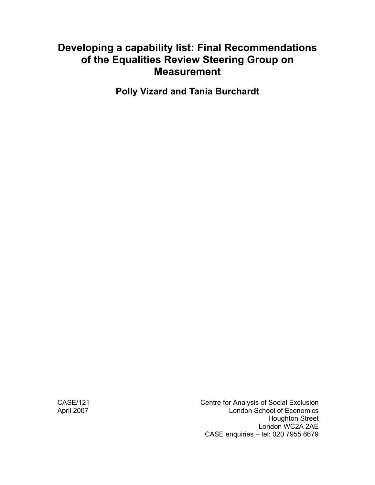# **Developing a capability list: Final Recommendations of the Equalities Review Steering Group on Measurement**

**Polly Vizard and Tania Burchardt** 

CASE/121 CASE/121 April 2007 **London School of Economics**  Houghton Street London WC2A 2AE CASE enquiries – tel: 020 7955 6679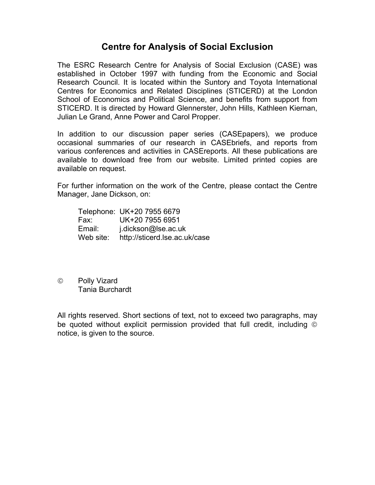# **Centre for Analysis of Social Exclusion**

The ESRC Research Centre for Analysis of Social Exclusion (CASE) was established in October 1997 with funding from the Economic and Social Research Council. It is located within the Suntory and Toyota International Centres for Economics and Related Disciplines (STICERD) at the London School of Economics and Political Science, and benefits from support from STICERD. It is directed by Howard Glennerster, John Hills, Kathleen Kiernan, Julian Le Grand, Anne Power and Carol Propper.

In addition to our discussion paper series (CASEpapers), we produce occasional summaries of our research in CASEbriefs, and reports from various conferences and activities in CASEreports. All these publications are available to download free from our website. Limited printed copies are available on request.

For further information on the work of the Centre, please contact the Centre Manager, Jane Dickson, on:

|           | Telephone: UK+20 7955 6679    |
|-----------|-------------------------------|
| Fax:      | UK+20 7955 6951               |
| Email:    | j.dickson@lse.ac.uk           |
| Web site: | http://sticerd.lse.ac.uk/case |

© Polly Vizard Tania Burchardt

All rights reserved. Short sections of text, not to exceed two paragraphs, may be quoted without explicit permission provided that full credit, including © notice, is given to the source.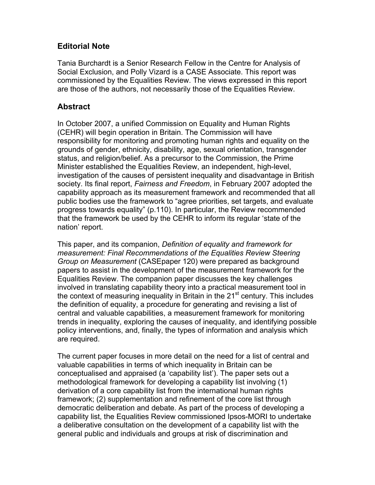## **Editorial Note**

Tania Burchardt is a Senior Research Fellow in the Centre for Analysis of Social Exclusion, and Polly Vizard is a CASE Associate. This report was commissioned by the Equalities Review. The views expressed in this report are those of the authors, not necessarily those of the Equalities Review.

### **Abstract**

In October 2007, a unified Commission on Equality and Human Rights (CEHR) will begin operation in Britain. The Commission will have responsibility for monitoring and promoting human rights and equality on the grounds of gender, ethnicity, disability, age, sexual orientation, transgender status, and religion/belief. As a precursor to the Commission, the Prime Minister established the Equalities Review, an independent, high-level, investigation of the causes of persistent inequality and disadvantage in British society. Its final report, *Fairness and Freedom*, in February 2007 adopted the capability approach as its measurement framework and recommended that all public bodies use the framework to "agree priorities, set targets, and evaluate progress towards equality" (p.110). In particular, the Review recommended that the framework be used by the CEHR to inform its regular 'state of the nation' report.

This paper, and its companion, *Definition of equality and framework for measurement: Final Recommendations of the Equalities Review Steering Group on Measurement* (CASEpaper 120) were prepared as background papers to assist in the development of the measurement framework for the Equalities Review. The companion paper discusses the key challenges involved in translating capability theory into a practical measurement tool in the context of measuring inequality in Britain in the  $21<sup>st</sup>$  century. This includes the definition of equality, a procedure for generating and revising a list of central and valuable capabilities, a measurement framework for monitoring trends in inequality, exploring the causes of inequality, and identifying possible policy interventions, and, finally, the types of information and analysis which are required.

The current paper focuses in more detail on the need for a list of central and valuable capabilities in terms of which inequality in Britain can be conceptualised and appraised (a 'capability list'). The paper sets out a methodological framework for developing a capability list involving (1) derivation of a core capability list from the international human rights framework; (2) supplementation and refinement of the core list through democratic deliberation and debate. As part of the process of developing a capability list, the Equalities Review commissioned Ipsos-MORI to undertake a deliberative consultation on the development of a capability list with the general public and individuals and groups at risk of discrimination and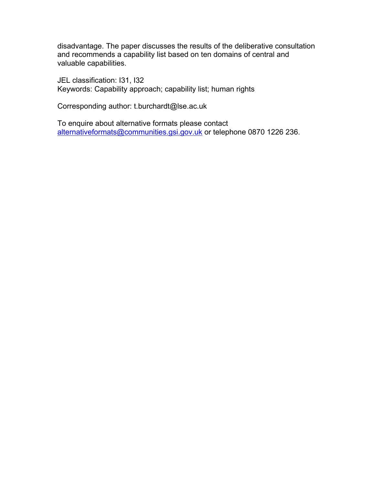disadvantage. The paper discusses the results of the deliberative consultation and recommends a capability list based on ten domains of central and valuable capabilities.

JEL classification: I31, I32 Keywords: Capability approach; capability list; human rights

Corresponding author: t.burchardt@lse.ac.uk

To enquire about alternative formats please contact alternativeformats@communities.gsi.gov.uk or telephone 0870 1226 236.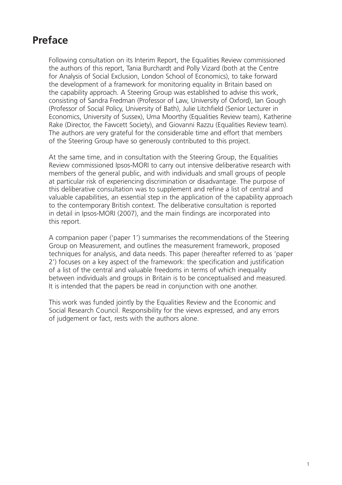# **Preface**

Following consultation on its Interim Report, the Equalities Review commissioned the authors of this report, Tania Burchardt and Polly Vizard (both at the Centre for Analysis of Social Exclusion, London School of Economics), to take forward the development of a framework for monitoring equality in Britain based on the capability approach. A Steering Group was established to advise this work, consisting of Sandra Fredman (Professor of Law, University of Oxford), Ian Gough (Professor of Social Policy, University of Bath), Julie Litchfield (Senior Lecturer in Economics, University of Sussex), Uma Moorthy (Equalities Review team), Katherine Rake (Director, the Fawcett Society), and Giovanni Razzu (Equalities Review team). The authors are very grateful for the considerable time and effort that members of the Steering Group have so generously contributed to this project.

At the same time, and in consultation with the Steering Group, the Equalities Review commissioned Ipsos-MORI to carry out intensive deliberative research with members of the general public, and with individuals and small groups of people at particular risk of experiencing discrimination or disadvantage. The purpose of this deliberative consultation was to supplement and refine a list of central and valuable capabilities, an essential step in the application of the capability approach to the contemporary British context. The deliberative consultation is reported in detail in Ipsos-MORI (2007), and the main findings are incorporated into this report.

A companion paper ('paper 1') summarises the recommendations of the Steering Group on Measurement, and outlines the measurement framework, proposed techniques for analysis, and data needs. This paper (hereafter referred to as 'paper 2') focuses on a key aspect of the framework: the specification and justification of a list of the central and valuable freedoms in terms of which inequality between individuals and groups in Britain is to be conceptualised and measured. It is intended that the papers be read in conjunction with one another.

This work was funded jointly by the Equalities Review and the Economic and Social Research Council. Responsibility for the views expressed, and any errors of judgement or fact, rests with the authors alone.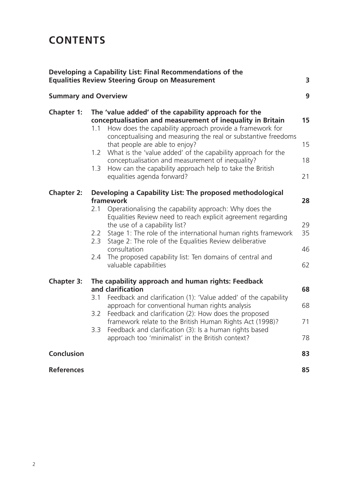# **CONTENTS**

|                   | Developing a Capability List: Final Recommendations of the<br><b>Equalities Review Steering Group on Measurement</b>                                                                                                                                                                                                                                                                                                                                                                                               | 3                          |
|-------------------|--------------------------------------------------------------------------------------------------------------------------------------------------------------------------------------------------------------------------------------------------------------------------------------------------------------------------------------------------------------------------------------------------------------------------------------------------------------------------------------------------------------------|----------------------------|
|                   | <b>Summary and Overview</b>                                                                                                                                                                                                                                                                                                                                                                                                                                                                                        | 9                          |
| <b>Chapter 1:</b> | The 'value added' of the capability approach for the<br>conceptualisation and measurement of inequality in Britain<br>How does the capability approach provide a framework for<br>1.1<br>conceptualising and measuring the real or substantive freedoms<br>that people are able to enjoy?<br>1.2 What is the 'value added' of the capability approach for the<br>conceptualisation and measurement of inequality?<br>1.3<br>How can the capability approach help to take the British<br>equalities agenda forward? | 15<br>15<br>18<br>21       |
| <b>Chapter 2:</b> | Developing a Capability List: The proposed methodological<br>framework<br>Operationalising the capability approach: Why does the<br>2.1<br>Equalities Review need to reach explicit agreement regarding<br>the use of a capability list?<br>Stage 1: The role of the international human rights framework<br>2.2<br>Stage 2: The role of the Equalities Review deliberative<br>2.3<br>consultation<br>The proposed capability list: Ten domains of central and<br>2.4<br>valuable capabilities                     | 28<br>29<br>35<br>46<br>62 |
| <b>Chapter 3:</b> | The capability approach and human rights: Feedback<br>and clarification<br>Feedback and clarification (1): 'Value added' of the capability<br>3.1<br>approach for conventional human rights analysis<br>Feedback and clarification (2): How does the proposed<br>3.2<br>framework relate to the British Human Rights Act (1998)?<br>3.3<br>Feedback and clarification (3): Is a human rights based<br>approach too 'minimalist' in the British context?                                                            | 68<br>68<br>71<br>78       |
| <b>Conclusion</b> |                                                                                                                                                                                                                                                                                                                                                                                                                                                                                                                    | 83                         |
| <b>References</b> |                                                                                                                                                                                                                                                                                                                                                                                                                                                                                                                    | 85                         |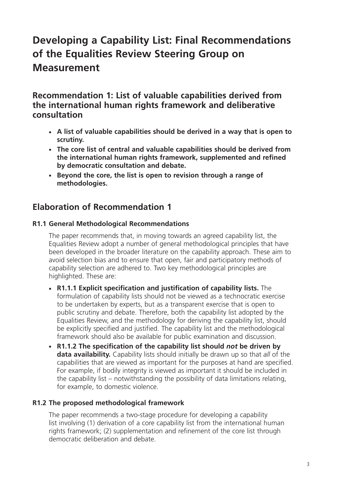# **Developing a Capability List: Final Recommendations of the Equalities Review Steering Group on Measurement**

**Recommendation 1: List of valuable capabilities derived from the international human rights framework and deliberative consultation**

- **A list of valuable capabilities should be derived in a way that is open to scrutiny.**
- **The core list of central and valuable capabilities should be derived from the international human rights framework, supplemented and refined by democratic consultation and debate.**
- **Beyond the core, the list is open to revision through a range of methodologies.**

# **Elaboration of Recommendation 1**

### **R1.1 General Methodological Recommendations**

The paper recommends that, in moving towards an agreed capability list, the Equalities Review adopt a number of general methodological principles that have been developed in the broader literature on the capability approach. These aim to avoid selection bias and to ensure that open, fair and participatory methods of capability selection are adhered to. Two key methodological principles are highlighted. These are:

- **R1.1.1 Explicit specification and justification of capability lists.** The formulation of capability lists should not be viewed as a technocratic exercise to be undertaken by experts, but as a transparent exercise that is open to public scrutiny and debate. Therefore, both the capability list adopted by the Equalities Review, and the methodology for deriving the capability list, should be explicitly specified and justified. The capability list and the methodological framework should also be available for public examination and discussion.
- **R1.1.2 The specification of the capability list should** *not* **be driven by data availability.** Capability lists should initially be drawn up so that *all* of the capabilities that are viewed as important for the purposes at hand are specified. For example, if bodily integrity is viewed as important it should be included in the capability list – notwithstanding the possibility of data limitations relating, for example, to domestic violence.

### **R1.2 The proposed methodological framework**

The paper recommends a two-stage procedure for developing a capability list involving (1) derivation of a core capability list from the international human rights framework; (2) supplementation and refinement of the core list through democratic deliberation and debate.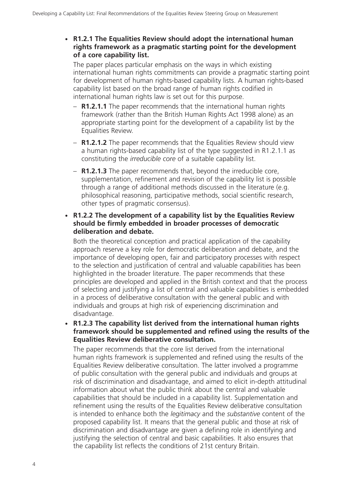### - **R1.2.1 The Equalities Review should adopt the international human rights framework as a pragmatic starting point for the development of a core capability list.**

The paper places particular emphasis on the ways in which existing international human rights commitments can provide a pragmatic starting point for development of human rights-based capability lists. A human rights-based capability list based on the broad range of human rights codified in international human rights law is set out for this purpose.

- **R1.2.1.1** The paper recommends that the international human rights framework (rather than the British Human Rights Act 1998 alone) as an appropriate starting point for the development of a capability list by the Equalities Review.
- **R1.2.1.2** The paper recommends that the Equalities Review should view a human rights-based capability list of the type suggested in R1.2.1.1 as constituting the *irreducible core* of a suitable capability list.
- **R1.2.1.3** The paper recommends that, beyond the irreducible core, supplementation, refinement and revision of the capability list is possible through a range of additional methods discussed in the literature (e.g. philosophical reasoning, participative methods, social scientific research, other types of pragmatic consensus).

### - **R1.2.2 The development of a capability list by the Equalities Review should be firmly embedded in broader processes of democratic deliberation and debate.**

Both the theoretical conception and practical application of the capability approach reserve a key role for democratic deliberation and debate, and the importance of developing open, fair and participatory processes with respect to the selection and justification of central and valuable capabilities has been highlighted in the broader literature. The paper recommends that these principles are developed and applied in the British context and that the process of selecting and justifying a list of central and valuable capabilities is embedded in a process of deliberative consultation with the general public and with individuals and groups at high risk of experiencing discrimination and disadvantage.

- **R1.2.3 The capability list derived from the international human rights framework should be supplemented and refined using the results of the Equalities Review deliberative consultation.**

The paper recommends that the core list derived from the international human rights framework is supplemented and refined using the results of the Equalities Review deliberative consultation. The latter involved a programme of public consultation with the general public and individuals and groups at risk of discrimination and disadvantage, and aimed to elicit in-depth attitudinal information about what the public think about the central and valuable capabilities that should be included in a capability list. Supplementation and refinement using the results of the Equalities Review deliberative consultation is intended to enhance both the *legitimacy* and the *substantive* content of the proposed capability list. It means that the general public and those at risk of discrimination and disadvantage are given a defining role in identifying and justifying the selection of central and basic capabilities. It also ensures that the capability list reflects the conditions of 21st century Britain.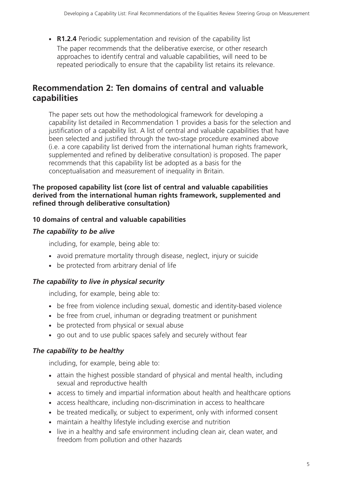• **R1.2.4** Periodic supplementation and revision of the capability list

The paper recommends that the deliberative exercise, or other research approaches to identify central and valuable capabilities, will need to be repeated periodically to ensure that the capability list retains its relevance.

# **Recommendation 2: Ten domains of central and valuable capabilities**

The paper sets out how the methodological framework for developing a capability list detailed in Recommendation 1 provides a basis for the selection and justification of a capability list. A list of central and valuable capabilities that have been selected and justified through the two-stage procedure examined above (i.e. a core capability list derived from the international human rights framework, supplemented and refined by deliberative consultation) is proposed. The paper recommends that this capability list be adopted as a basis for the conceptualisation and measurement of inequality in Britain.

#### **The proposed capability list (core list of central and valuable capabilities derived from the international human rights framework, supplemented and refined through deliberative consultation)**

## **10 domains of central and valuable capabilities**

## *The capability to be alive*

including, for example, being able to:

- avoid premature mortality through disease, neglect, injury or suicide
- be protected from arbitrary denial of life

## *The capability to live in physical security*

including, for example, being able to:

- be free from violence including sexual, domestic and identity-based violence
- be free from cruel, inhuman or degrading treatment or punishment
- be protected from physical or sexual abuse
- go out and to use public spaces safely and securely without fear

## *The capability to be healthy*

including, for example, being able to:

- attain the highest possible standard of physical and mental health, including sexual and reproductive health
- access to timely and impartial information about health and healthcare options
- access healthcare, including non-discrimination in access to healthcare
- be treated medically, or subject to experiment, only with informed consent
- maintain a healthy lifestyle including exercise and nutrition
- live in a healthy and safe environment including clean air, clean water, and freedom from pollution and other hazards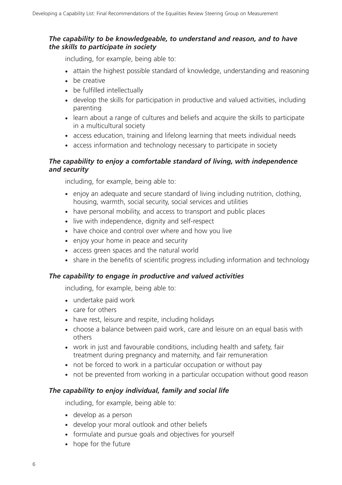### *The capability to be knowledgeable, to understand and reason, and to have the skills to participate in society*

including, for example, being able to:

- attain the highest possible standard of knowledge, understanding and reasoning
- be creative
- be fulfilled intellectually
- develop the skills for participation in productive and valued activities, including parenting
- learn about a range of cultures and beliefs and acquire the skills to participate in a multicultural society
- access education, training and lifelong learning that meets individual needs
- access information and technology necessary to participate in society

### *The capability to enjoy a comfortable standard of living, with independence and security*

including, for example, being able to:

- enjoy an adequate and secure standard of living including nutrition, clothing, housing, warmth, social security, social services and utilities
- have personal mobility, and access to transport and public places
- live with independence, dignity and self-respect
- have choice and control over where and how you live
- enjoy your home in peace and security
- access green spaces and the natural world
- share in the benefits of scientific progress including information and technology

### *The capability to engage in productive and valued activities*

including, for example, being able to:

- undertake paid work
- care for others
- have rest, leisure and respite, including holidays
- choose a balance between paid work, care and leisure on an equal basis with others
- work in just and favourable conditions, including health and safety, fair treatment during pregnancy and maternity, and fair remuneration
- not be forced to work in a particular occupation or without pay
- not be prevented from working in a particular occupation without good reason

### *The capability to enjoy individual, family and social life*

including, for example, being able to:

- develop as a person
- develop your moral outlook and other beliefs
- formulate and pursue goals and objectives for yourself
- hope for the future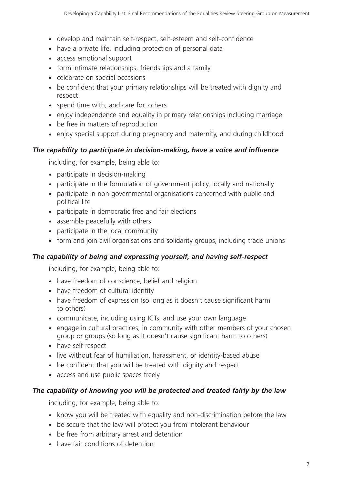- develop and maintain self-respect, self-esteem and self-confidence
- have a private life, including protection of personal data
- access emotional support
- form intimate relationships, friendships and a family
- celebrate on special occasions
- be confident that your primary relationships will be treated with dignity and respect
- spend time with, and care for, others
- enjoy independence and equality in primary relationships including marriage
- be free in matters of reproduction
- enjoy special support during pregnancy and maternity, and during childhood

### *The capability to participate in decision-making, have a voice and influence*

including, for example, being able to:

- participate in decision-making
- participate in the formulation of government policy, locally and nationally
- participate in non-governmental organisations concerned with public and political life
- participate in democratic free and fair elections
- assemble peacefully with others
- participate in the local community
- form and join civil organisations and solidarity groups, including trade unions

## *The capability of being and expressing yourself, and having self-respect*

including, for example, being able to:

- have freedom of conscience, belief and religion
- have freedom of cultural identity
- have freedom of expression (so long as it doesn't cause significant harm to others)
- communicate, including using ICTs, and use your own language
- engage in cultural practices, in community with other members of your chosen group or groups (so long as it doesn't cause significant harm to others)
- have self-respect
- live without fear of humiliation, harassment, or identity-based abuse
- be confident that you will be treated with dignity and respect
- access and use public spaces freely

## *The capability of knowing you will be protected and treated fairly by the law*

including, for example, being able to:

- know you will be treated with equality and non-discrimination before the law
- be secure that the law will protect you from intolerant behaviour
- be free from arbitrary arrest and detention
- have fair conditions of detention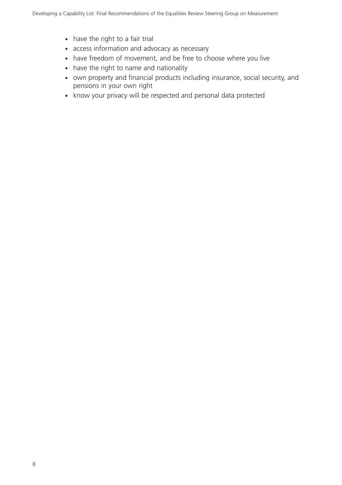- have the right to a fair trial
- access information and advocacy as necessary
- have freedom of movement, and be free to choose where you live
- have the right to name and nationality
- own property and financial products including insurance, social security, and pensions in your own right
- know your privacy will be respected and personal data protected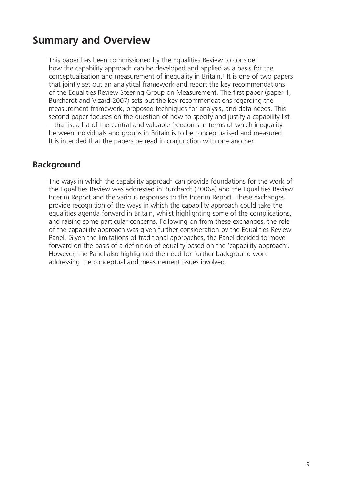# **Summary and Overview**

This paper has been commissioned by the Equalities Review to consider how the capability approach can be developed and applied as a basis for the conceptualisation and measurement of inequality in Britain.1 It is one of two papers that jointly set out an analytical framework and report the key recommendations of the Equalities Review Steering Group on Measurement. The first paper (paper 1, Burchardt and Vizard 2007) sets out the key recommendations regarding the measurement framework, proposed techniques for analysis, and data needs. This second paper focuses on the question of how to specify and justify a capability list – that is, a list of the central and valuable freedoms in terms of which inequality between individuals and groups in Britain is to be conceptualised and measured. It is intended that the papers be read in conjunction with one another.

# **Background**

The ways in which the capability approach can provide foundations for the work of the Equalities Review was addressed in Burchardt (2006a) and the Equalities Review Interim Report and the various responses to the Interim Report. These exchanges provide recognition of the ways in which the capability approach could take the equalities agenda forward in Britain, whilst highlighting some of the complications, and raising some particular concerns. Following on from these exchanges, the role of the capability approach was given further consideration by the Equalities Review Panel. Given the limitations of traditional approaches, the Panel decided to move forward on the basis of a definition of equality based on the 'capability approach'. However, the Panel also highlighted the need for further background work addressing the conceptual and measurement issues involved.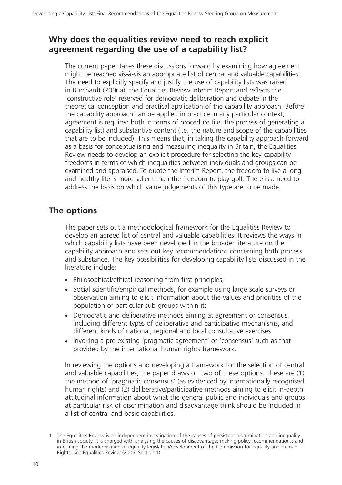# **Why does the equalities review need to reach explicit agreement regarding the use of a capability list?**

The current paper takes these discussions forward by examining how agreement might be reached vis-à-vis an appropriate list of central and valuable capabilities. The need to explicitly specify and justify the use of capability lists was raised in Burchardt (2006a), the Equalities Review Interim Report and reflects the 'constructive role' reserved for democratic deliberation and debate in the theoretical conception and practical application of the capability approach. Before the capability approach can be applied in practice in any particular context, agreement is required both in terms of procedure (i.e. the process of generating a capability list) and substantive content (i.e. the nature and scope of the capabilities that are to be included). This means that, in taking the capability approach forward as a basis for conceptualising and measuring inequality in Britain, the Equalities Review needs to develop an explicit procedure for selecting the key capabilityfreedoms in terms of which inequalities between individuals and groups can be examined and appraised. To quote the Interim Report, the freedom to live a long and healthy life is more salient than the freedom to play golf. There is a need to address the basis on which value judgements of this type are to be made.

# **The options**

The paper sets out a methodological framework for the Equalities Review to develop an agreed list of central and valuable capabilities. It reviews the ways in which capability lists have been developed in the broader literature on the capability approach and sets out key recommendations concerning both process and substance. The key possibilities for developing capability lists discussed in the literature include:

- Philosophical/ethical reasoning from first principles;
- Social scientific/empirical methods, for example using large scale surveys or observation aiming to elicit information about the values and priorities of the population or particular sub-groups within it;
- Democratic and deliberative methods aiming at agreement or consensus, including different types of deliberative and participative mechanisms, and different kinds of national, regional and local consultative exercises
- Invoking a pre-existing 'pragmatic agreement' or 'consensus' such as that provided by the international human rights framework.

In reviewing the options and developing a framework for the selection of central and valuable capabilities, the paper draws on two of these options. These are (1) the method of 'pragmatic consensus' (as evidenced by internationally recognised human rights) and (2) deliberative/participative methods aiming to elicit in-depth attitudinal information about what the general public and individuals and groups at particular risk of discrimination and disadvantage think should be included in a list of central and basic capabilities.

<sup>1</sup> The Equalities Review is an independent investigation of the causes of persistent discrimination and inequality in British society. It is charged with analysing the causes of disadvantage; making policy recommendations; and informing the modernisation of equality legislation/development of the Commission for Equality and Human Rights. See Equalities Review (2006: Section 1).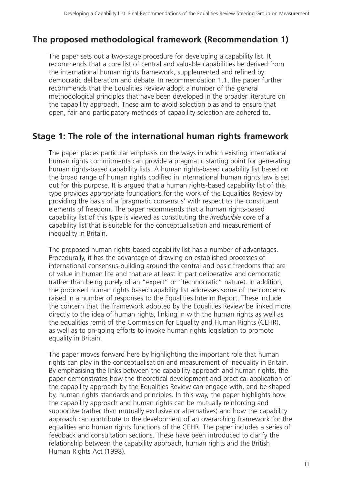# **The proposed methodological framework (Recommendation 1)**

The paper sets out a two-stage procedure for developing a capability list. It recommends that a core list of central and valuable capabilities be derived from the international human rights framework, supplemented and refined by democratic deliberation and debate. In recommendation 1.1, the paper further recommends that the Equalities Review adopt a number of the general methodological principles that have been developed in the broader literature on the capability approach. These aim to avoid selection bias and to ensure that open, fair and participatory methods of capability selection are adhered to.

# **Stage 1: The role of the international human rights framework**

The paper places particular emphasis on the ways in which existing international human rights commitments can provide a pragmatic starting point for generating human rights-based capability lists. A human rights-based capability list based on the broad range of human rights codified in international human rights law is set out for this purpose. It is argued that a human rights-based capability list of this type provides appropriate foundations for the work of the Equalities Review by providing the basis of a 'pragmatic consensus' with respect to the constituent elements of freedom. The paper recommends that a human rights-based capability list of this type is viewed as constituting the *irreducible core* of a capability list that is suitable for the conceptualisation and measurement of inequality in Britain.

The proposed human rights-based capability list has a number of advantages. Procedurally, it has the advantage of drawing on established processes of international consensus-building around the central and basic freedoms that are of value in human life and that are at least in part deliberative and democratic (rather than being purely of an "expert" or "technocratic" nature). In addition, the proposed human rights based capability list addresses some of the concerns raised in a number of responses to the Equalities Interim Report. These include the concern that the framework adopted by the Equalities Review be linked more directly to the idea of human rights, linking in with the human rights as well as the equalities remit of the Commission for Equality and Human Rights (CEHR), as well as to on-going efforts to invoke human rights legislation to promote equality in Britain.

The paper moves forward here by highlighting the important role that human rights can play in the conceptualisation and measurement of inequality in Britain. By emphasising the links between the capability approach and human rights, the paper demonstrates how the theoretical development and practical application of the capability approach by the Equalities Review can engage with, and be shaped by, human rights standards and principles. In this way, the paper highlights how the capability approach and human rights can be mutually reinforcing and supportive (rather than mutually exclusive or alternatives) and how the capability approach can contribute to the development of an overarching framework for the equalities and human rights functions of the CEHR. The paper includes a series of feedback and consultation sections. These have been introduced to clarify the relationship between the capability approach, human rights and the British Human Rights Act (1998).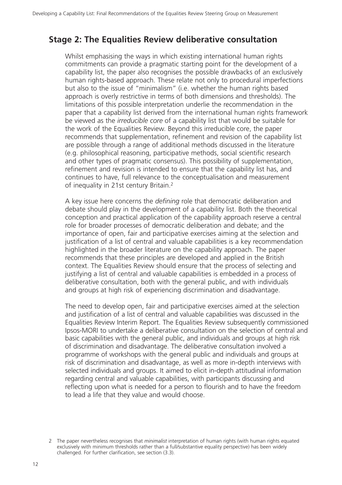# **Stage 2: The Equalities Review deliberative consultation**

Whilst emphasising the ways in which existing international human rights commitments can provide a pragmatic starting point for the development of a capability list, the paper also recognises the possible drawbacks of an exclusively human rights-based approach. These relate not only to procedural imperfections but also to the issue of "minimalism" (i.e. whether the human rights based approach is overly restrictive in terms of both dimensions and thresholds). The limitations of this possible interpretation underlie the recommendation in the paper that a capability list derived from the international human rights framework be viewed as the *irreducible core* of a capability list that would be suitable for the work of the Equalities Review. Beyond this irreducible core, the paper recommends that supplementation, refinement and revision of the capability list are possible through a range of additional methods discussed in the literature (e.g. philosophical reasoning, participative methods, social scientific research and other types of pragmatic consensus). This possibility of supplementation, refinement and revision is intended to ensure that the capability list has, and continues to have, full relevance to the conceptualisation and measurement of inequality in 21st century Britain.2

A key issue here concerns the *defining* role that democratic deliberation and debate should play in the development of a capability list. Both the theoretical conception and practical application of the capability approach reserve a central role for broader processes of democratic deliberation and debate; and the importance of open, fair and participative exercises aiming at the selection and justification of a list of central and valuable capabilities is a key recommendation highlighted in the broader literature on the capability approach. The paper recommends that these principles are developed and applied in the British context. The Equalities Review should ensure that the process of selecting and justifying a list of central and valuable capabilities is embedded in a process of deliberative consultation, both with the general public, and with individuals and groups at high risk of experiencing discrimination and disadvantage.

The need to develop open, fair and participative exercises aimed at the selection and justification of a list of central and valuable capabilities was discussed in the Equalities Review Interim Report. The Equalities Review subsequently commissioned Ipsos-MORI to undertake a deliberative consultation on the selection of central and basic capabilities with the general public, and individuals and groups at high risk of discrimination and disadvantage. The deliberative consultation involved a programme of workshops with the general public and individuals and groups at risk of discrimination and disadvantage, as well as more in-depth interviews with selected individuals and groups. It aimed to elicit in-depth attitudinal information regarding central and valuable capabilities, with participants discussing and reflecting upon what is needed for a person to flourish and to have the freedom to lead a life that they value and would choose.

<sup>2</sup> The paper nevertheless recognises that *minimalist* interpretation of human rights (with human rights equated exclusively with minimum thresholds rather than a full/substantive equality perspective) has been widely challenged. For further clarification, see section (3.3).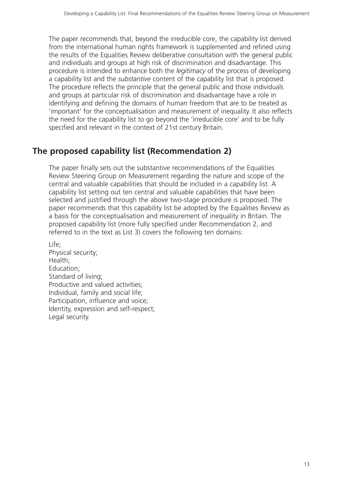The paper recommends that, beyond the irreducible core, the capability list derived from the international human rights framework is supplemented and refined using the results of the Equalities Review deliberative consultation with the general public and individuals and groups at high risk of discrimination and disadvantage. This procedure is intended to enhance both the *legitimacy* of the process of developing a capability list and the *substantive* content of the capability list that is proposed. The procedure reflects the principle that the general public and those individuals and groups at particular risk of discrimination and disadvantage have a role in identifying and defining the domains of human freedom that are to be treated as 'important' for the conceptualisation and measurement of inequality. It also reflects the need for the capability list to go beyond the 'irreducible core' and to be fully specified and relevant in the context of 21st century Britain.

# **The proposed capability list (Recommendation 2)**

The paper finally sets out the substantive recommendations of the Equalities Review Steering Group on Measurement regarding the nature and scope of the central and valuable capabilities that should be included in a capability list. A capability list setting out ten central and valuable capabilities that have been selected and justified through the above two-stage procedure is proposed. The paper recommends that this capability list be adopted by the Equalities Review as a basis for the conceptualisation and measurement of inequality in Britain. The proposed capability list (more fully specified under Recommendation 2, and referred to in the text as List 3) covers the following ten domains:

Life; Physical security; Health; Education; Standard of living; Productive and valued activities; Individual, family and social life; Participation, influence and voice; Identity, expression and self-respect; Legal security.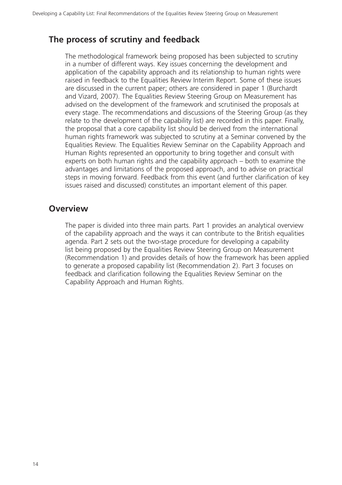# **The process of scrutiny and feedback**

The methodological framework being proposed has been subjected to scrutiny in a number of different ways. Key issues concerning the development and application of the capability approach and its relationship to human rights were raised in feedback to the Equalities Review Interim Report. Some of these issues are discussed in the current paper; others are considered in paper 1 (Burchardt and Vizard, 2007). The Equalities Review Steering Group on Measurement has advised on the development of the framework and scrutinised the proposals at every stage. The recommendations and discussions of the Steering Group (as they relate to the development of the capability list) are recorded in this paper. Finally, the proposal that a core capability list should be derived from the international human rights framework was subjected to scrutiny at a Seminar convened by the Equalities Review. The Equalities Review Seminar on the Capability Approach and Human Rights represented an opportunity to bring together and consult with experts on both human rights and the capability approach – both to examine the advantages and limitations of the proposed approach, and to advise on practical steps in moving forward. Feedback from this event (and further clarification of key issues raised and discussed) constitutes an important element of this paper.

# **Overview**

The paper is divided into three main parts. Part 1 provides an analytical overview of the capability approach and the ways it can contribute to the British equalities agenda. Part 2 sets out the two-stage procedure for developing a capability list being proposed by the Equalities Review Steering Group on Measurement (Recommendation 1) and provides details of how the framework has been applied to generate a proposed capability list (Recommendation 2). Part 3 focuses on feedback and clarification following the Equalities Review Seminar on the Capability Approach and Human Rights.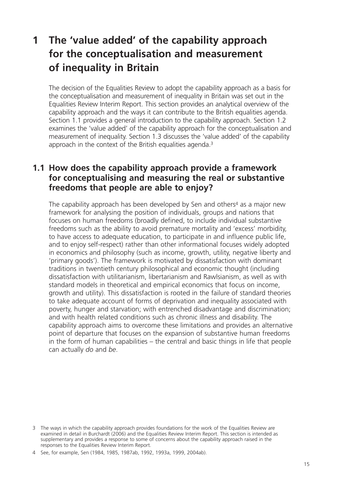# **1 The 'value added' of the capability approach for the conceptualisation and measurement of inequality in Britain**

The decision of the Equalities Review to adopt the capability approach as a basis for the conceptualisation and measurement of inequality in Britain was set out in the Equalities Review Interim Report. This section provides an analytical overview of the capability approach and the ways it can contribute to the British equalities agenda. Section 1.1 provides a general introduction to the capability approach. Section 1.2 examines the 'value added' of the capability approach for the conceptualisation and measurement of inequality. Section 1.3 discusses the 'value added' of the capability approach in the context of the British equalities agenda.<sup>3</sup>

# **1.1 How does the capability approach provide a framework for conceptualising and measuring the real or substantive freedoms that people are able to enjoy?**

The capability approach has been developed by Sen and others<sup>4</sup> as a major new framework for analysing the position of individuals, groups and nations that focuses on human freedoms (broadly defined, to include individual substantive freedoms such as the ability to avoid premature mortality and 'excess' morbidity, to have access to adequate education, to participate in and influence public life, and to enjoy self-respect) rather than other informational focuses widely adopted in economics and philosophy (such as income, growth, utility, negative liberty and 'primary goods'). The framework is motivated by dissatisfaction with dominant traditions in twentieth century philosophical and economic thought (including dissatisfaction with utilitarianism, libertarianism and Rawlsianism, as well as with standard models in theoretical and empirical economics that focus on income, growth and utility). This dissatisfaction is rooted in the failure of standard theories to take adequate account of forms of deprivation and inequality associated with poverty, hunger and starvation; with entrenched disadvantage and discrimination; and with health related conditions such as chronic illness and disability. The capability approach aims to overcome these limitations and provides an alternative point of departure that focuses on the expansion of substantive human freedoms in the form of human capabilities – the central and basic things in life that people can actually *do* and *be*.

<sup>3</sup> The ways in which the capability approach provides foundations for the work of the Equalities Review are examined in detail in Burchardt (2006) and the Equalities Review Interim Report. This section is intended as supplementary and provides a response to some of concerns about the capability approach raised in the responses to the Equalities Review Interim Report.

<sup>4</sup> See, for example, Sen (1984, 1985, 1987ab, 1992, 1993a, 1999, 2004ab).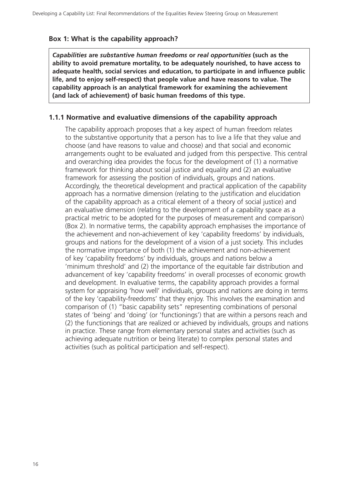#### **Box 1: What is the capability approach?**

*Capabilities* **are** *substantive human freedoms* **or** *real opportunities* **(such as the ability to avoid premature mortality, to be adequately nourished, to have access to adequate health, social services and education, to participate in and influence public life, and to enjoy self-respect) that people value and have reasons to value. The capability approach is an analytical framework for examining the achievement (and lack of achievement) of basic human freedoms of this type.**

#### **1.1.1 Normative and evaluative dimensions of the capability approach**

The capability approach proposes that a key aspect of human freedom relates to the substantive opportunity that a person has to live a life that they value and choose (and have reasons to value and choose) and that social and economic arrangements ought to be evaluated and judged from this perspective. This central and overarching idea provides the focus for the development of (1) a normative framework for thinking about social justice and equality and (2) an evaluative framework for assessing the position of individuals, groups and nations. Accordingly, the theoretical development and practical application of the capability approach has a normative dimension (relating to the justification and elucidation of the capability approach as a critical element of a theory of social justice) and an evaluative dimension (relating to the development of a capability space as a practical metric to be adopted for the purposes of measurement and comparison) (Box 2). In normative terms, the capability approach emphasises the importance of the achievement and non-achievement of key 'capability freedoms' by individuals, groups and nations for the development of a vision of a just society. This includes the normative importance of both (1) the achievement and non-achievement of key 'capability freedoms' by individuals, groups and nations below a 'minimum threshold' and (2) the importance of the equitable fair distribution and advancement of key 'capability freedoms' in overall processes of economic growth and development. In evaluative terms, the capability approach provides a formal system for appraising 'how well' individuals, groups and nations are doing in terms of the key 'capability-freedoms' that they enjoy. This involves the examination and comparison of (1) "basic capability sets" representing combinations of personal states of 'being' and 'doing' (or 'functionings') that are within a persons reach and (2) the functionings that are realized or achieved by individuals, groups and nations in practice. These range from elementary personal states and activities (such as achieving adequate nutrition or being literate) to complex personal states and activities (such as political participation and self-respect).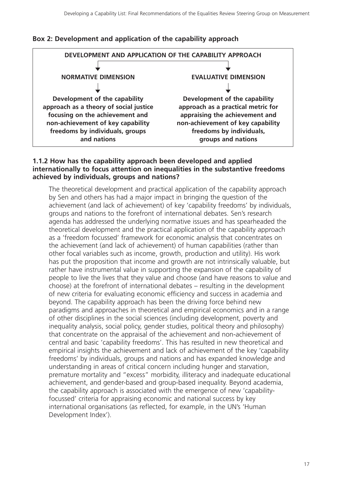



#### **1.1.2 How has the capability approach been developed and applied internationally to focus attention on inequalities in the substantive freedoms achieved by individuals, groups and nations?**

The theoretical development and practical application of the capability approach by Sen and others has had a major impact in bringing the question of the achievement (and lack of achievement) of key 'capability freedoms' by individuals, groups and nations to the forefront of international debates. Sen's research agenda has addressed the underlying normative issues and has spearheaded the theoretical development and the practical application of the capability approach as a 'freedom focussed' framework for economic analysis that concentrates on the achievement (and lack of achievement) of human capabilities (rather than other focal variables such as income, growth, production and utility). His work has put the proposition that income and growth are not intrinsically valuable, but rather have instrumental value in supporting the expansion of the capability of people to live the lives that they value and choose (and have reasons to value and choose) at the forefront of international debates – resulting in the development of new criteria for evaluating economic efficiency and success in academia and beyond. The capability approach has been the driving force behind new paradigms and approaches in theoretical and empirical economics and in a range of other disciplines in the social sciences (including development, poverty and inequality analysis, social policy, gender studies, political theory and philosophy) that concentrate on the appraisal of the achievement and non-achievement of central and basic 'capability freedoms'. This has resulted in new theoretical and empirical insights the achievement and lack of achievement of the key 'capability freedoms' by individuals, groups and nations and has expanded knowledge and understanding in areas of critical concern including hunger and starvation, premature mortality and "excess" morbidity, illiteracy and inadequate educational achievement, and gender-based and group-based inequality. Beyond academia, the capability approach is associated with the emergence of new 'capabilityfocussed' criteria for appraising economic and national success by key international organisations (as reflected, for example, in the UN's 'Human Development Index').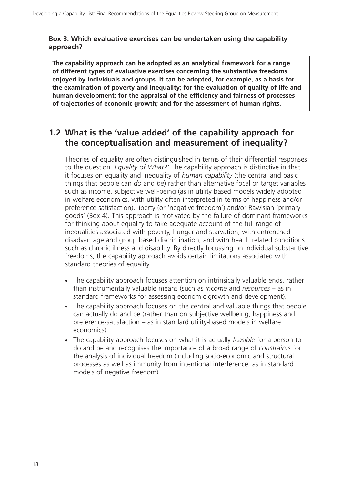#### **Box 3: Which evaluative exercises can be undertaken using the capability approach?**

**The capability approach can be adopted as an analytical framework for a range of different types of evaluative exercises concerning the substantive freedoms enjoyed by individuals and groups. It can be adopted, for example, as a basis for the examination of poverty and inequality; for the evaluation of quality of life and human development; for the appraisal of the efficiency and fairness of processes of trajectories of economic growth; and for the assessment of human rights.**

# **1.2 What is the 'value added' of the capability approach for the conceptualisation and measurement of inequality?**

Theories of equality are often distinguished in terms of their differential responses to the question *'Equality of What?'* The capability approach is distinctive in that it focuses on equality and inequality of *human capability* (the central and basic things that people can *do* and *be*) rather than alternative focal or target variables such as income, subjective well-being (as in utility based models widely adopted in welfare economics, with utility often interpreted in terms of happiness and/or preference satisfaction), liberty (or 'negative freedom') and/or Rawlsian 'primary goods' (Box 4). This approach is motivated by the failure of dominant frameworks for thinking about equality to take adequate account of the full range of inequalities associated with poverty, hunger and starvation; with entrenched disadvantage and group based discrimination; and with health related conditions such as chronic illness and disability. By directly focussing on individual substantive freedoms, the capability approach avoids certain limitations associated with standard theories of equality.

- The capability approach focuses attention on intrinsically valuable ends, rather than instrumentally valuable means (such as *income* and *resources* – as in standard frameworks for assessing economic growth and development).
- The capability approach focuses on the central and valuable things that people can actually do and be (rather than on subjective wellbeing, happiness and preference-satisfaction – as in standard utility-based models in welfare economics).
- The capability approach focuses on what it is actually *feasible* for a person to do and be and recognises the importance of a broad range of *constraints* for the analysis of individual freedom (including socio-economic and structural processes as well as immunity from intentional interference, as in standard models of negative freedom).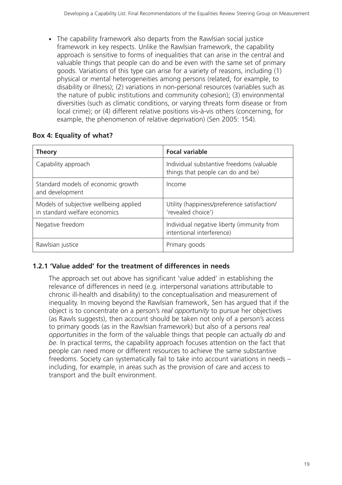- The capability framework also departs from the Rawlsian social justice framework in key respects. Unlike the Rawlsian framework, the capability approach is sensitive to forms of inequalities that can arise in the central and valuable things that people can do and be even with the same set of primary goods. Variations of this type can arise for a variety of reasons, including (1) physical or mental heterogeneities among persons (related, for example, to disability or illness); (2) variations in non-personal resources (variables such as the nature of public institutions and community cohesion); (3) environmental diversities (such as climatic conditions, or varying threats form disease or from local crime); or (4) different relative positions vis-à-vis others (concerning, for example, the phenomenon of relative deprivation) (Sen 2005: 154).

## **Box 4: Equality of what?**

| <b>Theory</b>                                                           | <b>Focal variable</b>                                                          |  |
|-------------------------------------------------------------------------|--------------------------------------------------------------------------------|--|
| Capability approach                                                     | Individual substantive freedoms (valuable<br>things that people can do and be) |  |
| Standard models of economic growth<br>and development                   | Income                                                                         |  |
| Models of subjective wellbeing applied<br>in standard welfare economics | Utility (happiness/preference satisfaction/<br>'revealed choice')              |  |
| Negative freedom                                                        | Individual negative liberty (immunity from<br>intentional interference)        |  |
| Rawlsian justice                                                        | Primary goods                                                                  |  |

## **1.2.1 'Value added' for the treatment of differences in needs**

The approach set out above has significant 'value added' in establishing the relevance of differences in need (e.g. interpersonal variations attributable to chronic ill-health and disability) to the conceptualisation and measurement of inequality. In moving beyond the Rawlsian framework, Sen has argued that if the object is to concentrate on a person's *real opportunity* to pursue her objectives (as Rawls suggests), then account should be taken not only of a person's access to primary goods (as in the Rawlsian framework) but also of a persons *real opportunities* in the form of the valuable things that people can actually *do* and *be*. In practical terms, the capability approach focuses attention on the fact that people can need more or different resources to achieve the same substantive freedoms. Society can systematically fail to take into account variations in needs – including, for example, in areas such as the provision of care and access to transport and the built environment.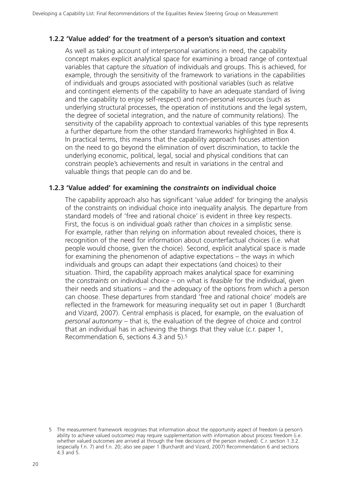#### **1.2.2 'Value added' for the treatment of a person's situation and context**

As well as taking account of interpersonal variations in need, the capability concept makes explicit analytical space for examining a broad range of contextual variables that capture the *situation* of individuals and groups. This is achieved, for example, through the sensitivity of the framework to variations in the capabilities of individuals and groups associated with positional variables (such as relative and contingent elements of the capability to have an adequate standard of living and the capability to enjoy self-respect) and non-personal resources (such as underlying structural processes, the operation of institutions and the legal system, the degree of societal integration, and the nature of community relations). The sensitivity of the capability approach to contextual variables of this type represents a further departure from the other standard frameworks highlighted in Box 4. In practical terms, this means that the capability approach focuses attention on the need to go beyond the elimination of overt discrimination, to tackle the underlying economic, political, legal, social and physical conditions that can constrain people's achievements and result in variations in the central and valuable things that people can do and be.

#### **1.2.3 'Value added' for examining the** *constraints* **on individual choice**

The capability approach also has significant 'value added' for bringing the analysis of the constraints on individual choice into inequality analysis. The departure from standard models of 'free and rational choice' is evident in three key respects. First, the focus is on individual *goals* rather than *choices* in a simplistic sense. For example, rather than relying on information about revealed choices, there is recognition of the need for information about counterfactual choices (i.e. what people would choose, given the choice). Second, explicit analytical space is made for examining the phenomenon of adaptive expectations – the ways in which individuals and groups can adapt their expectations (and choices) to their situation. Third, the capability approach makes analytical space for examining the *constraints* on individual choice – on what is *feasible* for the individual, given their needs and situations – and the *adequacy* of the options from which a person can choose. These departures from standard 'free and rational choice' models are reflected in the framework for measuring inequality set out in paper 1 (Burchardt and Vizard, 2007). Central emphasis is placed, for example, on the evaluation of *personal autonomy* – that is, the evaluation of the degree of choice and control that an individual has in achieving the things that they value (c.r. paper 1, Recommendation 6, sections 4.3 and 5).5

<sup>5</sup> The measurement framework recognises that information about the opportunity aspect of freedom (a person's ability to achieve valued outcomes) may require supplementation with information about process freedom (i.e. whether valued outcomes are arrived at through the free decisions of the person involved). C.r. section 1.3.2. (especially f.n. 7) and f.n. 20; also see paper 1 (Burchardt and Vizard, 2007) Recommendation 6 and sections 4.3 and 5.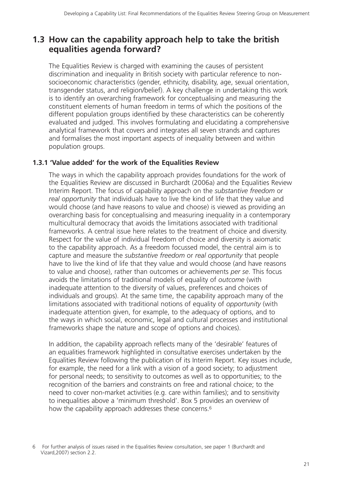# **1.3 How can the capability approach help to take the british equalities agenda forward?**

The Equalities Review is charged with examining the causes of persistent discrimination and inequality in British society with particular reference to nonsocioeconomic characteristics (gender, ethnicity, disability, age, sexual orientation, transgender status, and religion/belief). A key challenge in undertaking this work is to identify an overarching framework for conceptualising and measuring the constituent elements of human freedom in terms of which the positions of the different population groups identified by these characteristics can be coherently evaluated and judged. This involves formulating and elucidating a comprehensive analytical framework that covers and integrates all seven strands and captures and formalises the most important aspects of inequality between and within population groups.

### **1.3.1 'Value added' for the work of the Equalities Review**

The ways in which the capability approach provides foundations for the work of the Equalities Review are discussed in Burchardt (2006a) and the Equalities Review Interim Report. The focus of capability approach on the *substantive freedom* or *real opportunity* that individuals have to live the kind of life that they value and would choose (and have reasons to value and choose) is viewed as providing an overarching basis for conceptualising and measuring inequality in a contemporary multicultural democracy that avoids the limitations associated with traditional frameworks. A central issue here relates to the treatment of choice and diversity. Respect for the value of individual freedom of choice and diversity is axiomatic to the capability approach. As a freedom focussed model, the central aim is to capture and measure the *substantive freedom* or *real opportunity* that people have to live the kind of life that they value and would choose (and have reasons to value and choose), rather than outcomes or achievements *per se*. This focus avoids the limitations of traditional models of equality of *outcome* (with inadequate attention to the diversity of values, preferences and choices of individuals and groups). At the same time, the capability approach many of the limitations associated with traditional notions of equality of *opportunity* (with inadequate attention given, for example, to the adequacy of options, and to the ways in which social, economic, legal and cultural processes and institutional frameworks shape the nature and scope of options and choices).

In addition, the capability approach reflects many of the 'desirable' features of an equalities framework highlighted in consultative exercises undertaken by the Equalities Review following the publication of its Interim Report. Key issues include, for example, the need for a link with a vision of a good society; to adjustment for personal needs; to sensitivity to outcomes as well as to opportunities; to the recognition of the barriers and constraints on free and rational choice; to the need to cover non-market activities (e.g. care within families); and to sensitivity to inequalities above a 'minimum threshold'. Box 5 provides an overview of how the capability approach addresses these concerns.<sup>6</sup>

<sup>6</sup> For further analysis of issues raised in the Equalities Review consultation, see paper 1 (Burchardt and Vizard,2007) section 2.2.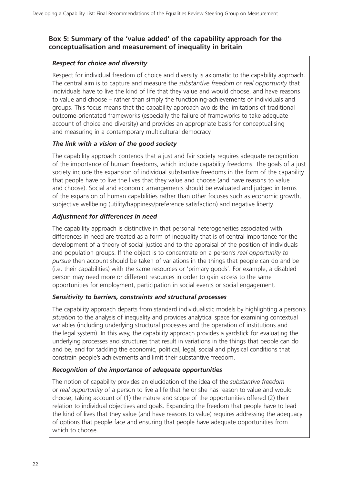### **Box 5: Summary of the 'value added' of the capability approach for the conceptualisation and measurement of inequality in britain**

#### *Respect for choice and diversity*

Respect for individual freedom of choice and diversity is axiomatic to the capability approach. The central aim is to capture and measure the *substantive freedom* or *real opportunity* that individuals have to live the kind of life that they value and would choose, and have reasons to value and choose – rather than simply the functioning-achievements of individuals and groups. This focus means that the capability approach avoids the limitations of traditional outcome-orientated frameworks (especially the failure of frameworks to take adequate account of choice and diversity) and provides an appropriate basis for conceptualising and measuring in a contemporary multicultural democracy.

#### *The link with a vision of the good society*

The capability approach contends that a just and fair society requires adequate recognition of the importance of human freedoms, which include capability freedoms. The goals of a just society include the expansion of individual substantive freedoms in the form of the capability that people have to live the lives that they value and choose (and have reasons to value and choose). Social and economic arrangements should be evaluated and judged in terms of the expansion of human capabilities rather than other focuses such as economic growth, subjective wellbeing (utility/happiness/preference satisfaction) and negative liberty.

#### *Adjustment for differences in need*

The capability approach is distinctive in that personal heterogeneities associated with differences in need are treated as a form of inequality that is of central importance for the development of a theory of social justice and to the appraisal of the position of individuals and population groups. If the object is to concentrate on a person's *real opportunity to pursue* then account should be taken of variations in the things that people can do and be (i.e. their capabilities) with the same resources or 'primary goods'. For example, a disabled person may need more or different resources in order to gain access to the same opportunities for employment, participation in social events or social engagement.

#### *Sensitivity to barriers, constraints and structural processes*

The capability approach departs from standard individualistic models by highlighting a person's *situation* to the analysis of inequality and provides analytical space for examining contextual variables (including underlying structural processes and the operation of institutions and the legal system). In this way, the capability approach provides a yardstick for evaluating the underlying processes and structures that result in variations in the things that people can do and be, and for tackling the economic, political, legal, social and physical conditions that constrain people's achievements and limit their substantive freedom.

#### *Recognition of the importance of adequate opportunities*

The notion of capability provides an elucidation of the idea of the *substantive freedom* or *real opportunity* of a person to live a life that he or she has reason to value and would choose, taking account of (1) the nature and scope of the opportunities offered (2) their relation to individual objectives and goals. Expanding the freedom that people have to lead the kind of lives that they value (and have reasons to value) requires addressing the adequacy of options that people face and ensuring that people have adequate opportunities from which to choose.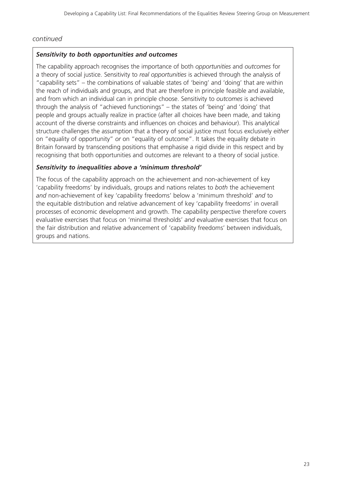#### *continued*

#### *Sensitivity to both opportunities and outcomes*

The capability approach recognises the importance of both *opportunities* and *outcomes* for a theory of social justice. Sensitivity to *real opportunities* is achieved through the analysis of "capability sets" – the combinations of valuable states of 'being' and 'doing' that are within the reach of individuals and groups, and that are therefore in principle feasible and available, and from which an individual can in principle choose. Sensitivity to *outcomes* is achieved through the analysis of "achieved functionings" – the states of 'being' and 'doing' that people and groups actually realize in practice (after all choices have been made, and taking account of the diverse constraints and influences on choices and behaviour). This analytical structure challenges the assumption that a theory of social justice must focus exclusively *either* on "equality of opportunity" *or* on "equality of outcome". It takes the equality debate in Britain forward by transcending positions that emphasise a rigid divide in this respect and by recognising that both opportunities and outcomes are relevant to a theory of social justice.

#### *Sensitivity to inequalities above a 'minimum threshold'*

The focus of the capability approach on the achievement and non-achievement of key 'capability freedoms' by individuals, groups and nations relates to *both* the achievement *and* non-achievement of key 'capability freedoms' below a 'minimum threshold' *and* to the equitable distribution and relative advancement of key 'capability freedoms' in overall processes of economic development and growth. The capability perspective therefore covers evaluative exercises that focus on 'minimal thresholds' *and* evaluative exercises that focus on the fair distribution and relative advancement of 'capability freedoms' between individuals, groups and nations.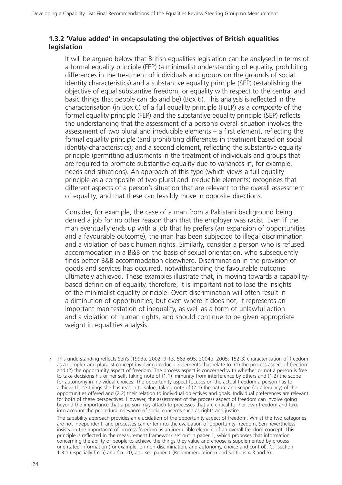### **1.3.2 'Value added' in encapsulating the objectives of British equalities legislation**

It will be argued below that British equalities legislation can be analysed in terms of a formal equality principle (FEP) (a minimalist understanding of equality, prohibiting differences in the treatment of individuals and groups on the grounds of social identity characteristics) and a substantive equality principle (SEP) (establishing the objective of equal substantive freedom, or equality with respect to the central and basic things that people can do and be) (Box 6). This analysis is reflected in the characterisation (in Box 6) of a full equality principle (FuEP) as a *composite* of the formal equality principle (FEP) and the substantive equality principle (SEP) reflects the understanding that the assessment of a person's overall situation involves the assessment of two plural and irreducible elements – a first element, reflecting the formal equality principle (and prohibiting differences in treatment based on social identity-characteristics); and a second element, reflecting the substantive equality principle (permitting adjustments in the treatment of individuals and groups that are required to promote substantive equality due to variances in, for example, needs and situations). An approach of this type (which views a full equality principle as a composite of two plural and irreducible elements) recognises that different aspects of a person's situation that are relevant to the overall assessment of equality; and that these can feasibly move in opposite directions.

Consider, for example, the case of a man from a Pakistani background being denied a job for no other reason than that the employer was racist. Even if the man eventually ends up with a job that he prefers (an expansion of opportunities and a favourable outcome), the man has been subjected to illegal discrimination and a violation of basic human rights. Similarly, consider a person who is refused accommodation in a B&B on the basis of sexual orientation, who subsequently finds better B&B accommodation elsewhere. Discrimination in the provision of goods and services has occurred, notwithstanding the favourable outcome ultimately achieved. These examples illustrate that, in moving towards a capabilitybased definition of equality, therefore, it is important not to lose the insights of the minimalist equality principle. Overt discrimination will often result in a diminution of opportunities; but even where it does not, it represents an important manifestation of inequality, as well as a form of unlawful action and a violation of human rights, and should continue to be given appropriate weight in equalities analysis.

7 This understanding reflects Sen's (1993a, 2002: 9-13, 583-695; 2004b; 2005: 152-3) characterisation of freedom as a complex and pluralist concept involving irreducible elements that relate to: (1) the process aspect of freedom and (2) the opportunity aspect of freedom. The process aspect is concerned with whether or not a person is free to take decisions his or her self, taking note of (1.1) immunity from interference by others and (1.2) the scope for autonomy in individual choices. The opportunity aspect focuses on the actual freedom a person has to achieve those things she has reason to value, taking note of (2.1) the nature and scope (or adequacy) of the opportunities offered and (2.2) their relation to individual objectives and goals. Individual preferences are relevant for both of these perspectives. However, the assessment of the process aspect of freedom can involve going beyond the importance that a person may attach to processes that are critical for her own freedom and take into account the procedural relevance of social concerns such as rights and justice.

The capability approach provides an elucidation of the opportunity aspect of freedom. Whilst the two categories are not independent, and processes can enter into the evaluation of opportunity-freedom, Sen nevertheless insists on the importance of process-freedom as an irreducible element of an overall freedom concept. This principle is reflected in the measurement framework set out in paper 1, which proposes that information concerning the ability of people to achieve the things they value and choose is supplemented by process orientated information (for example, on non-discimination, and autonomy, choice and control). C.r section 1.3.1 (especially f.n.5) and f.n. 20; also see paper 1 (Recommendation 6 and sections 4.3 and 5).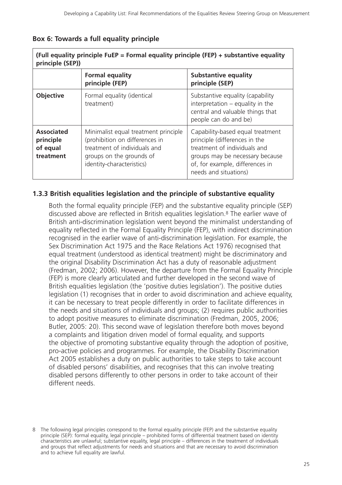#### **Box 6: Towards a full equality principle**

| (Full equality principle FuEP = Formal equality principle (FEP) + substantive equality<br>principle (SEP)) |                                                                                                                                                                 |                                                                                                                                                                                                  |  |  |
|------------------------------------------------------------------------------------------------------------|-----------------------------------------------------------------------------------------------------------------------------------------------------------------|--------------------------------------------------------------------------------------------------------------------------------------------------------------------------------------------------|--|--|
|                                                                                                            | <b>Formal equality</b><br>principle (FEP)                                                                                                                       | <b>Substantive equality</b><br>principle (SEP)                                                                                                                                                   |  |  |
| <b>Objective</b>                                                                                           | Formal equality (identical<br>treatment)                                                                                                                        | Substantive equality (capability<br>interpretation $-$ equality in the<br>central and valuable things that<br>people can do and be)                                                              |  |  |
| <b>Associated</b><br>principle<br>of equal<br>treatment                                                    | Minimalist equal treatment principle<br>(prohibition on differences in<br>treatment of individuals and<br>groups on the grounds of<br>identity-characteristics) | Capability-based equal treatment<br>principle (differences in the<br>treatment of individuals and<br>groups may be necessary because<br>of, for example, differences in<br>needs and situations) |  |  |

#### **1.3.3 British equalities legislation and the principle of substantive equality**

Both the formal equality principle (FEP) and the substantive equality principle (SEP) discussed above are reflected in British equalities legislation.8 The earlier wave of British anti-discrimination legislation went beyond the minimalist understanding of equality reflected in the Formal Equality Principle (FEP), with indirect discrimination recognised in the earlier wave of anti-discrimination legislation. For example, the Sex Discrimination Act 1975 and the Race Relations Act 1976) recognised that equal treatment (understood as identical treatment) might be discriminatory and the original Disability Discrimination Act has a duty of reasonable adjustment (Fredman, 2002; 2006). However, the departure from the Formal Equality Principle (FEP) is more clearly articulated and further developed in the second wave of British equalities legislation (the 'positive duties legislation'). The positive duties legislation (1) recognises that in order to avoid discrimination and achieve equality, it can be necessary to treat people differently in order to facilitate differences in the needs and situations of individuals and groups; (2) requires public authorities to adopt positive measures to eliminate discrimination (Fredman, 2005, 2006; Butler, 2005: 20). This second wave of legislation therefore both moves beyond a complaints and litigation driven model of formal equality, and supports the objective of promoting substantive equality through the adoption of positive, pro-active policies and programmes. For example, the Disability Discrimination Act 2005 establishes a duty on public authorities to take steps to take account of disabled persons' disabilities, and recognises that this can involve treating disabled persons differently to other persons in order to take account of their different needs.

<sup>8</sup> The following legal principles correspond to the formal equality principle (FEP) and the substantive equality principle (SEP): formal equality, legal principle – prohibited forms of differential treatment based on identity characteristics are unlawful; substantive equality, legal principle – differences in the treatment of individuals and groups that reflect adjustments for needs and situations and that are necessary to avoid discrimination and to achieve full equality are lawful.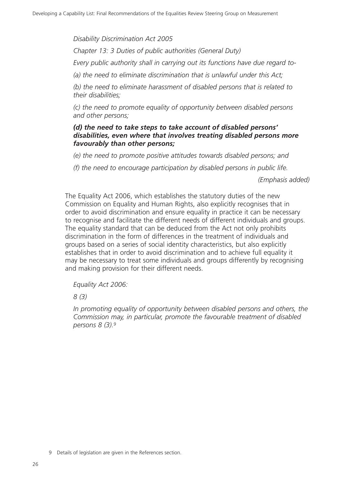*Disability Discrimination Act 2005*

*Chapter 13: 3 Duties of public authorities (General Duty)*

*Every public authority shall in carrying out its functions have due regard to-*

*(a) the need to eliminate discrimination that is unlawful under this Act;*

*(b) the need to eliminate harassment of disabled persons that is related to their disabilities;*

*(c) the need to promote equality of opportunity between disabled persons and other persons;*

#### *(d) the need to take steps to take account of disabled persons' disabilities, even where that involves treating disabled persons more favourably than other persons;*

*(e) the need to promote positive attitudes towards disabled persons; and*

*(f) the need to encourage participation by disabled persons in public life.*

*(Emphasis added)*

The Equality Act 2006, which establishes the statutory duties of the new Commission on Equality and Human Rights, also explicitly recognises that in order to avoid discrimination and ensure equality in practice it can be necessary to recognise and facilitate the different needs of different individuals and groups. The equality standard that can be deduced from the Act not only prohibits discrimination in the form of differences in the treatment of individuals and groups based on a series of social identity characteristics, but also explicitly establishes that in order to avoid discrimination and to achieve full equality it may be necessary to treat some individuals and groups differently by recognising and making provision for their different needs.

*Equality Act 2006:*

*8 (3)*

*In promoting equality of opportunity between disabled persons and others, the Commission may, in particular, promote the favourable treatment of disabled persons 8 (3).9*

<sup>9</sup> Details of legislation are given in the References section.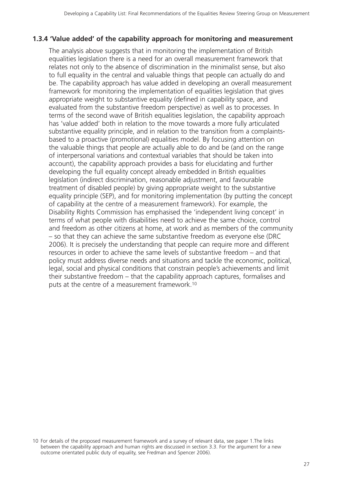### **1.3.4 'Value added' of the capability approach for monitoring and measurement**

The analysis above suggests that in monitoring the implementation of British equalities legislation there is a need for an overall measurement framework that relates not only to the absence of discrimination in the minimalist sense, but also to full equality in the central and valuable things that people can actually do and be. The capability approach has value added in developing an overall measurement framework for monitoring the implementation of equalities legislation that gives appropriate weight to substantive equality (defined in capability space, and evaluated from the substantive freedom perspective) as well as to processes. In terms of the second wave of British equalities legislation, the capability approach has 'value added' both in relation to the move towards a more fully articulated substantive equality principle, and in relation to the transition from a complaintsbased to a proactive (promotional) equalities model. By focusing attention on the valuable things that people are actually able to do and be (and on the range of interpersonal variations and contextual variables that should be taken into account), the capability approach provides a basis for elucidating and further developing the full equality concept already embedded in British equalities legislation (indirect discrimination, reasonable adjustment, and favourable treatment of disabled people) by giving appropriate weight to the substantive equality principle (SEP), and for monitoring implementation (by putting the concept of capability at the centre of a measurement framework). For example, the Disability Rights Commission has emphasised the 'independent living concept' in terms of what people with disabilities need to achieve the same choice, control and freedom as other citizens at home, at work and as members of the community – so that they can achieve the same substantive freedom as everyone else (DRC 2006). It is precisely the understanding that people can require more and different resources in order to achieve the same levels of substantive freedom – and that policy must address diverse needs and situations and tackle the economic, political, legal, social and physical conditions that constrain people's achievements and limit their substantive freedom – that the capability approach captures, formalises and puts at the centre of a measurement framework.10

<sup>10</sup> For details of the proposed measurement framework and a survey of relevant data, see paper 1.The links between the capability approach and human rights are discussed in section 3.3. For the argument for a new outcome orientated public duty of equality, see Fredman and Spencer 2006).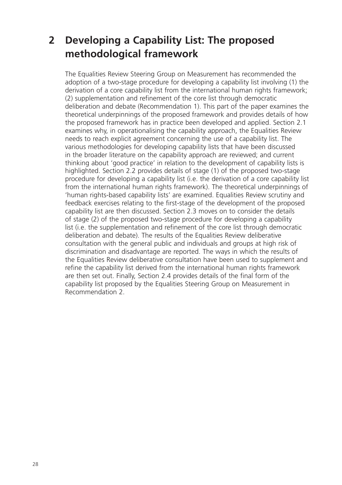# **2 Developing a Capability List: The proposed methodological framework**

The Equalities Review Steering Group on Measurement has recommended the adoption of a two-stage procedure for developing a capability list involving (1) the derivation of a core capability list from the international human rights framework; (2) supplementation and refinement of the core list through democratic deliberation and debate (Recommendation 1). This part of the paper examines the theoretical underpinnings of the proposed framework and provides details of how the proposed framework has in practice been developed and applied. Section 2.1 examines why, in operationalising the capability approach, the Equalities Review needs to reach explicit agreement concerning the use of a capability list. The various methodologies for developing capability lists that have been discussed in the broader literature on the capability approach are reviewed; and current thinking about 'good practice' in relation to the development of capability lists is highlighted. Section 2.2 provides details of stage (1) of the proposed two-stage procedure for developing a capability list (i.e. the derivation of a core capability list from the international human rights framework). The theoretical underpinnings of 'human rights-based capability lists' are examined. Equalities Review scrutiny and feedback exercises relating to the first-stage of the development of the proposed capability list are then discussed. Section 2.3 moves on to consider the details of stage (2) of the proposed two-stage procedure for developing a capability list (i.e. the supplementation and refinement of the core list through democratic deliberation and debate). The results of the Equalities Review deliberative consultation with the general public and individuals and groups at high risk of discrimination and disadvantage are reported. The ways in which the results of the Equalities Review deliberative consultation have been used to supplement and refine the capability list derived from the international human rights framework are then set out. Finally, Section 2.4 provides details of the final form of the capability list proposed by the Equalities Steering Group on Measurement in Recommendation 2.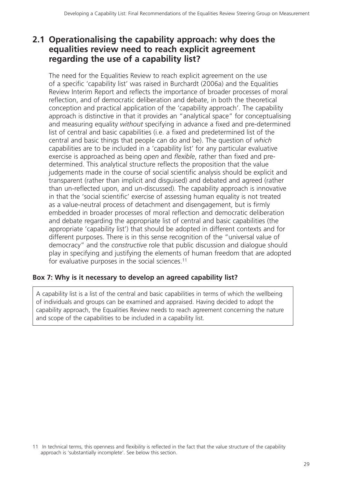# **2.1 Operationalising the capability approach: why does the equalities review need to reach explicit agreement regarding the use of a capability list?**

The need for the Equalities Review to reach explicit agreement on the use of a specific 'capability list' was raised in Burchardt (2006a) and the Equalities Review Interim Report and reflects the importance of broader processes of moral reflection, and of democratic deliberation and debate, in both the theoretical conception and practical application of the 'capability approach'. The capability approach is distinctive in that it provides an "analytical space" for conceptualising and measuring equality *without* specifying in advance a fixed and pre-determined list of central and basic capabilities (i.e. a fixed and predetermined list of the central and basic things that people can do and be). The question of *which* capabilities are to be included in a 'capability list' for any particular evaluative exercise is approached as being *open* and *flexible*, rather than fixed and predetermined. This analytical structure reflects the proposition that the value judgements made in the course of social scientific analysis should be explicit and transparent (rather than implicit and disguised) and debated and agreed (rather than un-reflected upon, and un-discussed). The capability approach is innovative in that the 'social scientific' exercise of assessing human equality is not treated as a value-neutral process of detachment and disengagement, but is firmly embedded in broader processes of moral reflection and democratic deliberation and debate regarding the appropriate list of central and basic capabilities (the appropriate 'capability list') that should be adopted in different contexts and for different purposes. There is in this sense recognition of the "universal value of democracy" and the *constructive* role that public discussion and dialogue should play in specifying and justifying the elements of human freedom that are adopted for evaluative purposes in the social sciences.<sup>11</sup>

### **Box 7: Why is it necessary to develop an agreed capability list?**

A capability list is a list of the central and basic capabilities in terms of which the wellbeing of individuals and groups can be examined and appraised. Having decided to adopt the capability approach, the Equalities Review needs to reach agreement concerning the nature and scope of the capabilities to be included in a capability list.

<sup>11</sup> In technical terms, this openness and flexibility is reflected in the fact that the value structure of the capability approach is 'substantially incomplete'. See below this section.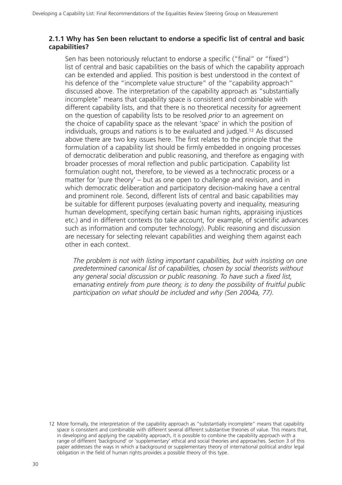### **2.1.1 Why has Sen been reluctant to endorse a specific list of central and basic capabilities?**

Sen has been notoriously reluctant to endorse a specific ("final" or "fixed") list of central and basic capabilities on the basis of which the capability approach can be extended and applied. This position is best understood in the context of his defence of the "incomplete value structure" of the "capability approach" discussed above. The interpretation of the capability approach as "substantially incomplete" means that capability space is consistent and combinable with different capability lists, and that there is no theoretical necessity for agreement on the question of capability lists to be resolved *prior* to an agreement on the choice of capability space as the relevant 'space' in which the position of individuals, groups and nations is to be evaluated and judged.12 As discussed above there are two key issues here. The first relates to the principle that the formulation of a capability list should be firmly embedded in ongoing processes of democratic deliberation and public reasoning, and therefore as engaging with broader processes of moral reflection and public participation. Capability list formulation ought not, therefore, to be viewed as a technocratic process or a matter for 'pure theory' – but as one open to challenge and revision, and in which democratic deliberation and participatory decision-making have a central and prominent role. Second, different lists of central and basic capabilities may be suitable for different purposes (evaluating poverty and inequality, measuring human development, specifying certain basic human rights, appraising injustices etc.) and in different contexts (to take account, for example, of scientific advances such as information and computer technology). Public reasoning and discussion are necessary for selecting relevant capabilities and weighing them against each other in each context.

*The problem is not with listing important capabilities, but with insisting on one predetermined canonical list of capabilities, chosen by social theorists without any general social discussion or public reasoning. To have such a fixed list, emanating entirely from pure theory, is to deny the possibility of fruitful public participation on what should be included and why (Sen 2004a, 77).*

<sup>12</sup> More formally, the interpretation of the capability approach as "substantially incomplete" means that capability space is consistent and combinable with different several different substantive theories of value. This means that, in developing and applying the capability approach, it is possible to combine the capability approach with a range of different 'background' or 'supplementary' ethical and social theories and approaches. Section 3 of this paper addresses the ways in which a background or supplementary theory of international political and/or legal obligation in the field of human rights provides a possible theory of this type.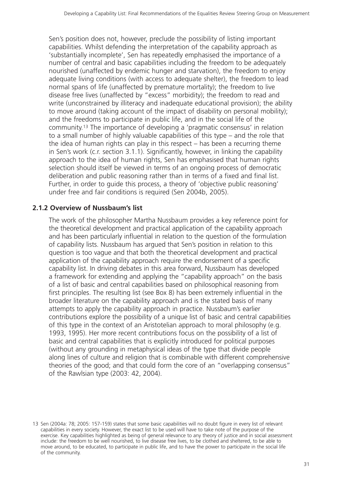Sen's position does not, however, preclude the possibility of listing important capabilities. Whilst defending the interpretation of the capability approach as 'substantially incomplete', Sen has repeatedly emphasised the importance of a number of central and basic capabilities including the freedom to be adequately nourished (unaffected by endemic hunger and starvation), the freedom to enjoy adequate living conditions (with access to adequate shelter), the freedom to lead normal spans of life (unaffected by premature mortality); the freedom to live disease free lives (unaffected by "excess" morbidity); the freedom to read and write (unconstrained by illiteracy and inadequate educational provision); the ability to move around (taking account of the impact of disability on personal mobility); and the freedoms to participate in public life, and in the social life of the community.13 The importance of developing a 'pragmatic consensus' in relation to a small number of highly valuable capabilities of this type – and the role that the idea of human rights can play in this respect – has been a recurring theme in Sen's work (c.r. section 3.1.1). Significantly, however, in linking the capability approach to the idea of human rights, Sen has emphasised that human rights selection should itself be viewed in terms of an ongoing process of democratic deliberation and public reasoning rather than in terms of a fixed and final list. Further, in order to guide this process, a theory of 'objective public reasoning' under free and fair conditions is required (Sen 2004b, 2005).

### **2.1.2 Overview of Nussbaum's list**

The work of the philosopher Martha Nussbaum provides a key reference point for the theoretical development and practical application of the capability approach and has been particularly influential in relation to the question of the formulation of capability lists. Nussbaum has argued that Sen's position in relation to this question is too vague and that both the theoretical development and practical application of the capability approach require the endorsement of a specific capability list. In driving debates in this area forward, Nussbaum has developed a framework for extending and applying the "capability approach" on the basis of a list of basic and central capabilities based on philosophical reasoning from first principles. The resulting list (see Box 8) has been extremely influential in the broader literature on the capability approach and is the stated basis of many attempts to apply the capability approach in practice. Nussbaum's earlier contributions explore the possibility of a unique list of basic and central capabilities of this type in the context of an Aristotelian approach to moral philosophy (e.g. 1993, 1995). Her more recent contributions focus on the possibility of a list of basic and central capabilities that is explicitly introduced for political purposes (without any grounding in metaphysical ideas of the type that divide people along lines of culture and religion that is combinable with different comprehensive theories of the good; and that could form the core of an "overlapping consensus" of the Rawlsian type (2003: 42, 2004).

<sup>13</sup> Sen (2004a: 78; 2005: 157-159) states that some basic capabilities will no doubt figure in every list of relevant capabilities in every society. However, the exact list to be used will have to take note of the purpose of the exercise. Key capabilities highlighted as being of general relevance to any theory of justice and in social assessment include: the freedom to be well nourished, to live disease free lives, to be clothed and sheltered, to be able to move around, to be educated, to participate in public life, and to have the power to participate in the social life of the community.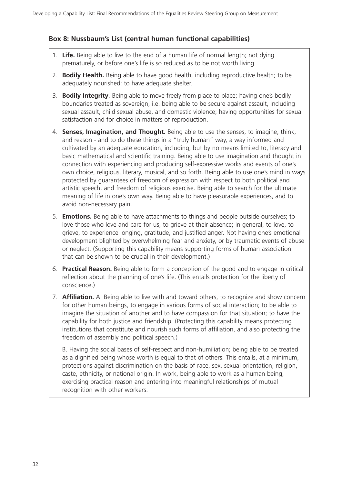### **Box 8: Nussbaum's List (central human functional capabilities)**

- 1. **Life.** Being able to live to the end of a human life of normal length; not dying prematurely, or before one's life is so reduced as to be not worth living.
- 2. **Bodily Health.** Being able to have good health, including reproductive health; to be adequately nourished; to have adequate shelter.
- 3. **Bodily Integrity**. Being able to move freely from place to place; having one's bodily boundaries treated as sovereign, i.e. being able to be secure against assault, including sexual assault, child sexual abuse, and domestic violence; having opportunities for sexual satisfaction and for choice in matters of reproduction.
- 4. **Senses, Imagination, and Thought.** Being able to use the senses, to imagine, think, and reason - and to do these things in a "truly human" way, a way informed and cultivated by an adequate education, including, but by no means limited to, literacy and basic mathematical and scientific training. Being able to use imagination and thought in connection with experiencing and producing self-expressive works and events of one's own choice, religious, literary, musical, and so forth. Being able to use one's mind in ways protected by guarantees of freedom of expression with respect to both political and artistic speech, and freedom of religious exercise. Being able to search for the ultimate meaning of life in one's own way. Being able to have pleasurable experiences, and to avoid non-necessary pain.
- 5. **Emotions.** Being able to have attachments to things and people outside ourselves; to love those who love and care for us, to grieve at their absence; in general, to love, to grieve, to experience longing, gratitude, and justified anger. Not having one's emotional development blighted by overwhelming fear and anxiety, or by traumatic events of abuse or neglect. (Supporting this capability means supporting forms of human association that can be shown to be crucial in their development.)
- 6. **Practical Reason.** Being able to form a conception of the good and to engage in critical reflection about the planning of one's life. (This entails protection for the liberty of conscience.)
- 7. **Affiliation.** A. Being able to live with and toward others, to recognize and show concern for other human beings, to engage in various forms of social interaction; to be able to imagine the situation of another and to have compassion for that situation; to have the capability for both justice and friendship. (Protecting this capability means protecting institutions that constitute and nourish such forms of affiliation, and also protecting the freedom of assembly and political speech.)

B. Having the social bases of self-respect and non-humiliation; being able to be treated as a dignified being whose worth is equal to that of others. This entails, at a minimum, protections against discrimination on the basis of race, sex, sexual orientation, religion, caste, ethnicity, or national origin. In work, being able to work as a human being, exercising practical reason and entering into meaningful relationships of mutual recognition with other workers.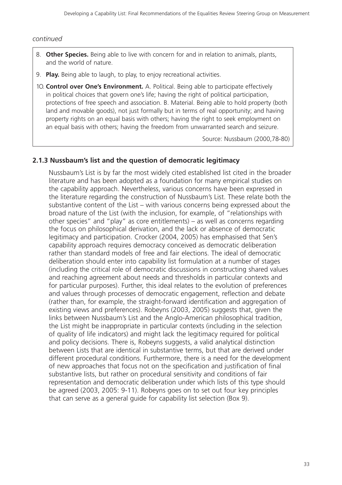- 8. **Other Species.** Being able to live with concern for and in relation to animals, plants, and the world of nature.
- 9. **Play.** Being able to laugh, to play, to enjoy recreational activities.
- 1O. **Control over One's Environment.** A. Political. Being able to participate effectively in political choices that govern one's life; having the right of political participation, protections of free speech and association. B. Material. Being able to hold property (both land and movable goods), not just formally but in terms of real opportunity; and having property rights on an equal basis with others; having the right to seek employment on an equal basis with others; having the freedom from unwarranted search and seizure.

Source: Nussbaum (2000,78-80)

#### **2.1.3 Nussbaum's list and the question of democratic legitimacy**

Nussbaum's List is by far the most widely cited established list cited in the broader literature and has been adopted as a foundation for many empirical studies on the capability approach. Nevertheless, various concerns have been expressed in the literature regarding the construction of Nussbaum's List. These relate both the substantive content of the List – with various concerns being expressed about the broad nature of the List (with the inclusion, for example, of "relationships with other species" and "play" as core entitlements) – as well as concerns regarding the focus on philosophical derivation, and the lack or absence of democratic legitimacy and participation. Crocker (2004, 2005) has emphasised that Sen's capability approach requires democracy conceived as democratic deliberation rather than standard models of free and fair elections. The ideal of democratic deliberation should enter into capability list formulation at a number of stages (including the critical role of democratic discussions in constructing shared values and reaching agreement about needs and thresholds in particular contexts and for particular purposes). Further, this ideal relates to the evolution of preferences and values through processes of democratic engagement, reflection and debate (rather than, for example, the straight-forward identification and aggregation of existing views and preferences). Robeyns (2003, 2005) suggests that, given the links between Nussbaum's List and the Anglo-American philosophical tradition, the List might be inappropriate in particular contexts (including in the selection of quality of life indicators) and might lack the legitimacy required for political and policy decisions. There is, Robeyns suggests, a valid analytical distinction between Lists that are identical in substantive terms, but that are derived under different procedural conditions. Furthermore, there is a need for the development of new approaches that focus not on the specification and justification of final substantive lists, but rather on procedural sensitivity and conditions of fair representation and democratic deliberation under which lists of this type should be agreed (2003, 2005: 9-11). Robeyns goes on to set out four key principles that can serve as a general guide for capability list selection (Box 9).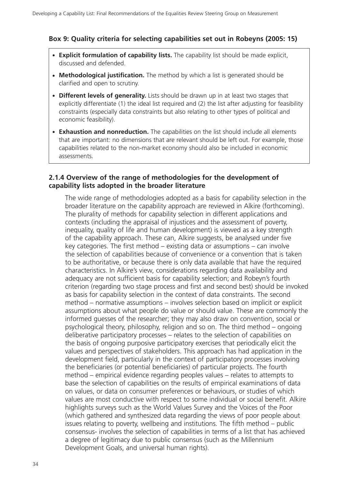#### **Box 9: Quality criteria for selecting capabilities set out in Robeyns (2005: 15)**

- **Explicit formulation of capability lists.** The capability list should be made explicit, discussed and defended.
- **Methodological justification.** The method by which a list is generated should be clarified and open to scrutiny.
- **Different levels of generality.** Lists should be drawn up in at least two stages that explicitly differentiate (1) the ideal list required and (2) the list after adjusting for feasibility constraints (especially data constraints but also relating to other types of political and economic feasibility).
- **Exhaustion and nonreduction.** The capabilities on the list should include all elements that are important: no dimensions that are relevant should be left out. For example, those capabilities related to the non-market economy should also be included in economic assessments.

#### **2.1.4 Overview of the range of methodologies for the development of capability lists adopted in the broader literature**

The wide range of methodologies adopted as a basis for capability selection in the broader literature on the capability approach are reviewed in Alkire (forthcoming). The plurality of methods for capability selection in different applications and contexts (including the appraisal of injustices and the assessment of poverty, inequality, quality of life and human development) is viewed as a key strength of the capability approach. These can, Alkire suggests, be analysed under five key categories. The first method – existing data or assumptions – can involve the selection of capabilities because of convenience or a convention that is taken to be authoritative, or because there is only data available that have the required characteristics. In Alkire's view, considerations regarding data availability and adequacy are not sufficient basis for capability selection; and Robeyn's fourth criterion (regarding two stage process and first and second best) should be invoked as basis for capability selection in the context of data constraints. The second method – normative assumptions – involves selection based on implicit or explicit assumptions about what people do value or should value. These are commonly the informed guesses of the researcher; they may also draw on convention, social or psychological theory, philosophy, religion and so on. The third method – ongoing deliberative participatory processes – relates to the selection of capabilities on the basis of ongoing purposive participatory exercises that periodically elicit the values and perspectives of stakeholders. This approach has had application in the development field, particularly in the context of participatory processes involving the beneficiaries (or potential beneficiaries) of particular projects. The fourth method – empirical evidence regarding peoples values – relates to attempts to base the selection of capabilities on the results of empirical examinations of data on values, or data on consumer preferences or behaviours, or studies of which values are most conductive with respect to some individual or social benefit. Alkire highlights surveys such as the World Values Survey and the Voices of the Poor (which gathered and synthesized data regarding the views of poor people about issues relating to poverty, wellbeing and institutions. The fifth method – public consensus- involves the selection of capabilities in terms of a list that has achieved a degree of legitimacy due to public consensus (such as the Millennium Development Goals, and universal human rights).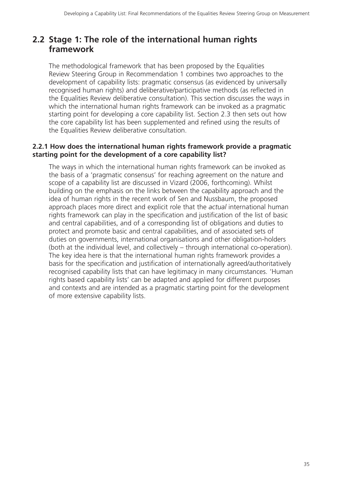# **2.2 Stage 1: The role of the international human rights framework**

The methodological framework that has been proposed by the Equalities Review Steering Group in Recommendation 1 combines two approaches to the development of capability lists: pragmatic consensus (as evidenced by universally recognised human rights) and deliberative/participative methods (as reflected in the Equalities Review deliberative consultation). This section discusses the ways in which the international human rights framework can be invoked as a pragmatic starting point for developing a core capability list. Section 2.3 then sets out how the core capability list has been supplemented and refined using the results of the Equalities Review deliberative consultation.

#### **2.2.1 How does the international human rights framework provide a pragmatic starting point for the development of a core capability list?**

The ways in which the international human rights framework can be invoked as the basis of a 'pragmatic consensus' for reaching agreement on the nature and scope of a capability list are discussed in Vizard (2006, forthcoming). Whilst building on the emphasis on the links between the capability approach and the idea of human rights in the recent work of Sen and Nussbaum, the proposed approach places more direct and explicit role that the *actual* international human rights framework can play in the specification and justification of the list of basic and central capabilities, and of a corresponding list of obligations and duties to protect and promote basic and central capabilities, and of associated sets of duties on governments, international organisations and other obligation-holders (both at the individual level, and collectively – through international co-operation). The key idea here is that the international human rights framework provides a basis for the specification and justification of internationally agreed/authoritatively recognised capability lists that can have legitimacy in many circumstances. 'Human rights based capability lists' can be adapted and applied for different purposes and contexts and are intended as a pragmatic starting point for the development of more extensive capability lists.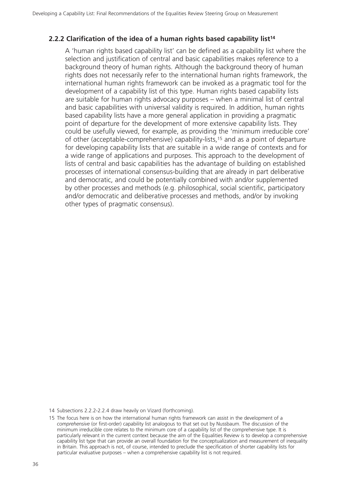#### **2.2.2 Clarification of the idea of a human rights based capability list14**

A 'human rights based capability list' can be defined as a capability list where the selection and justification of central and basic capabilities makes reference to a background theory of human rights. Although the background theory of human rights does not necessarily refer to the international human rights framework, the international human rights framework can be invoked as a pragmatic tool for the development of a capability list of this type. Human rights based capability lists are suitable for human rights advocacy purposes – when a minimal list of central and basic capabilities with universal validity is required. In addition, human rights based capability lists have a more general application in providing a pragmatic point of departure for the development of more extensive capability lists. They could be usefully viewed, for example, as providing the 'minimum irreducible core' of other (acceptable-comprehensive) capability-lists,15 and as a point of departure for developing capability lists that are suitable in a wide range of contexts and for a wide range of applications and purposes. This approach to the development of lists of central and basic capabilities has the advantage of building on established processes of international consensus-building that are already in part deliberative and democratic, and could be potentially combined with and/or supplemented by other processes and methods (e.g. philosophical, social scientific, participatory and/or democratic and deliberative processes and methods, and/or by invoking other types of pragmatic consensus).

14 Subsections 2.2.2-2.2.4 draw heavily on Vizard (forthcoming).

<sup>15</sup> The focus here is on how the international human rights framework can assist in the development of a *comprehensive* (or first-order) capability list analogous to that set out by Nussbaum. The discussion of the minimum irreducible core relates to the minimum core of a capability list of the comprehensive type. It is particularly relevant in the current context because the aim of the Equalities Review is to develop a comprehensive capability list type that can provide an overall foundation for the conceptualization and measurement of inequality in Britain. This approach is not, of course, intended to preclude the specification of shorter capability lists for particular evaluative purposes – when a comprehensive capability list is not required.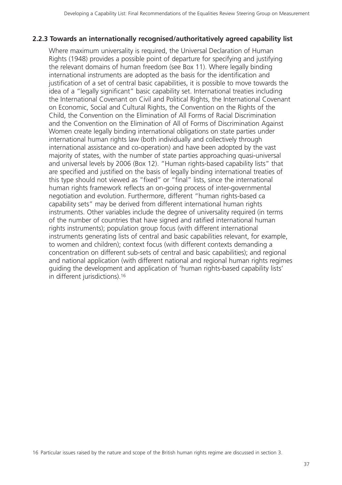#### **2.2.3 Towards an internationally recognised/authoritatively agreed capability list**

Where maximum universality is required, the Universal Declaration of Human Rights (1948) provides a possible point of departure for specifying and justifying the relevant domains of human freedom (see Box 11). Where legally binding international instruments are adopted as the basis for the identification and justification of a set of central basic capabilities, it is possible to move towards the idea of a "legally significant" basic capability set. International treaties including the International Covenant on Civil and Political Rights, the International Covenant on Economic, Social and Cultural Rights, the Convention on the Rights of the Child, the Convention on the Elimination of All Forms of Racial Discrimination and the Convention on the Elimination of All of Forms of Discrimination Against Women create legally binding international obligations on state parties under international human rights law (both individually and collectively through international assistance and co-operation) and have been adopted by the vast majority of states, with the number of state parties approaching quasi-universal and universal levels by 2006 (Box 12). "Human rights-based capability lists" that are specified and justified on the basis of legally binding international treaties of this type should not viewed as "fixed" or "final" lists, since the international human rights framework reflects an on-going process of inter-governmental negotiation and evolution. Furthermore, different "human rights-based ca capability sets" may be derived from different international human rights instruments. Other variables include the degree of universality required (in terms of the number of countries that have signed and ratified international human rights instruments); population group focus (with different international instruments generating lists of central and basic capabilities relevant, for example, to women and children); context focus (with different contexts demanding a concentration on different sub-sets of central and basic capabilities); and regional and national application (with different national and regional human rights regimes guiding the development and application of 'human rights-based capability lists' in different jurisdictions).16

16 Particular issues raised by the nature and scope of the British human rights regime are discussed in section 3.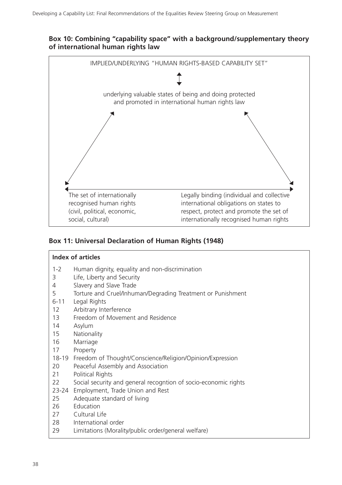#### **Box 10: Combining "capability space" with a background/supplementary theory of international human rights law**



## **Box 11: Universal Declaration of Human Rights (1948)**

#### **Index of articles**

- 1-2 Human dignity, equality and non-discrimination
- 3 Life, Liberty and Security
- 4 Slavery and Slave Trade
- 5 Torture and Cruel/Inhuman/Degrading Treatment or Punishment
- 6-11 Legal Rights
- 12 Arbitrary Interference
- 13 Freedom of Movement and Residence
- 14 Asylum
- 15 Nationality
- 16 Marriage
- 17 Property
- 18-19 Freedom of Thought/Conscience/Religion/Opinion/Expression
- 20 Peaceful Assembly and Association
- 21 Political Rights
- 22 Social security and general recogntion of socio-economic rights
- 23-24 Employment, Trade Union and Rest
- 25 Adequate standard of living
- 26 Education
- 27 Cultural Life
- 28 International order
- 29 Limitations (Morality/public order/general welfare)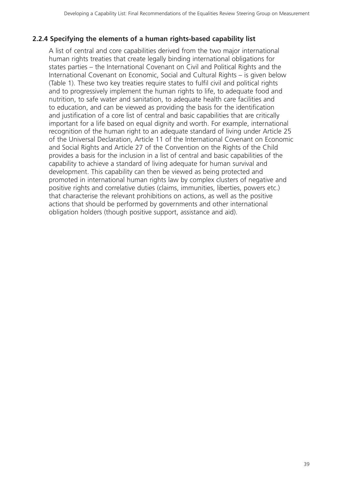## **2.2.4 Specifying the elements of a human rights-based capability list**

A list of central and core capabilities derived from the two major international human rights treaties that create legally binding international obligations for states parties – the International Covenant on Civil and Political Rights and the International Covenant on Economic, Social and Cultural Rights – is given below (Table 1). These two key treaties require states to fulfil civil and political rights and to progressively implement the human rights to life, to adequate food and nutrition, to safe water and sanitation, to adequate health care facilities and to education, and can be viewed as providing the basis for the identification and justification of a core list of central and basic capabilities that are critically important for a life based on equal dignity and worth. For example, international recognition of the human right to an adequate standard of living under Article 25 of the Universal Declaration, Article 11 of the International Covenant on Economic and Social Rights and Article 27 of the Convention on the Rights of the Child provides a basis for the inclusion in a list of central and basic capabilities of the capability to achieve a standard of living adequate for human survival and development. This capability can then be viewed as being protected and promoted in international human rights law by complex clusters of negative and positive rights and correlative duties (claims, immunities, liberties, powers etc.) that characterise the relevant prohibitions on actions, as well as the positive actions that should be performed by governments and other international obligation holders (though positive support, assistance and aid).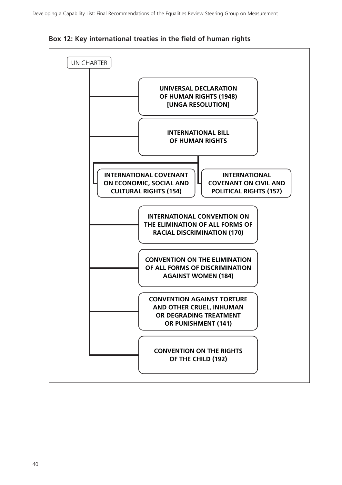

**Box 12: Key international treaties in the field of human rights**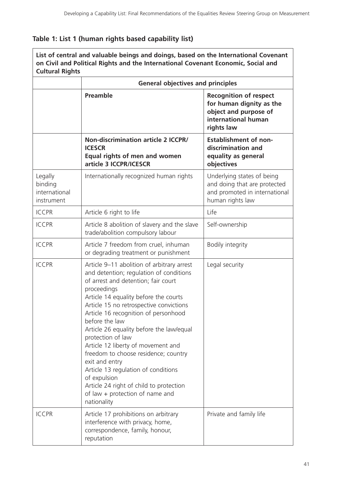# **Table 1: List 1 (human rights based capability list)**

| List of central and valuable beings and doings, based on the International Covenant<br>on Civil and Political Rights and the International Covenant Economic, Social and<br><b>Cultural Rights</b> |                                                                                                                                                                                                                                                                                                                                                                                                                                                                                                                                                                                                                |                                                                                                                         |  |
|----------------------------------------------------------------------------------------------------------------------------------------------------------------------------------------------------|----------------------------------------------------------------------------------------------------------------------------------------------------------------------------------------------------------------------------------------------------------------------------------------------------------------------------------------------------------------------------------------------------------------------------------------------------------------------------------------------------------------------------------------------------------------------------------------------------------------|-------------------------------------------------------------------------------------------------------------------------|--|
|                                                                                                                                                                                                    | <b>General objectives and principles</b>                                                                                                                                                                                                                                                                                                                                                                                                                                                                                                                                                                       |                                                                                                                         |  |
|                                                                                                                                                                                                    | <b>Preamble</b>                                                                                                                                                                                                                                                                                                                                                                                                                                                                                                                                                                                                | <b>Recognition of respect</b><br>for human dignity as the<br>object and purpose of<br>international human<br>rights law |  |
|                                                                                                                                                                                                    | Non-discrimination article 2 ICCPR/<br><b>ICESCR</b><br>Equal rights of men and women<br>article 3 ICCPR/ICESCR                                                                                                                                                                                                                                                                                                                                                                                                                                                                                                | <b>Establishment of non-</b><br>discrimination and<br>equality as general<br>objectives                                 |  |
| Legally<br>binding<br>international<br>instrument                                                                                                                                                  | Internationally recognized human rights                                                                                                                                                                                                                                                                                                                                                                                                                                                                                                                                                                        | Underlying states of being<br>and doing that are protected<br>and promoted in international<br>human rights law         |  |
| <b>ICCPR</b>                                                                                                                                                                                       | Article 6 right to life                                                                                                                                                                                                                                                                                                                                                                                                                                                                                                                                                                                        | Life                                                                                                                    |  |
| <b>ICCPR</b>                                                                                                                                                                                       | Article 8 abolition of slavery and the slave<br>trade/abolition compulsory labour                                                                                                                                                                                                                                                                                                                                                                                                                                                                                                                              | Self-ownership                                                                                                          |  |
| <b>ICCPR</b>                                                                                                                                                                                       | Article 7 freedom from cruel, inhuman<br>or degrading treatment or punishment                                                                                                                                                                                                                                                                                                                                                                                                                                                                                                                                  | Bodily integrity                                                                                                        |  |
| <b>ICCPR</b>                                                                                                                                                                                       | Article 9-11 abolition of arbitrary arrest<br>and detention; regulation of conditions<br>of arrest and detention; fair court<br>proceedings<br>Article 14 equality before the courts<br>Article 15 no retrospective convictions<br>Article 16 recognition of personhood<br>before the law<br>Article 26 equality before the law/equal<br>protection of law<br>Article 12 liberty of movement and<br>freedom to choose residence; country<br>exit and entry<br>Article 13 regulation of conditions<br>of expulsion<br>Article 24 right of child to protection<br>of law + protection of name and<br>nationality | Legal security                                                                                                          |  |
| <b>ICCPR</b>                                                                                                                                                                                       | Article 17 prohibitions on arbitrary<br>interference with privacy, home,<br>correspondence, family, honour,<br>reputation                                                                                                                                                                                                                                                                                                                                                                                                                                                                                      | Private and family life                                                                                                 |  |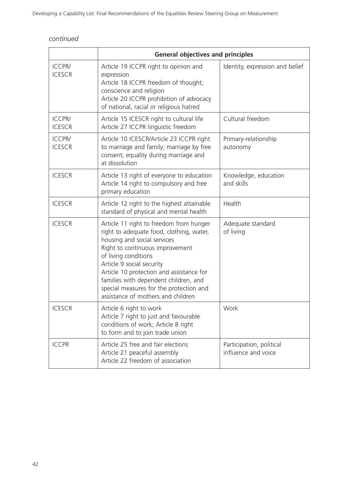|                                | <b>General objectives and principles</b>                                                                                                                                                                                                                                                                                                                                         |                                                 |  |
|--------------------------------|----------------------------------------------------------------------------------------------------------------------------------------------------------------------------------------------------------------------------------------------------------------------------------------------------------------------------------------------------------------------------------|-------------------------------------------------|--|
| <b>ICCPR/</b><br><b>ICESCR</b> | Article 19 ICCPR right to opinion and<br>expression<br>Article 18 ICCPR freedom of thought,<br>conscience and religion<br>Article 20 ICCPR prohibition of advocacy<br>of national, racial or religious hatred                                                                                                                                                                    | Identity, expression and belief                 |  |
| <b>ICCPR/</b><br><b>ICESCR</b> | Article 15 ICESCR right to cultural life<br>Article 27 ICCPR linguistic freedom                                                                                                                                                                                                                                                                                                  | Cultural freedom                                |  |
| <b>ICCPR/</b><br><b>ICESCR</b> | Article 10 ICESCR/Article 23 ICCPR right<br>to marriage and family; marriage by free<br>consent; equality during marriage and<br>at dissolution                                                                                                                                                                                                                                  | Primary-relationship<br>autonomy                |  |
| <b>ICESCR</b>                  | Article 13 right of everyone to education<br>Article 14 right to compulsory and free<br>primary education                                                                                                                                                                                                                                                                        | Knowledge, education<br>and skills              |  |
| <b>ICESCR</b>                  | Article 12 right to the highest attainable<br>standard of physical and mental health                                                                                                                                                                                                                                                                                             | Health                                          |  |
| <b>ICESCR</b>                  | Article 11 right to freedom from hunger<br>right to adequate food, clothing, water,<br>housing and social services<br>Right to continuous improvement<br>of living conditions<br>Article 9 social security<br>Article 10 protection and assistance for<br>families with dependent children, and<br>special measures for the protection and<br>assistance of mothers and children | Adequate standard<br>of living                  |  |
| <b>ICESCR</b>                  | Article 6 right to work<br>Article 7 right to just and favourable<br>conditions of work; Article 8 right<br>to form and to join trade union                                                                                                                                                                                                                                      | Work                                            |  |
| <b>ICCPR</b>                   | Article 25 free and fair elections<br>Article 21 peaceful assembly<br>Article 22 freedom of association                                                                                                                                                                                                                                                                          | Participation, political<br>influence and voice |  |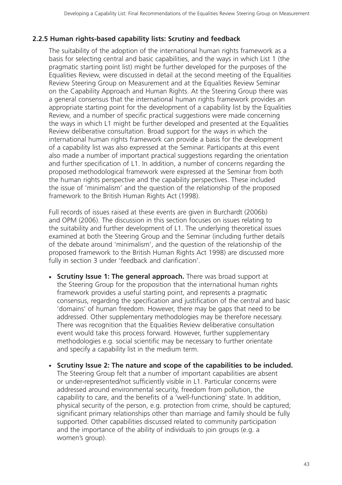## **2.2.5 Human rights-based capability lists: Scrutiny and feedback**

The suitability of the adoption of the international human rights framework as a basis for selecting central and basic capabilities, and the ways in which List 1 (the pragmatic starting point list) might be further developed for the purposes of the Equalities Review, were discussed in detail at the second meeting of the Equalities Review Steering Group on Measurement and at the Equalities Review Seminar on the Capability Approach and Human Rights. At the Steering Group there was a general consensus that the international human rights framework provides an appropriate starting point for the development of a capability list by the Equalities Review, and a number of specific practical suggestions were made concerning the ways in which L1 might be further developed and presented at the Equalities Review deliberative consultation. Broad support for the ways in which the international human rights framework can provide a basis for the development of a capability list was also expressed at the Seminar. Participants at this event also made a number of important practical suggestions regarding the orientation and further specification of L1. In addition, a number of concerns regarding the proposed methodological framework were expressed at the Seminar from both the human rights perspective and the capability perspectives. These included the issue of 'minimalism' and the question of the relationship of the proposed framework to the British Human Rights Act (1998).

Full records of issues raised at these events are given in Burchardt (2006b) and OPM (2006). The discussion in this section focuses on issues relating to the suitability and further development of L1. The underlying theoretical issues examined at both the Steering Group and the Seminar (including further details of the debate around 'minimalism', and the question of the relationship of the proposed framework to the British Human Rights Act 1998) are discussed more fully in section 3 under 'feedback and clarification'.

- **Scrutiny Issue 1: The general approach.** There was broad support at the Steering Group for the proposition that the international human rights framework provides a useful starting point, and represents a pragmatic consensus, regarding the specification and justification of the central and basic 'domains' of human freedom. However, there may be gaps that need to be addressed. Other supplementary methodologies may be therefore necessary. There was recognition that the Equalities Review deliberative consultation event would take this process forward. However, further supplementary methodologies e.g. social scientific may be necessary to further orientate and specify a capability list in the medium term.
- **Scrutiny Issue 2: The nature and scope of the capabilities to be included.** The Steering Group felt that a number of important capabilities are absent or under-represented/not sufficiently visible in L1. Particular concerns were addressed around environmental security, freedom from pollution, the capability to care, and the benefits of a 'well-functioning' state. In addition, physical security of the person, e.g. protection from crime, should be captured; significant primary relationships other than marriage and family should be fully supported. Other capabilities discussed related to community participation and the importance of the ability of individuals to join groups (e.g. a women's group).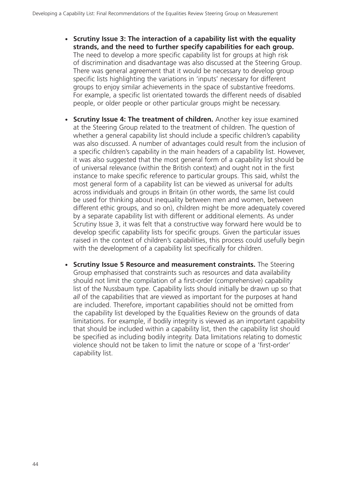- **Scrutiny Issue 3: The interaction of a capability list with the equality strands, and the need to further specify capabilities for each group.** The need to develop a more specific capability list for groups at high risk of discrimination and disadvantage was also discussed at the Steering Group. There was general agreement that it would be necessary to develop group specific lists highlighting the variations in 'inputs' necessary for different groups to enjoy similar achievements in the space of substantive freedoms. For example, a specific list orientated towards the different needs of disabled people, or older people or other particular groups might be necessary.
- **Scrutiny Issue 4: The treatment of children.** Another key issue examined at the Steering Group related to the treatment of children. The question of whether a general capability list should include a specific children's capability was also discussed. A number of advantages could result from the inclusion of a specific children's capability in the main headers of a capability list. However, it was also suggested that the most general form of a capability list should be of universal relevance (within the British context) and ought not in the first instance to make specific reference to particular groups. This said, whilst the most general form of a capability list can be viewed as universal for adults across individuals and groups in Britain (in other words, the same list could be used for thinking about inequality between men and women, between different ethic groups, and so on), children might be more adequately covered by a separate capability list with different or additional elements. As under Scrutiny Issue 3, it was felt that a constructive way forward here would be to develop specific capability lists for specific groups. Given the particular issues raised in the context of children's capabilities, this process could usefully begin with the development of a capability list specifically for children.
- **Scrutiny Issue 5 Resource and measurement constraints.** The Steering Group emphasised that constraints such as resources and data availability should not limit the compilation of a first-order (comprehensive) capability list of the Nussbaum type. Capability lists should initially be drawn up so that *all* of the capabilities that are viewed as important for the purposes at hand are included. Therefore, important capabilities should not be omitted from the capability list developed by the Equalities Review on the grounds of data limitations. For example, if bodily integrity is viewed as an important capability that should be included within a capability list, then the capability list should be specified as including bodily integrity. Data limitations relating to domestic violence should not be taken to limit the nature or scope of a 'first-order' capability list.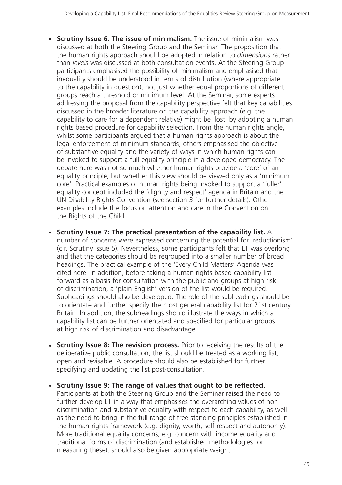- **Scrutiny Issue 6: The issue of minimalism.** The issue of minimalism was discussed at both the Steering Group and the Seminar. The proposition that the human rights approach should be adopted in relation to *dimensions* rather than *levels* was discussed at both consultation events. At the Steering Group participants emphasised the possibility of minimalism and emphasised that inequality should be understood in terms of distribution (where appropriate to the capability in question), not just whether equal proportions of different groups reach a threshold or minimum level. At the Seminar, some experts addressing the proposal from the capability perspective felt that key capabilities discussed in the broader literature on the capability approach (e.g. the capability to care for a dependent relative) might be 'lost' by adopting a human rights based procedure for capability selection. From the human rights angle, whilst some participants argued that a human rights approach is about the legal enforcement of minimum standards, others emphasised the objective of substantive equality and the variety of ways in which human rights can be invoked to support a full equality principle in a developed democracy. The debate here was not so much whether human rights provide a 'core' of an equality principle, but whether this view should be viewed only as a 'minimum core'. Practical examples of human rights being invoked to support a 'fuller' equality concept included the 'dignity and respect' agenda in Britain and the UN Disability Rights Convention (see section 3 for further details). Other examples include the focus on attention and care in the Convention on the Rights of the Child.
- $\bullet$  **Scrutiny Issue 7: The practical presentation of the capability list.** A number of concerns were expressed concerning the potential for 'reductionism' (c.r. Scrutiny Issue 5). Nevertheless, some participants felt that L1 was overlong and that the categories should be regrouped into a smaller number of broad headings. The practical example of the 'Every Child Matters' Agenda was cited here. In addition, before taking a human rights based capability list forward as a basis for consultation with the public and groups at high risk of discrimination, a 'plain English' version of the list would be required. Subheadings should also be developed. The role of the subheadings should be to orientate and further specify the most general capability list for 21st century Britain. In addition, the subheadings should illustrate the ways in which a capability list can be further orientated and specified for particular groups at high risk of discrimination and disadvantage.
- **Scrutiny Issue 8: The revision process.** Prior to receiving the results of the deliberative public consultation, the list should be treated as a working list, open and revisable. A procedure should also be established for further specifying and updating the list post-consultation.
- **Scrutiny Issue 9: The range of values that ought to be reflected.** Participants at both the Steering Group and the Seminar raised the need to further develop L1 in a way that emphasises the overarching values of nondiscrimination and substantive equality with respect to each capability, as well as the need to bring in the full range of free standing principles established in the human rights framework (e.g. dignity, worth, self-respect and autonomy). More traditional equality concerns, e.g. concern with income equality and traditional forms of discrimination (and established methodologies for measuring these), should also be given appropriate weight.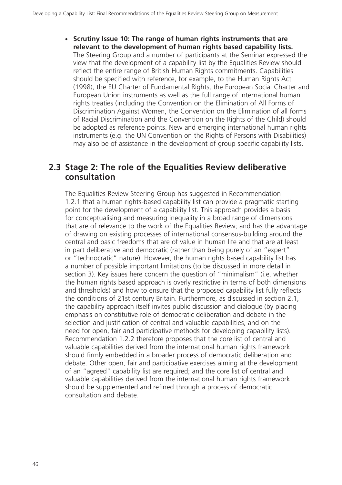- **Scrutiny Issue 10: The range of human rights instruments that are relevant to the development of human rights based capability lists.** The Steering Group and a number of participants at the Seminar expressed the view that the development of a capability list by the Equalities Review should reflect the entire range of British Human Rights commitments. Capabilities should be specified with reference, for example, to the Human Rights Act (1998), the EU Charter of Fundamental Rights, the European Social Charter and European Union instruments as well as the full range of international human rights treaties (including the Convention on the Elimination of All Forms of Discrimination Against Women, the Convention on the Elimination of all forms of Racial Discrimination and the Convention on the Rights of the Child) should be adopted as reference points. New and emerging international human rights instruments (e.g. the UN Convention on the Rights of Persons with Disabilities) may also be of assistance in the development of group specific capability lists.

# **2.3 Stage 2: The role of the Equalities Review deliberative consultation**

The Equalities Review Steering Group has suggested in Recommendation 1.2.1 that a human rights-based capability list can provide a pragmatic starting point for the development of a capability list. This approach provides a basis for conceptualising and measuring inequality in a broad range of dimensions that are of relevance to the work of the Equalities Review; and has the advantage of drawing on existing processes of international consensus-building around the central and basic freedoms that are of value in human life and that are at least in part deliberative and democratic (rather than being purely of an "expert" or "technocratic" nature). However, the human rights based capability list has a number of possible important limitations (to be discussed in more detail in section 3). Key issues here concern the question of "minimalism" (i.e. whether the human rights based approach is overly restrictive in terms of both dimensions and thresholds) and how to ensure that the proposed capability list fully reflects the conditions of 21st century Britain. Furthermore, as discussed in section 2.1, the capability approach itself invites public discussion and dialogue (by placing emphasis on constitutive role of democratic deliberation and debate in the selection and justification of central and valuable capabilities, and on the need for open, fair and participative methods for developing capability lists). Recommendation 1.2.2 therefore proposes that the core list of central and valuable capabilities derived from the international human rights framework should firmly embedded in a broader process of democratic deliberation and debate. Other open, fair and participative exercises aiming at the development of an "agreed" capability list are required; and the core list of central and valuable capabilities derived from the international human rights framework should be supplemented and refined through a process of democratic consultation and debate.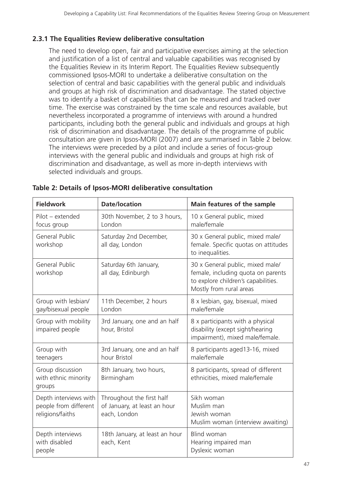# **2.3.1 The Equalities Review deliberative consultation**

The need to develop open, fair and participative exercises aiming at the selection and justification of a list of central and valuable capabilities was recognised by the Equalities Review in its Interim Report. The Equalities Review subsequently commissioned Ipsos-MORI to undertake a deliberative consultation on the selection of central and basic capabilities with the general public and individuals and groups at high risk of discrimination and disadvantage. The stated objective was to identify a basket of capabilities that can be measured and tracked over time. The exercise was constrained by the time scale and resources available, but nevertheless incorporated a programme of interviews with around a hundred participants, including both the general public and individuals and groups at high risk of discrimination and disadvantage. The details of the programme of public consultation are given in Ipsos-MORI (2007) and are summarised in Table 2 below. The interviews were preceded by a pilot and include a series of focus-group interviews with the general public and individuals and groups at high risk of discrimination and disadvantage, as well as more in-depth interviews with selected individuals and groups.

| <b>Fieldwork</b>                                                   | <b>Date/location</b>                                                      | Main features of the sample                                                                                                              |
|--------------------------------------------------------------------|---------------------------------------------------------------------------|------------------------------------------------------------------------------------------------------------------------------------------|
| Pilot - extended<br>focus group                                    | 30th November, 2 to 3 hours,<br>London                                    | 10 x General public, mixed<br>male/female                                                                                                |
| <b>General Public</b><br>workshop                                  | Saturday 2nd December,<br>all day, London                                 | 30 x General public, mixed male/<br>female. Specific quotas on attitudes<br>to inequalities.                                             |
| <b>General Public</b><br>workshop                                  | Saturday 6th January,<br>all day, Edinburgh                               | 30 x General public, mixed male/<br>female, including quota on parents<br>to explore children's capabilities.<br>Mostly from rural areas |
| Group with lesbian/<br>gay/bisexual people                         | 11th December, 2 hours<br>London                                          | 8 x lesbian, gay, bisexual, mixed<br>male/female                                                                                         |
| Group with mobility<br>impaired people                             | 3rd January, one and an half<br>hour, Bristol                             | 8 x participants with a physical<br>disability (except sight/hearing<br>impairment), mixed male/female.                                  |
| Group with<br>teenagers                                            | 3rd January, one and an half<br>hour Bristol                              | 8 participants aged13-16, mixed<br>male/female                                                                                           |
| Group discussion<br>with ethnic minority<br>groups                 | 8th January, two hours,<br>Birmingham                                     | 8 participants, spread of different<br>ethnicities, mixed male/female                                                                    |
| Depth interviews with<br>people from different<br>religions/faiths | Throughout the first half<br>of January, at least an hour<br>each, London | Sikh woman<br>Muslim man<br>Jewish woman<br>Muslim woman (interview awaiting)                                                            |
| Depth interviews<br>with disabled<br>people                        | 18th January, at least an hour<br>each, Kent                              | <b>Blind woman</b><br>Hearing impaired man<br>Dyslexic woman                                                                             |

| Table 2: Details of Ipsos-MORI deliberative consultation |  |  |
|----------------------------------------------------------|--|--|
|                                                          |  |  |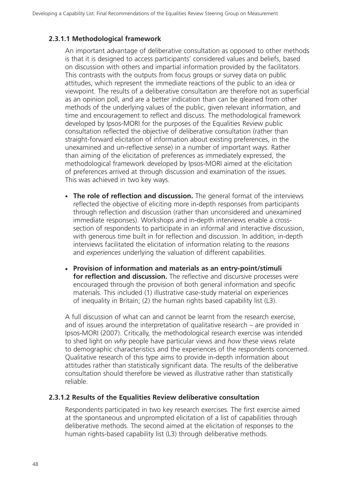#### **2.3.1.1 Methodological framework**

An important advantage of deliberative consultation as opposed to other methods is that it is designed to access participants' considered values and beliefs, based on discussion with others and impartial information provided by the facilitators. This contrasts with the outputs from focus groups or survey data on public attitudes, which represent the immediate reactions of the public to an idea or viewpoint. The results of a deliberative consultation are therefore not as superficial as an opinion poll, and are a better indication than can be gleaned from other methods of the underlying values of the public, given relevant information, and time and encouragement to reflect and discuss. The methodological framework developed by Ipsos-MORI for the purposes of the Equalities Review public consultation reflected the objective of deliberative consultation (rather than straight-forward elicitation of information about existing preferences, in the unexamined and un-reflective sense) in a number of important ways. Rather than aiming of the elicitation of preferences as immediately expressed, the methodological framework developed by Ipsos-MORI aimed at the elicitation of preferences arrived at through discussion and examination of the issues. This was achieved in two key ways.

- **The role of reflection and discussion.** The general format of the interviews reflected the objective of eliciting more in-depth responses from participants through reflection and discussion (rather than unconsidered and unexamined immediate responses). Workshops and in-depth interviews enable a crosssection of respondents to participate in an informal and interactive discussion, with generous time built in for reflection and discussion. In addition, in-depth interviews facilitated the elicitation of information relating to the *reasons* and *experiences* underlying the valuation of different capabilities.
- **Provision of information and materials as an entry-point/stimuli for reflection and discussion.** The reflective and discursive processes were encouraged through the provision of both general information and specific materials. This included (1) illustrative case-study material on experiences of inequality in Britain; (2) the human rights based capability list (L3).

A full discussion of what can and cannot be learnt from the research exercise, and of issues around the interpretation of qualitative research – are provided in Ipsos-MORI (2007). Critically, the methodological research exercise was intended to shed light on *why* people have particular views and *how* these views relate to demographic characteristics and the experiences of the respondents concerned. Qualitative research of this type aims to provide in-depth information about attitudes rather than statistically significant data. The results of the deliberative consultation should therefore be viewed as illustrative rather than statistically reliable.

#### **2.3.1.2 Results of the Equalities Review deliberative consultation**

Respondents participated in two key research exercises. The first exercise aimed at the spontaneous and unprompted elicitation of a list of capabilities through deliberative methods. The second aimed at the elicitation of responses to the human rights-based capability list (L3) through deliberative methods.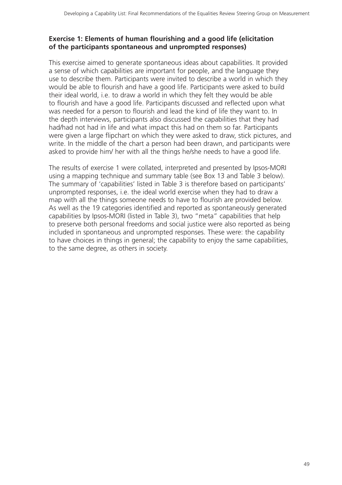#### **Exercise 1: Elements of human flourishing and a good life (elicitation of the participants spontaneous and unprompted responses)**

This exercise aimed to generate spontaneous ideas about capabilities. It provided a sense of which capabilities are important for people, and the language they use to describe them. Participants were invited to describe a world in which they would be able to flourish and have a good life. Participants were asked to build their ideal world, i.e. to draw a world in which they felt they would be able to flourish and have a good life. Participants discussed and reflected upon what was needed for a person to flourish and lead the kind of life they want to. In the depth interviews, participants also discussed the capabilities that they had had/had not had in life and what impact this had on them so far. Participants were given a large flipchart on which they were asked to draw, stick pictures, and write. In the middle of the chart a person had been drawn, and participants were asked to provide him/ her with all the things he/she needs to have a good life.

The results of exercise 1 were collated, interpreted and presented by Ipsos-MORI using a mapping technique and summary table (see Box 13 and Table 3 below). The summary of 'capabilities' listed in Table 3 is therefore based on participants' unprompted responses, i.e. the ideal world exercise when they had to draw a map with all the things someone needs to have to flourish are provided below. As well as the 19 categories identified and reported as spontaneously generated capabilities by Ipsos-MORI (listed in Table 3), two "meta" capabilities that help to preserve both personal freedoms and social justice were also reported as being included in spontaneous and unprompted responses. These were: the capability to have choices in things in general; the capability to enjoy the same capabilities, to the same degree, as others in society.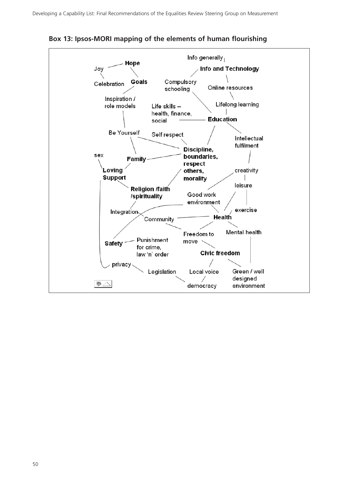

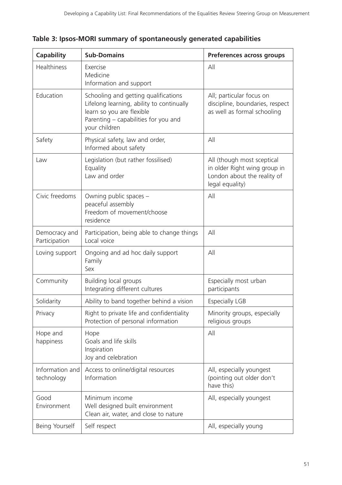| <b>Capability</b>              | <b>Sub-Domains</b>                                                                                                                                                      | Preferences across groups                                                                                    |
|--------------------------------|-------------------------------------------------------------------------------------------------------------------------------------------------------------------------|--------------------------------------------------------------------------------------------------------------|
| <b>Healthiness</b>             | Exercise<br>Medicine<br>Information and support                                                                                                                         | All                                                                                                          |
| Education                      | Schooling and getting qualifications<br>Lifelong learning, ability to continually<br>learn so you are flexible<br>Parenting - capabilities for you and<br>your children | All; particular focus on<br>discipline, boundaries, respect<br>as well as formal schooling                   |
| Safety                         | Physical safety, law and order,<br>Informed about safety                                                                                                                | All                                                                                                          |
| Law                            | Legislation (but rather fossilised)<br>Equality<br>Law and order                                                                                                        | All (though most sceptical<br>in older Right wing group in<br>London about the reality of<br>legal equality) |
| Civic freedoms                 | Owning public spaces -<br>peaceful assembly<br>Freedom of movement/choose<br>residence                                                                                  | All                                                                                                          |
| Democracy and<br>Participation | Participation, being able to change things<br>Local voice                                                                                                               | All                                                                                                          |
| Loving support                 | Ongoing and ad hoc daily support<br>Family<br>Sex                                                                                                                       | All                                                                                                          |
| Community                      | <b>Building local groups</b><br>Integrating different cultures                                                                                                          | Especially most urban<br>participants                                                                        |
| Solidarity                     | Ability to band together behind a vision                                                                                                                                | <b>Especially LGB</b>                                                                                        |
| Privacy                        | Right to private life and confidentiality<br>Protection of personal information                                                                                         | Minority groups, especially<br>religious groups                                                              |
| Hope and<br>happiness          | Hope<br>Goals and life skills<br>Inspiration<br>Joy and celebration                                                                                                     | All                                                                                                          |
| Information and<br>technology  | Access to online/digital resources<br>Information                                                                                                                       | All, especially youngest<br>(pointing out older don't<br>have this)                                          |
| Good<br>Environment            | Minimum income<br>Well designed built environment<br>Clean air, water, and close to nature                                                                              | All, especially youngest                                                                                     |
| Being Yourself                 | Self respect                                                                                                                                                            | All, especially young                                                                                        |

| Table 3: Ipsos-MORI summary of spontaneously generated capabilities |  |  |  |
|---------------------------------------------------------------------|--|--|--|
|                                                                     |  |  |  |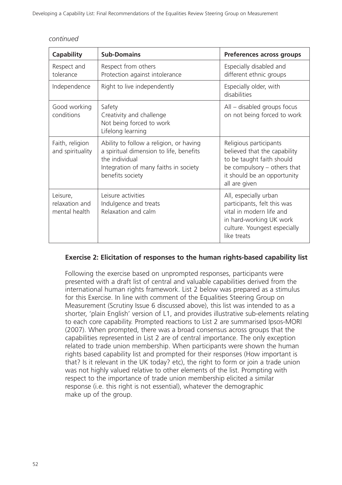| <b>Capability</b>                           | <b>Sub-Domains</b>                                                                                                                                                | Preferences across groups                                                                                                                                          |
|---------------------------------------------|-------------------------------------------------------------------------------------------------------------------------------------------------------------------|--------------------------------------------------------------------------------------------------------------------------------------------------------------------|
| Respect and<br>tolerance                    | Respect from others<br>Protection against intolerance                                                                                                             | Especially disabled and<br>different ethnic groups                                                                                                                 |
| Independence                                | Right to live independently                                                                                                                                       | Especially older, with<br>disabilities                                                                                                                             |
| Good working<br>conditions                  | Safety<br>Creativity and challenge<br>Not being forced to work<br>Lifelong learning                                                                               | All – disabled groups focus<br>on not being forced to work                                                                                                         |
| Faith, religion<br>and spirituality         | Ability to follow a religion, or having<br>a spiritual dimension to life, benefits<br>the individual<br>Integration of many faiths in society<br>benefits society | Religious participants<br>believed that the capability<br>to be taught faith should<br>be compulsory - others that<br>it should be an opportunity<br>all are given |
| Leisure,<br>relaxation and<br>mental health | Leisure activities<br>Indulgence and treats<br>Relaxation and calm                                                                                                | All, especially urban<br>participants, felt this was<br>vital in modern life and<br>in hard-working UK work<br>culture. Youngest especially<br>like treats         |

#### **Exercise 2: Elicitation of responses to the human rights-based capability list**

Following the exercise based on unprompted responses, participants were presented with a draft list of central and valuable capabilities derived from the international human rights framework. List 2 below was prepared as a stimulus for this Exercise. In line with comment of the Equalities Steering Group on Measurement (Scrutiny Issue 6 discussed above), this list was intended to as a shorter, 'plain English' version of L1, and provides illustrative sub-elements relating to each core capability. Prompted reactions to List 2 are summarised Ipsos-MORI (2007). When prompted, there was a broad consensus across groups that the capabilities represented in List 2 are of central importance. The only exception related to trade union membership. When participants were shown the human rights based capability list and prompted for their responses (How important is that? Is it relevant in the UK today? etc), the right to form or join a trade union was not highly valued relative to other elements of the list. Prompting with respect to the importance of trade union membership elicited a similar response (i.e. this right is not essential), whatever the demographic make up of the group.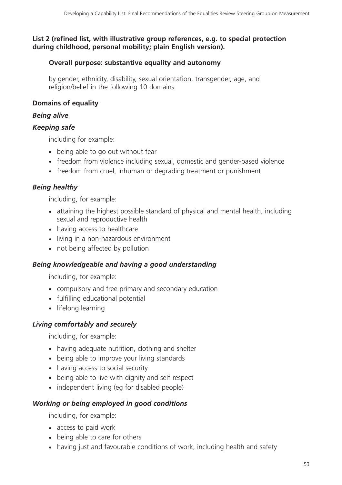# **List 2 (refined list, with illustrative group references, e.g. to special protection during childhood, personal mobility; plain English version).**

# **Overall purpose: substantive equality and autonomy**

by gender, ethnicity, disability, sexual orientation, transgender, age, and religion/belief in the following 10 domains

# **Domains of equality**

# *Being alive*

# *Keeping safe*

including for example:

- being able to go out without fear
- freedom from violence including sexual, domestic and gender-based violence
- freedom from cruel, inhuman or degrading treatment or punishment

# *Being healthy*

including, for example:

- attaining the highest possible standard of physical and mental health, including sexual and reproductive health
- having access to healthcare
- living in a non-hazardous environment
- not being affected by pollution

# *Being knowledgeable and having a good understanding*

including, for example:

- compulsory and free primary and secondary education
- fulfilling educational potential
- lifelong learning

# *Living comfortably and securely*

including, for example:

- having adequate nutrition, clothing and shelter
- being able to improve your living standards
- having access to social security
- being able to live with dignity and self-respect
- independent living (eg for disabled people)

# *Working or being employed in good conditions*

including, for example:

- access to paid work
- being able to care for others
- having just and favourable conditions of work, including health and safety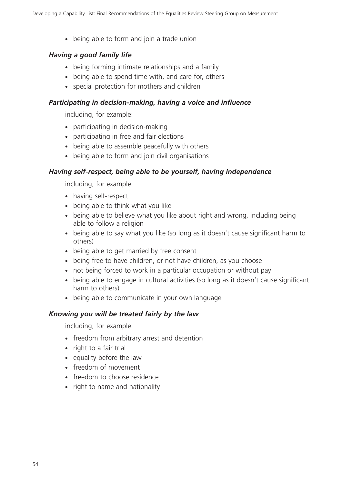- being able to form and join a trade union

#### *Having a good family life*

- being forming intimate relationships and a family
- being able to spend time with, and care for, others
- special protection for mothers and children

#### *Participating in decision-making, having a voice and influence*

including, for example:

- participating in decision-making
- participating in free and fair elections
- being able to assemble peacefully with others
- being able to form and join civil organisations

#### *Having self-respect, being able to be yourself, having independence*

including, for example:

- having self-respect
- being able to think what you like
- being able to believe what you like about right and wrong, including being able to follow a religion
- being able to say what you like (so long as it doesn't cause significant harm to others)
- being able to get married by free consent
- being free to have children, or not have children, as you choose
- not being forced to work in a particular occupation or without pay
- being able to engage in cultural activities (so long as it doesn't cause significant harm to others)
- being able to communicate in your own language

#### *Knowing you will be treated fairly by the law*

including, for example:

- freedom from arbitrary arrest and detention
- right to a fair trial
- equality before the law
- freedom of movement
- freedom to choose residence
- right to name and nationality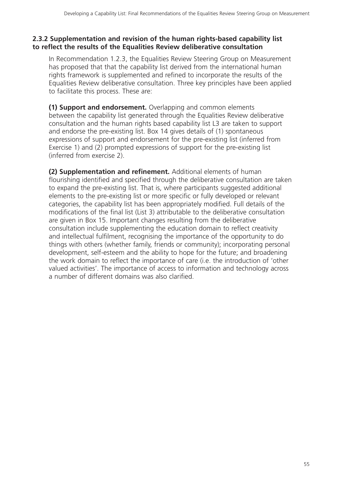#### **2.3.2 Supplementation and revision of the human rights-based capability list to reflect the results of the Equalities Review deliberative consultation**

In Recommendation 1.2.3, the Equalities Review Steering Group on Measurement has proposed that that the capability list derived from the international human rights framework is supplemented and refined to incorporate the results of the Equalities Review deliberative consultation. Three key principles have been applied to facilitate this process. These are:

**(1) Support and endorsement.** Overlapping and common elements between the capability list generated through the Equalities Review deliberative consultation and the human rights based capability list L3 are taken to support and endorse the pre-existing list. Box 14 gives details of (1) spontaneous expressions of support and endorsement for the pre-existing list (inferred from Exercise 1) and (2) prompted expressions of support for the pre-existing list (inferred from exercise 2).

**(2) Supplementation and refinement.** Additional elements of human flourishing identified and specified through the deliberative consultation are taken to expand the pre-existing list. That is, where participants suggested additional elements to the pre-existing list or more specific or fully developed or relevant categories, the capability list has been appropriately modified. Full details of the modifications of the final list (List 3) attributable to the deliberative consultation are given in Box 15. Important changes resulting from the deliberative consultation include supplementing the education domain to reflect creativity and intellectual fulfilment, recognising the importance of the opportunity to do things with others (whether family, friends or community); incorporating personal development, self-esteem and the ability to hope for the future; and broadening the work domain to reflect the importance of care (i.e. the introduction of 'other valued activities'. The importance of access to information and technology across a number of different domains was also clarified.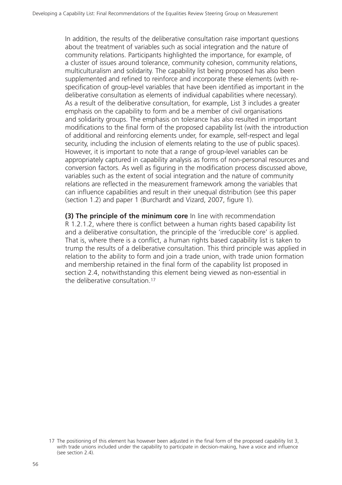In addition, the results of the deliberative consultation raise important questions about the treatment of variables such as social integration and the nature of community relations. Participants highlighted the importance, for example, of a cluster of issues around tolerance, community cohesion, community relations, multiculturalism and solidarity. The capability list being proposed has also been supplemented and refined to reinforce and incorporate these elements (with respecification of group-level variables that have been identified as important in the deliberative consultation as elements of individual capabilities where necessary). As a result of the deliberative consultation, for example, List 3 includes a greater emphasis on the capability to form and be a member of civil organisations and solidarity groups. The emphasis on tolerance has also resulted in important modifications to the final form of the proposed capability list (with the introduction of additional and reinforcing elements under, for example, self-respect and legal security, including the inclusion of elements relating to the use of public spaces). However, it is important to note that a range of group-level variables can be appropriately captured in capability analysis as forms of non-personal resources and conversion factors. As well as figuring in the modification process discussed above, variables such as the extent of social integration and the nature of community relations are reflected in the measurement framework among the variables that can influence capabilities and result in their unequal distribution (see this paper (section 1.2) and paper 1 (Burchardt and Vizard, 2007, figure 1).

**(3) The principle of the minimum core** In line with recommendation R 1.2.1.2, where there is conflict between a human rights based capability list and a deliberative consultation, the principle of the 'irreducible core' is applied. That is, where there is a conflict, a human rights based capability list is taken to trump the results of a deliberative consultation. This third principle was applied in relation to the ability to form and join a trade union, with trade union formation and membership retained in the final form of the capability list proposed in section 2.4, notwithstanding this element being viewed as non-essential in the deliberative consultation.17

<sup>17</sup> The positioning of this element has however been adjusted in the final form of the proposed capability list 3, with trade unions included under the capability to participate in decision-making, have a voice and influence (see section 2.4).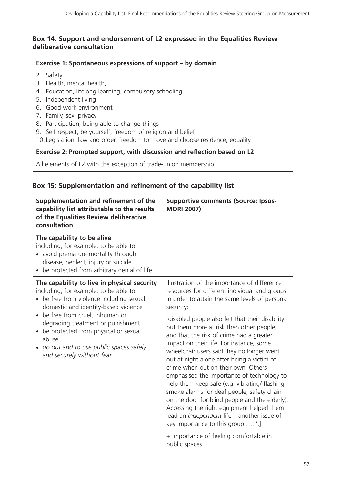## **Box 14: Support and endorsement of L2 expressed in the Equalities Review deliberative consultation**

#### **Exercise 1: Spontaneous expressions of support – by domain**

- 2. Safety
- 3. Health, mental health,
- 4. Education, lifelong learning, compulsory schooling
- 5. Independent living
- 6. Good work environment
- 7. Family, sex, privacy
- 8. Participation, being able to change things
- 9. Self respect, be yourself, freedom of religion and belief
- 10. Legislation, law and order, freedom to move and choose residence, equality

#### **Exercise 2: Prompted support, with discussion and reflection based on L2**

All elements of L2 with the exception of trade-union membership

#### **Box 15: Supplementation and refinement of the capability list**

| Supplementation and refinement of the<br>capability list attributable to the results<br>of the Equalities Review deliberative<br>consultation                                                                                                                                                          | <b>Supportive comments (Source: Ipsos-</b><br><b>MORI 2007)</b>                                                                                                                                                                                                                                                                                                                                                                                                                                                                                                                                  |
|--------------------------------------------------------------------------------------------------------------------------------------------------------------------------------------------------------------------------------------------------------------------------------------------------------|--------------------------------------------------------------------------------------------------------------------------------------------------------------------------------------------------------------------------------------------------------------------------------------------------------------------------------------------------------------------------------------------------------------------------------------------------------------------------------------------------------------------------------------------------------------------------------------------------|
| The capability to be alive<br>including, for example, to be able to:<br>• avoid premature mortality through<br>disease, neglect, injury or suicide<br>• be protected from arbitrary denial of life                                                                                                     |                                                                                                                                                                                                                                                                                                                                                                                                                                                                                                                                                                                                  |
| The capability to live in physical security<br>including, for example, to be able to:<br>• be free from violence including sexual,<br>domestic and identity-based violence<br>be free from cruel, inhuman or<br>$\bullet$<br>degrading treatment or punishment<br>be protected from physical or sexual | Illustration of the importance of difference<br>resources for different individual and groups,<br>in order to attain the same levels of personal<br>security:<br>'disabled people also felt that their disability<br>put them more at risk then other people,                                                                                                                                                                                                                                                                                                                                    |
| abuse<br>go out and to use public spaces safely<br>and securely without fear                                                                                                                                                                                                                           | and that the risk of crime had a greater<br>impact on their life. For instance, some<br>wheelchair users said they no longer went<br>out at night alone after being a victim of<br>crime when out on their own. Others<br>emphasised the importance of technology to<br>help them keep safe (e.g. vibrating/ flashing<br>smoke alarms for deaf people, safety chain<br>on the door for blind people and the elderly).<br>Accessing the right equipment helped them<br>lead an independent life - another issue of<br>key importance to this group  '.]<br>+ Importance of feeling comfortable in |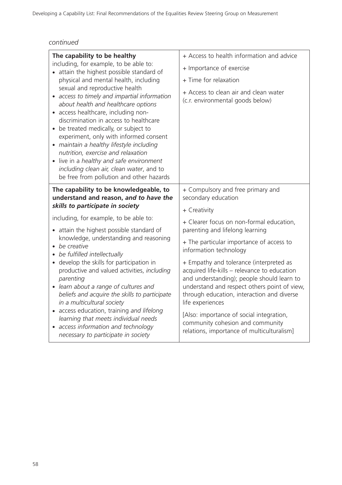| The capability to be healthy<br>including, for example, to be able to:<br>• attain the highest possible standard of<br>physical and mental health, including<br>sexual and reproductive health<br>• access to timely and impartial information<br>about health and healthcare options<br>• access healthcare, including non-<br>discrimination in access to healthcare<br>• be treated medically, or subject to<br>experiment, only with informed consent<br>· maintain a healthy lifestyle including<br>nutrition, exercise and relaxation<br>• live in a healthy and safe environment<br>including clean air, clean water, and to<br>be free from pollution and other hazards | + Access to health information and advice<br>+ Importance of exercise<br>+ Time for relaxation<br>+ Access to clean air and clean water<br>(c.r. environmental goods below)                                                                                                                                                                                                           |
|---------------------------------------------------------------------------------------------------------------------------------------------------------------------------------------------------------------------------------------------------------------------------------------------------------------------------------------------------------------------------------------------------------------------------------------------------------------------------------------------------------------------------------------------------------------------------------------------------------------------------------------------------------------------------------|---------------------------------------------------------------------------------------------------------------------------------------------------------------------------------------------------------------------------------------------------------------------------------------------------------------------------------------------------------------------------------------|
| The capability to be knowledgeable, to                                                                                                                                                                                                                                                                                                                                                                                                                                                                                                                                                                                                                                          | + Compulsory and free primary and                                                                                                                                                                                                                                                                                                                                                     |
| understand and reason, and to have the                                                                                                                                                                                                                                                                                                                                                                                                                                                                                                                                                                                                                                          | secondary education                                                                                                                                                                                                                                                                                                                                                                   |
| skills to participate in society                                                                                                                                                                                                                                                                                                                                                                                                                                                                                                                                                                                                                                                | + Creativity                                                                                                                                                                                                                                                                                                                                                                          |
| including, for example, to be able to:                                                                                                                                                                                                                                                                                                                                                                                                                                                                                                                                                                                                                                          | + Clearer focus on non-formal education,                                                                                                                                                                                                                                                                                                                                              |
| • attain the highest possible standard of                                                                                                                                                                                                                                                                                                                                                                                                                                                                                                                                                                                                                                       | parenting and lifelong learning                                                                                                                                                                                                                                                                                                                                                       |
| knowledge, understanding and reasoning                                                                                                                                                                                                                                                                                                                                                                                                                                                                                                                                                                                                                                          | + The particular importance of access to                                                                                                                                                                                                                                                                                                                                              |
| • be creative                                                                                                                                                                                                                                                                                                                                                                                                                                                                                                                                                                                                                                                                   | information technology                                                                                                                                                                                                                                                                                                                                                                |
| • be fulfilled intellectually<br>• develop the skills for participation in<br>productive and valued activities, including<br>parenting<br>• learn about a range of cultures and<br>beliefs and acquire the skills to participate<br>in a multicultural society<br>• access education, training and lifelong<br>learning that meets individual needs<br>• access information and technology<br>necessary to participate in society                                                                                                                                                                                                                                               | + Empathy and tolerance (interpreted as<br>acquired life-kills - relevance to education<br>and understanding); people should learn to<br>understand and respect others point of view,<br>through education, interaction and diverse<br>life experiences<br>[Also: importance of social integration,<br>community cohesion and community<br>relations, importance of multiculturalism] |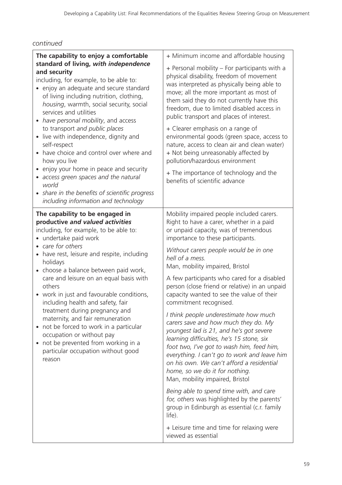| The capability to enjoy a comfortable<br>standard of living, with independence<br>and security<br>including, for example, to be able to:<br>• enjoy an adequate and secure standard<br>of living including nutrition, clothing,<br>housing, warmth, social security, social<br>services and utilities<br>• have personal mobility, and access<br>to transport and public places<br>live with independence, dignity and<br>$\bullet$<br>self-respect<br>• have choice and control over where and<br>how you live<br>• enjoy your home in peace and security<br>· access green spaces and the natural<br>world<br>• share in the benefits of scientific progress<br>including information and technology | + Minimum income and affordable housing<br>+ Personal mobility – For participants with a<br>physical disability, freedom of movement<br>was interpreted as physically being able to<br>move; all the more important as most of<br>them said they do not currently have this<br>freedom, due to limited disabled access in<br>public transport and places of interest.<br>+ Clearer emphasis on a range of<br>environmental goods (green space, access to<br>nature, access to clean air and clean water)<br>+ Not being unreasonably affected by<br>pollution/hazardous environment<br>+ The importance of technology and the<br>benefits of scientific advance                                                                                                                                                                                                                                                                                                                                                                                            |
|--------------------------------------------------------------------------------------------------------------------------------------------------------------------------------------------------------------------------------------------------------------------------------------------------------------------------------------------------------------------------------------------------------------------------------------------------------------------------------------------------------------------------------------------------------------------------------------------------------------------------------------------------------------------------------------------------------|------------------------------------------------------------------------------------------------------------------------------------------------------------------------------------------------------------------------------------------------------------------------------------------------------------------------------------------------------------------------------------------------------------------------------------------------------------------------------------------------------------------------------------------------------------------------------------------------------------------------------------------------------------------------------------------------------------------------------------------------------------------------------------------------------------------------------------------------------------------------------------------------------------------------------------------------------------------------------------------------------------------------------------------------------------|
| The capability to be engaged in<br>productive and valued activities<br>including, for example, to be able to:<br>• undertake paid work<br>• care for others<br>• have rest, leisure and respite, including<br>holidays<br>• choose a balance between paid work,<br>care and leisure on an equal basis with<br>others<br>• work in just and favourable conditions,<br>including health and safety, fair<br>treatment during pregnancy and<br>maternity, and fair remuneration<br>• not be forced to work in a particular<br>occupation or without pay<br>• not be prevented from working in a<br>particular occupation without good<br>reason                                                           | Mobility impaired people included carers.<br>Right to have a carer, whether in a paid<br>or unpaid capacity, was of tremendous<br>importance to these participants.<br>Without carers people would be in one<br>hell of a mess.<br>Man, mobility impaired, Bristol<br>A few participants who cared for a disabled<br>person (close friend or relative) in an unpaid<br>capacity wanted to see the value of their<br>commitment recognised.<br>I think people underestimate how much<br>carers save and how much they do. My<br>youngest lad is 21, and he's got severe<br>learning difficulties, he's 15 stone, six<br>foot two, I've got to wash him, feed him,<br>everything. I can't go to work and leave him<br>on his own. We can't afford a residential<br>home, so we do it for nothing.<br>Man, mobility impaired, Bristol<br>Being able to spend time with, and care<br>for, others was highlighted by the parents'<br>group in Edinburgh as essential (c.r. family<br>life).<br>+ Leisure time and time for relaxing were<br>viewed as essential |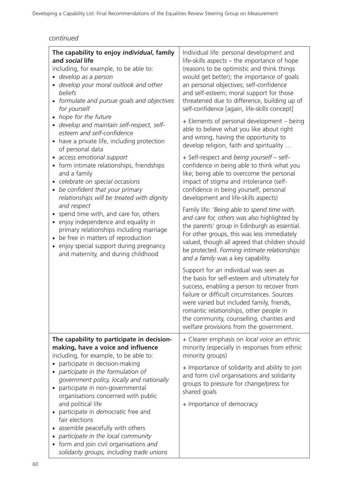| The capability to enjoy individual, family<br>and social life<br>including, for example, to be able to:<br>• develop as a person<br>develop your moral outlook and other<br>beliefs<br>formulate and pursue goals and objectives<br>$\bullet$<br>for yourself<br>hope for the future<br>$\bullet$                 | Individual life: personal development and<br>life-skills aspects - the importance of hope<br>(reasons to be optimistic and think things<br>would get better); the importance of goals<br>an personal objectives; self-confidence<br>and self-esteem; moral support for those<br>threatened due to difference, building up of<br>self-confidence [again, life-skills concept]<br>+ Elements of personal development - being |
|-------------------------------------------------------------------------------------------------------------------------------------------------------------------------------------------------------------------------------------------------------------------------------------------------------------------|----------------------------------------------------------------------------------------------------------------------------------------------------------------------------------------------------------------------------------------------------------------------------------------------------------------------------------------------------------------------------------------------------------------------------|
| develop and maintain self-respect, self-<br>esteem and self-confidence<br>have a private life, including protection<br>$\bullet$<br>of personal data                                                                                                                                                              | able to believe what you like about right<br>and wrong, having the opportunity to<br>develop religion, faith and spirituality                                                                                                                                                                                                                                                                                              |
| access emotional support<br>$\bullet$<br>form intimate relationships, friendships<br>and a family<br>celebrate on special occasions<br>$\bullet$<br>be confident that your primary<br>$\bullet$<br>relationships will be treated with dignity                                                                     | + Self-respect and being yourself - self-<br>confidence in being able to think what you<br>like; being able to overcome the personal<br>impact of stigma and intolerance (self-<br>confidence in being yourself, personal<br>development and life-skills aspects)                                                                                                                                                          |
| and respect<br>spend time with, and care for, others<br>$\bullet$<br>enjoy independence and equality in<br>$\bullet$<br>primary relationships including marriage<br>be free in matters of reproduction<br>$\bullet$<br>enjoy special support during pregnancy<br>$\bullet$<br>and maternity, and during childhood | Family life: 'Being able to spend time with,<br>and care for, others was also highlighted by<br>the parents' group in Edinburgh as essential.<br>For other groups, this was less immediately<br>valued, though all agreed that children should<br>be protected. Forming intimate relationships<br>and a family was a key capability.                                                                                       |
|                                                                                                                                                                                                                                                                                                                   | Support for an individual was seen as<br>the basis for self-esteem and ultimately for<br>success, enabling a person to recover from<br>failure or difficult circumstances. Sources<br>were varied but included family, friends,<br>romantic relationships, other people in<br>the community, counselling, charities and<br>welfare provisions from the government.                                                         |
| The capability to participate in decision-<br>making, have a voice and influence<br>including, for example, to be able to:                                                                                                                                                                                        | + Clearer emphasis on local voice an ethnic<br>minority (especially in responses from ethnic<br>minority groups)                                                                                                                                                                                                                                                                                                           |
| participate in decision-making<br>participate in the formulation of<br>government policy, locally and nationally<br>participate in non-governmental<br>organisations concerned with public                                                                                                                        | + Importance of solidarity and ability to join<br>and form civil organisations and solidarity<br>groups to pressure for change/press for<br>shared goals                                                                                                                                                                                                                                                                   |
| and political life<br>participate in <i>democratic</i> free and<br>fair elections<br>assemble peacefully with others                                                                                                                                                                                              | + Importance of democracy                                                                                                                                                                                                                                                                                                                                                                                                  |
| participate in the local community<br>form and join civil organisations and<br>$\bullet$<br>solidarity groups, including trade unions                                                                                                                                                                             |                                                                                                                                                                                                                                                                                                                                                                                                                            |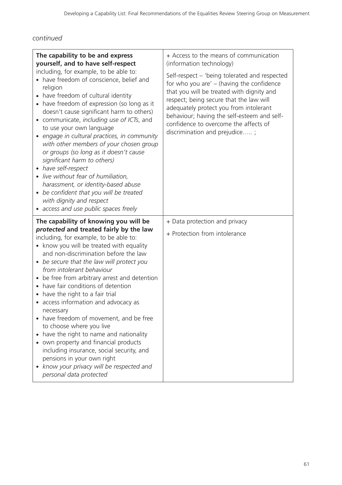| The capability to be and express<br>yourself, and to have self-respect<br>including, for example, to be able to:<br>• have freedom of conscience, belief and<br>religion<br>have freedom of cultural identity<br>have freedom of expression (so long as it<br>doesn't cause significant harm to others)<br>communicate, including use of ICTs, and<br>to use your own language<br>engage in cultural practices, in community<br>with other members of your chosen group<br>or groups (so long as it doesn't cause<br>significant harm to others)<br>have self-respect<br>· live without fear of humiliation,<br>harassment, or identity-based abuse<br>be confident that you will be treated<br>$\bullet$<br>with dignity and respect<br>• access and use public spaces freely                      | + Access to the means of communication<br>(information technology)<br>Self-respect – 'being tolerated and respected<br>for who you are' $-$ (having the confidence<br>that you will be treated with dignity and<br>respect; being secure that the law will<br>adequately protect you from intolerant<br>behaviour; having the self-esteem and self-<br>confidence to overcome the affects of<br>discrimination and prejudice; |
|-----------------------------------------------------------------------------------------------------------------------------------------------------------------------------------------------------------------------------------------------------------------------------------------------------------------------------------------------------------------------------------------------------------------------------------------------------------------------------------------------------------------------------------------------------------------------------------------------------------------------------------------------------------------------------------------------------------------------------------------------------------------------------------------------------|-------------------------------------------------------------------------------------------------------------------------------------------------------------------------------------------------------------------------------------------------------------------------------------------------------------------------------------------------------------------------------------------------------------------------------|
| The capability of knowing you will be<br>protected and treated fairly by the law<br>including, for example, to be able to:<br>• know you will be treated with equality<br>and non-discrimination before the law<br>be secure that the law will protect you<br>$\bullet$<br>from intolerant behaviour<br>be free from arbitrary arrest and detention<br>$\bullet$<br>have fair conditions of detention<br>have the right to a fair trial<br>• access information and advocacy as<br>necessary<br>have freedom of movement, and be free<br>to choose where you live<br>have the right to name and nationality<br>own property and financial products<br>including insurance, social security, and<br>pensions in your own right<br>know your privacy will be respected and<br>personal data protected | + Data protection and privacy<br>+ Protection from intolerance                                                                                                                                                                                                                                                                                                                                                                |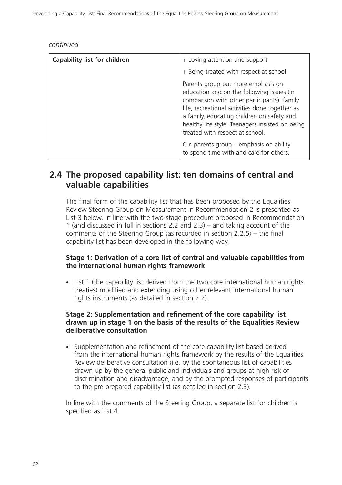| <b>Capability list for children</b> | + Loving attention and support                                                                                                                                                                                                                                                                                       |
|-------------------------------------|----------------------------------------------------------------------------------------------------------------------------------------------------------------------------------------------------------------------------------------------------------------------------------------------------------------------|
|                                     | + Being treated with respect at school                                                                                                                                                                                                                                                                               |
|                                     | Parents group put more emphasis on<br>education and on the following issues (in<br>comparison with other participants): family<br>life, recreational activities done together as<br>a family, educating children on safety and<br>healthy life style. Teenagers insisted on being<br>treated with respect at school. |
|                                     | C.r. parents group $-$ emphasis on ability<br>to spend time with and care for others.                                                                                                                                                                                                                                |

# **2.4 The proposed capability list: ten domains of central and valuable capabilities**

The final form of the capability list that has been proposed by the Equalities Review Steering Group on Measurement in Recommendation 2 is presented as List 3 below. In line with the two-stage procedure proposed in Recommendation 1 (and discussed in full in sections 2.2 and 2.3) – and taking account of the comments of the Steering Group (as recorded in section 2.2.5) – the final capability list has been developed in the following way.

#### **Stage 1: Derivation of a core list of central and valuable capabilities from the international human rights framework**

- List 1 (the capability list derived from the two core international human rights treaties) modified and extending using other relevant international human rights instruments (as detailed in section 2.2).

#### **Stage 2: Supplementation and refinement of the core capability list drawn up in stage 1 on the basis of the results of the Equalities Review deliberative consultation**

- Supplementation and refinement of the core capability list based derived from the international human rights framework by the results of the Equalities Review deliberative consultation (i.e. by the spontaneous list of capabilities drawn up by the general public and individuals and groups at high risk of discrimination and disadvantage, and by the prompted responses of participants to the pre-prepared capability list (as detailed in section 2.3).

In line with the comments of the Steering Group, a separate list for children is specified as List 4.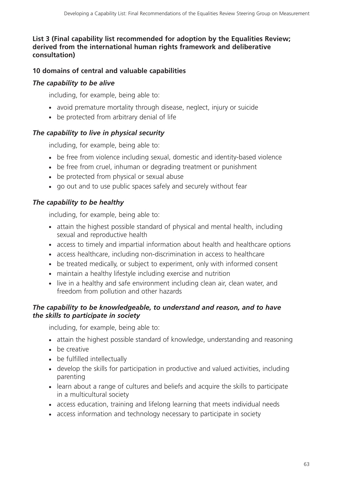## **List 3 (Final capability list recommended for adoption by the Equalities Review; derived from the international human rights framework and deliberative consultation)**

# **10 domains of central and valuable capabilities**

# *The capability to be alive*

including, for example, being able to:

- avoid premature mortality through disease, neglect, injury or suicide
- be protected from arbitrary denial of life

# *The capability to live in physical security*

including, for example, being able to:

- be free from violence including sexual, domestic and identity-based violence
- be free from cruel, inhuman or degrading treatment or punishment
- be protected from physical or sexual abuse
- go out and to use public spaces safely and securely without fear

# *The capability to be healthy*

including, for example, being able to:

- attain the highest possible standard of physical and mental health, including sexual and reproductive health
- access to timely and impartial information about health and healthcare options
- access healthcare, including non-discrimination in access to healthcare
- be treated medically, or subject to experiment, only with informed consent
- maintain a healthy lifestyle including exercise and nutrition
- live in a healthy and safe environment including clean air, clean water, and freedom from pollution and other hazards

# *The capability to be knowledgeable, to understand and reason, and to have the skills to participate in society*

including, for example, being able to:

- attain the highest possible standard of knowledge, understanding and reasoning
- be creative
- be fulfilled intellectually
- develop the skills for participation in productive and valued activities, including parenting
- learn about a range of cultures and beliefs and acquire the skills to participate in a multicultural society
- access education, training and lifelong learning that meets individual needs
- access information and technology necessary to participate in society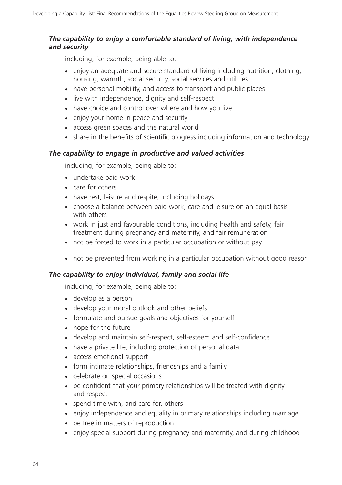## *The capability to enjoy a comfortable standard of living, with independence and security*

including, for example, being able to:

- enjoy an adequate and secure standard of living including nutrition, clothing, housing, warmth, social security, social services and utilities
- have personal mobility, and access to transport and public places
- live with independence, dignity and self-respect
- have choice and control over where and how you live
- enjoy your home in peace and security
- access green spaces and the natural world
- share in the benefits of scientific progress including information and technology

# *The capability to engage in productive and valued activities*

including, for example, being able to:

- undertake paid work
- care for others
- have rest, leisure and respite, including holidays
- choose a balance between paid work, care and leisure on an equal basis with others
- work in just and favourable conditions, including health and safety, fair treatment during pregnancy and maternity, and fair remuneration
- not be forced to work in a particular occupation or without pay
- not be prevented from working in a particular occupation without good reason

# *The capability to enjoy individual, family and social life*

including, for example, being able to:

- develop as a person
- develop your moral outlook and other beliefs
- formulate and pursue goals and objectives for yourself
- hope for the future
- develop and maintain self-respect, self-esteem and self-confidence
- have a private life, including protection of personal data
- access emotional support
- form intimate relationships, friendships and a family
- celebrate on special occasions
- be confident that your primary relationships will be treated with dignity and respect
- spend time with, and care for, others
- enjoy independence and equality in primary relationships including marriage
- be free in matters of reproduction
- enjoy special support during pregnancy and maternity, and during childhood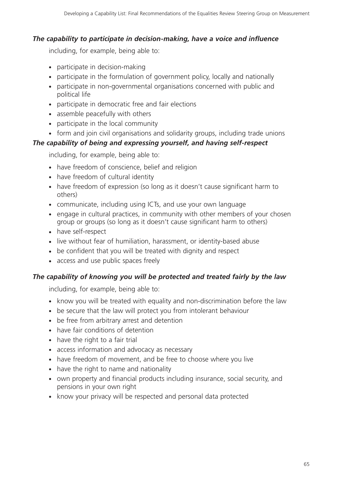# *The capability to participate in decision-making, have a voice and influence*

including, for example, being able to:

- participate in decision-making
- participate in the formulation of government policy, locally and nationally
- participate in non-governmental organisations concerned with public and political life
- participate in democratic free and fair elections
- assemble peacefully with others
- participate in the local community
- form and join civil organisations and solidarity groups, including trade unions

# *The capability of being and expressing yourself, and having self-respect*

including, for example, being able to:

- have freedom of conscience, belief and religion
- have freedom of cultural identity
- have freedom of expression (so long as it doesn't cause significant harm to others)
- communicate, including using ICTs, and use your own language
- engage in cultural practices, in community with other members of your chosen group or groups (so long as it doesn't cause significant harm to others)
- have self-respect
- live without fear of humiliation, harassment, or identity-based abuse
- be confident that you will be treated with dignity and respect
- access and use public spaces freely

# *The capability of knowing you will be protected and treated fairly by the law*

including, for example, being able to:

- know you will be treated with equality and non-discrimination before the law
- be secure that the law will protect you from intolerant behaviour
- be free from arbitrary arrest and detention
- have fair conditions of detention
- have the right to a fair trial
- access information and advocacy as necessary
- have freedom of movement, and be free to choose where you live
- have the right to name and nationality
- own property and financial products including insurance, social security, and pensions in your own right
- know your privacy will be respected and personal data protected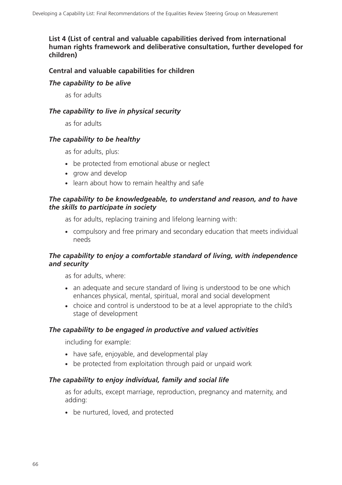**List 4 (List of central and valuable capabilities derived from international human rights framework and deliberative consultation, further developed for children)**

#### **Central and valuable capabilities for children**

#### *The capability to be alive*

as for adults

#### *The capability to live in physical security*

as for adults

#### *The capability to be healthy*

as for adults, plus:

- be protected from emotional abuse or neglect
- grow and develop
- learn about how to remain healthy and safe

#### *The capability to be knowledgeable, to understand and reason, and to have the skills to participate in society*

as for adults, replacing training and lifelong learning with:

- compulsory and free primary and secondary education that meets individual needs

#### *The capability to enjoy a comfortable standard of living, with independence and security*

as for adults, where:

- an adequate and secure standard of living is understood to be one which enhances physical, mental, spiritual, moral and social development
- choice and control is understood to be at a level appropriate to the child's stage of development

#### *The capability to be engaged in productive and valued activities*

including for example:

- have safe, enjoyable, and developmental play
- be protected from exploitation through paid or unpaid work

#### *The capability to enjoy individual, family and social life*

as for adults, except marriage, reproduction, pregnancy and maternity, and adding:

• be nurtured, loved, and protected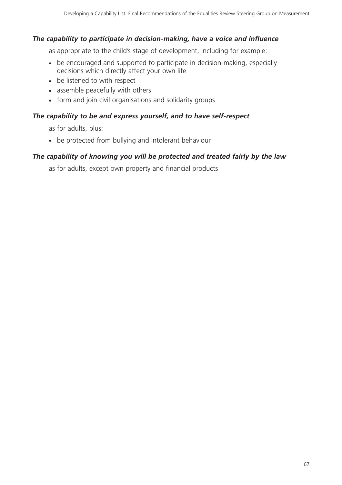## *The capability to participate in decision-making, have a voice and influence*

as appropriate to the child's stage of development, including for example:

- be encouraged and supported to participate in decision-making, especially decisions which directly affect your own life
- be listened to with respect
- assemble peacefully with others
- form and join civil organisations and solidarity groups

#### *The capability to be and express yourself, and to have self-respect*

as for adults, plus:

- be protected from bullying and intolerant behaviour

#### *The capability of knowing you will be protected and treated fairly by the law*

as for adults, except own property and financial products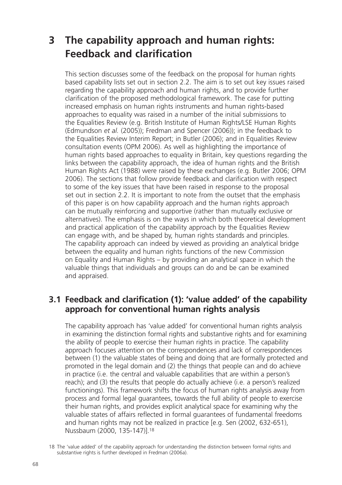# **3 The capability approach and human rights: Feedback and clarification**

This section discusses some of the feedback on the proposal for human rights based capability lists set out in section 2.2. The aim is to set out key issues raised regarding the capability approach and human rights, and to provide further clarification of the proposed methodological framework. The case for putting increased emphasis on human rights instruments and human rights-based approaches to equality was raised in a number of the initial submissions to the Equalities Review (e.g. British Institute of Human Rights/LSE Human Rights (Edmundson *et al.* (2005)); Fredman and Spencer (2006)); in the feedback to the Equalities Review Interim Report; in Butler (2006); and in Equalities Review consultation events (OPM 2006). As well as highlighting the importance of human rights based approaches to equality in Britain, key questions regarding the links between the capability approach, the idea of human rights and the British Human Rights Act (1988) were raised by these exchanges (e.g. Butler 2006; OPM 2006). The sections that follow provide feedback and clarification with respect to some of the key issues that have been raised in response to the proposal set out in section 2.2. It is important to note from the outset that the emphasis of this paper is on how capability approach and the human rights approach can be mutually reinforcing and supportive (rather than mutually exclusive or alternatives). The emphasis is on the ways in which both theoretical development and practical application of the capability approach by the Equalities Review can engage with, and be shaped by, human rights standards and principles. The capability approach can indeed by viewed as providing an analytical bridge between the equality and human rights functions of the new Commission on Equality and Human Rights – by providing an analytical space in which the valuable things that individuals and groups can do and be can be examined and appraised.

# **3.1 Feedback and clarification (1): 'value added' of the capability approach for conventional human rights analysis**

The capability approach has 'value added' for conventional human rights analysis in examining the distinction formal rights and substantive rights and for examining the ability of people to exercise their human rights in practice. The capability approach focuses attention on the correspondences and lack of correspondences between (1) the valuable states of being and doing that are formally protected and promoted in the legal domain and (2) the things that people can and do achieve in practice (i.e. the central and valuable capabilities that are within a person's reach); and (3) the results that people do actually achieve (i.e. a person's realized functionings). This framework shifts the focus of human rights analysis away from process and formal legal guarantees, towards the full ability of people to exercise their human rights, and provides explicit analytical space for examining why the valuable states of affairs reflected in formal guarantees of fundamental freedoms and human rights may not be realized in practice [e.g. Sen (2002, 632-651), Nussbaum (2000, 135-147)].18

<sup>18</sup> The 'value added' of the capability approach for understanding the distinction between formal rights and substantive rights is further developed in Fredman (2006a).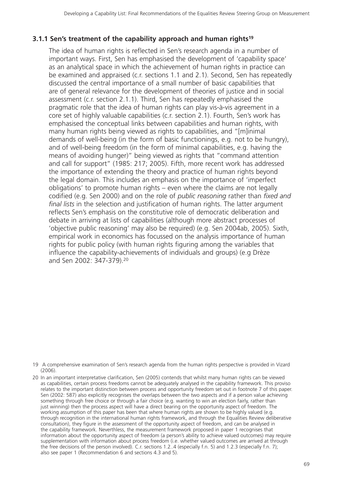## **3.1.1 Sen's treatment of the capability approach and human rights19**

The idea of human rights is reflected in Sen's research agenda in a number of important ways. First, Sen has emphasised the development of 'capability space' as an analytical space in which the achievement of human rights in practice can be examined and appraised (c.r. sections 1.1 and 2.1). Second, Sen has repeatedly discussed the central importance of a small number of basic capabilities that are of general relevance for the development of theories of justice and in social assessment (c.r. section 2.1.1). Third, Sen has repeatedly emphasised the pragmatic role that the idea of human rights can play vis-à-vis agreement in a core set of highly valuable capabilities (c.r. section 2.1). Fourth, Sen's work has emphasised the conceptual links between capabilities and human rights, with many human rights being viewed as rights to capabilities, and "[m]inimal demands of well-being (in the form of basic functionings, e.g. not to be hungry), and of well-being freedom (in the form of minimal capabilities, e.g. having the means of avoiding hunger)" being viewed as rights that "command attention and call for support" (1985: 217; 2005). Fifth, more recent work has addressed the importance of extending the theory and practice of human rights beyond the legal domain. This includes an emphasis on the importance of 'imperfect obligations' to promote human rights – even where the claims are not legally codified (e.g. Sen 2000) and on the role of *public reasoning* rather than *fixed and final lists* in the selection and justification of human rights. The latter argument reflects Sen's emphasis on the constitutive role of democratic deliberation and debate in arriving at lists of capabilities (although more abstract processes of 'objective public reasoning' may also be required) (e.g. Sen 2004ab, 2005). Sixth, empirical work in economics has focussed on the analysis importance of human rights for public policy (with human rights figuring among the variables that influence the capability-achievements of individuals and groups) (e.g Drèze and Sen 2002: 347-379).20

<sup>19</sup> A comprehensive examination of Sen's research agenda from the human rights perspective is provided in Vizard (2006).

<sup>20</sup> In an important interpretative clarification, Sen (2005) contends that whilst many human rights can be viewed as capabilities, certain process freedoms cannot be adequately analysed in the capability framework. This proviso relates to the important distinction between process and opportunity freedom set out in footnote 7 of this paper. Sen (2002: 587) also explicitly recognises the overlaps between the two aspects and if a person value achieving something through free choice or through a fair choice (e.g. wanting to win an election fairly, rather than just winning) then the process aspect will have a direct bearing on the opportunity aspect of freedom. The working assumption of this paper has been that where human rights are shown to be highly valued (e.g. through recognition in the international human rights framework, and through the Equalities Review deliberative consultation), they figure in the assessment of the opportunity aspect of freedom, and can be analysed in the capability framework. Neverthless, the measurement framework proposed in paper 1 recognises that information about the opportunity aspect of freedom (a person's ability to achieve valued outcomes) may require supplementation with information about process freedom (i.e. whether valued outcomes are arrived at through the free decisions of the person involved). C.r. sections 1.2..4 (especially f.n. 5) and 1.2.3 (especially f.n. 7); also see paper 1 (Recommendation 6 and sections 4.3 and 5).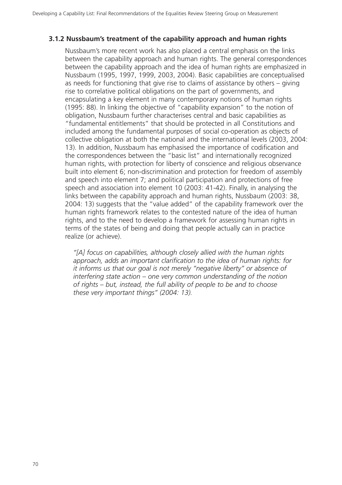#### **3.1.2 Nussbaum's treatment of the capability approach and human rights**

Nussbaum's more recent work has also placed a central emphasis on the links between the capability approach and human rights. The general correspondences between the capability approach and the idea of human rights are emphasized in Nussbaum (1995, 1997, 1999, 2003, 2004). Basic capabilities are conceptualised as needs for functioning that give rise to claims of assistance by others – giving rise to correlative political obligations on the part of governments, and encapsulating a key element in many contemporary notions of human rights (1995: 88). In linking the objective of "capability expansion" to the notion of obligation, Nussbaum further characterises central and basic capabilities as "fundamental entitlements" that should be protected in all Constitutions and included among the fundamental purposes of social co-operation as objects of collective obligation at both the national and the international levels (2003, 2004: 13). In addition, Nussbaum has emphasised the importance of codification and the correspondences between the "basic list" and internationally recognized human rights, with protection for liberty of conscience and religious observance built into element 6; non-discrimination and protection for freedom of assembly and speech into element 7; and political participation and protections of free speech and association into element 10 (2003: 41-42). Finally, in analysing the links between the capability approach and human rights, Nussbaum (2003: 38, 2004: 13) suggests that the "value added" of the capability framework over the human rights framework relates to the contested nature of the idea of human rights, and to the need to develop a framework for assessing human rights in terms of the states of being and doing that people actually can in practice realize (or achieve).

*"[A] focus on capabilities, although closely allied with the human rights approach, adds an important clarification to the idea of human rights: for it informs us that our goal is not merely "negative liberty" or absence of interfering state action – one very common understanding of the notion of rights – but, instead, the full ability of people to be and to choose these very important things" (2004: 13).*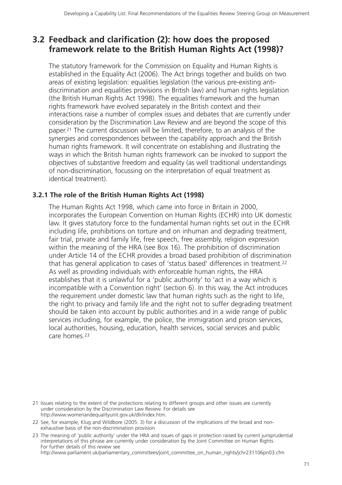# **3.2 Feedback and clarification (2): how does the proposed framework relate to the British Human Rights Act (1998)?**

The statutory framework for the Commission on Equality and Human Rights is established in the Equality Act (2006). The Act brings together and builds on two areas of existing legislation: equalities legislation (the various pre-existing antidiscrimination and equalities provisions in British law) and human rights legislation (the British Human Rights Act 1998). The equalities framework and the human rights framework have evolved separately in the British context and their interactions raise a number of complex issues and debates that are currently under consideration by the Discrimination Law Review and are beyond the scope of this paper.21 The current discussion will be limited, therefore, to an analysis of the synergies and correspondences between the capability approach and the British human rights framework. It will concentrate on establishing and illustrating the ways in which the British human rights framework can be invoked to support the objectives of substantive freedom and equality (as well traditional understandings of non-discrimination, focussing on the interpretation of equal treatment as identical treatment).

### **3.2.1 The role of the British Human Rights Act (1998)**

The Human Rights Act 1998, which came into force in Britain in 2000, incorporates the European Convention on Human Rights (ECHR) into UK domestic law. It gives statutory force to the fundamental human rights set out in the ECHR including life, prohibitions on torture and on inhuman and degrading treatment, fair trial, private and family life, free speech, free assembly, religion expression within the meaning of the HRA (see Box 16). The prohibition of discrimination under Article 14 of the ECHR provides a broad based prohibition of discrimination that has general application to cases of 'status based' differences in treatment.<sup>22</sup> As well as providing individuals with enforceable human rights, the HRA establishes that it is unlawful for a 'public authority' to 'act in a way which is incompatible with a Convention right' (section 6). In this way, the Act introduces the requirement under domestic law that human rights such as the right to life, the right to privacy and family life and the right not to suffer degrading treatment should be taken into account by public authorities and in a wide range of public services including, for example, the police, the immigration and prison services, local authorities, housing, education, health services, social services and public care homes.23

<sup>21</sup> Issues relating to the extent of the protections relating to different groups and other issues are currently under consideration by the Discrimination Law Review. For details see http://www.womenandequalityunit.gov.uk/dlr/index.htm.

<sup>22</sup> See, for example, Klug and Wildbore (2005: 3) for a discussion of the implications of the broad and nonexhaustive basis of the non-discrimination provision

<sup>23</sup> The meaning of 'public authority' under the HRA and issues of gaps in protection raised by current jurisprudential interpretations of this phrase are currently under consideration by the Joint Committee on Human Rights. For further details of this review see http://www.parliament.uk/parliamentary\_committees/joint\_committee\_on\_human\_rights/jchr231106pn03.cfm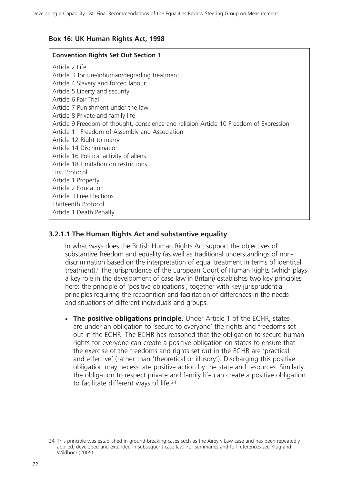### **Box 16: UK Human Rights Act, 1998**

#### **Convention Rights Set Out Section 1**

Article 2 Life Article 3 Torture/inhuman/degrading treatment Article 4 Slavery and forced labour Article 5 Liberty and security Article 6 Fair Trial Article 7 Punishment under the law Article 8 Private and family life Article 9 Freedom of thought, conscience and religion Article 10 Freedom of Expression Article 11 Freedom of Assembly and Association Article 12 Right to marry Article 14 Discrimination Article 16 Political activity of aliens Article 18 Limitation on restrictions First Protocol Article 1 Property Article 2 Education Article 3 Free Elections Thirteenth Protocol Article 1 Death Penalty

## **3.2.1.1 The Human Rights Act and substantive equality**

In what ways does the British Human Rights Act support the objectives of substantive freedom and equality (as well as traditional understandings of nondiscrimination based on the interpretation of equal treatment in terms of identical treatment)? The jurisprudence of the European Court of Human Rights (which plays a key role in the development of case law in Britain) establishes two key principles here: the principle of 'positive obligations', together with key jurisprudential principles requiring the recognition and facilitation of differences in the needs and situations of different individuals and groups.

- **The positive obligations principle.** Under Article 1 of the ECHR, states are under an obligation to 'secure to everyone' the rights and freedoms set out in the ECHR. The ECHR has reasoned that the obligation to secure human rights for everyone can create a positive obligation on states to ensure that the exercise of the freedoms and rights set out in the ECHR are 'practical and effective' (rather than 'theoretical or illusory'). Discharging this positive obligation may necessitate positive action by the state and resources. Similarly the obligation to respect private and family life can create a positive obligation to facilitate different ways of life.24

<sup>24</sup> This principle was established in ground-breaking cases such as the Airey v Law case and has been repeatedly applied, developed and extended in subsequent case law. For summaries and full references see Klug and Wildbore (2005).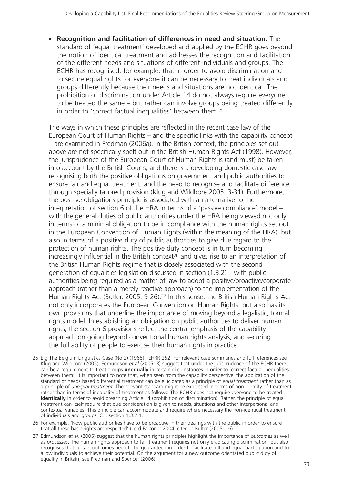- **Recognition and facilitation of differences in need and situation.** The standard of 'equal treatment' developed and applied by the ECHR goes beyond the notion of identical treatment and addresses the recognition and facilitation of the different needs and situations of different individuals and groups. The ECHR has recognised, for example, that in order to avoid discrimination and to secure equal rights for everyone it can be necessary to treat individuals and groups differently because their needs and situations are not identical. The prohibition of discrimination under Article 14 do not always require everyone to be treated the same – but rather can involve groups being treated differently in order to 'correct factual inequalities' between them.25

The ways in which these principles are reflected in the recent case law of the European Court of Human Rights – and the specific links with the capability concept – are examined in Fredman (2006a). In the British context, the principles set out above are not specifically spelt out in the British Human Rights Act (1998). However, the jurisprudence of the European Court of Human Rights is (and must) be taken into account by the British Courts; and there is a developing domestic case law recognising both the positive obligations on government and public authorities to ensure fair and equal treatment, and the need to recognise and facilitate difference through specially tailored provision (Klug and Wildbore 2005: 3-31). Furthermore, the positive obligations principle is associated with an alternative to the interpretation of section 6 of the HRA in terms of a 'passive compliance' model – with the general duties of public authorities under the HRA being viewed not only in terms of a minimal obligation to be in compliance with the human rights set out in the European Convention of Human Rights (within the meaning of the HRA), but also in terms of a positive duty of public authorities to give due regard to the protection of human rights. The positive duty concept is in turn becoming increasingly influential in the British context<sup>26</sup> and gives rise to an interpretation of the British Human Rights regime that is closely associated with the second generation of equalities legislation discussed in section (1.3.2) – with public authorities being required as a matter of law to adopt a positive/proactive/corporate approach (rather than a merely reactive approach) to the implementation of the Human Rights Act (Butler, 2005: 9-26).27 In this sense, the British Human Rights Act not only incorporates the European Convention on Human Rights, but also has its own provisions that underline the importance of moving beyond a legalistic, formal rights model. In establishing an obligation on public authorities to deliver human rights, the section 6 provisions reflect the central emphasis of the capability approach on going beyond conventional human rights analysis, and securing the full ability of people to exercise their human rights in practice.

- 25 E.g The Belgium Linguistics Case (No 2) (1968) I EHRR 252. For relevant case summaries and full references see Klug and Wildbore (2005). Edmundson *et al* (2005: 3) suggest that under the jurisprudence of the ECHR there can be a requirement to treat groups **unequally** in certain circumstances in order to 'correct factual inequalities between them'. It is important to note that, when seen from the capability perspective, the application of the standard of needs based differential treatment can be elucidated as a principle of *equal treatment* rather than as a principle of *unequal treatment*. The relevant standard might be expressed in terms of non-identity of treatment rather than in terms of inequality of treatment as follows: The ECHR does not require everyone to be treated **identically** in order to avoid breaching Article 14 (prohibition of discrimination). Rather, the principle of equal treatment can itself require that due consideration is given to needs, situations and other interpersonal and contextual variables. This principle can accommodate and require where necessary the non-identical treatment of individuals and groups. C.r. section 1.3.2.1.
- 26 For example: 'Now public authorities have to be proactive in their dealings with the public in order to ensure that all these basic rights are respected' (Lord Falconer 2004, cited in Bulter (2005: 16).
- 27 Edmundson *et al*. (2005) suggest that the human rights principles highlight the importance of *outcomes* as well as *processes*. The human rights approach to fair treatment requires not only eradicating discrimination, but also recognises that certain outcomes need to be guaranteed in order to facilitate full and equal participation and to allow individuals to achieve their potential. On the argument for a new outcome orientated public duty of equality in Britain, see Fredman and Spencer (2006).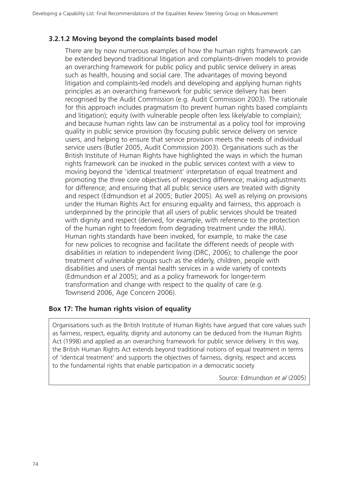#### **3.2.1.2 Moving beyond the complaints based model**

There are by now numerous examples of how the human rights framework can be extended beyond traditional litigation and complaints-driven models to provide an overarching framework for public policy and public service delivery in areas such as health, housing and social care. The advantages of moving beyond litigation and complaints-led models and developing and applying human rights principles as an overarching framework for public service delivery has been recognised by the Audit Commission (e.g. Audit Commission 2003). The rationale for this approach includes pragmatism (to prevent human rights based complaints and litigation); equity (with vulnerable people often less likely/able to complain); and because human rights law can be instrumental as a policy tool for improving quality in public service provision (by focusing public service delivery on service users, and helping to ensure that service provision meets the needs of individual service users (Butler 2005, Audit Commission 2003). Organisations such as the British Institute of Human Rights have highlighted the ways in which the human rights framework can be invoked in the public services context with a view to moving beyond the 'identical treatment' interpretation of equal treatment and promoting the three core objectives of respecting difference; making adjustments for difference; and ensuring that all public service users are treated with dignity and respect (Edmundson et al 2005; Butler 2005). As well as relying on provisions under the Human Rights Act for ensuring equality and fairness, this approach is underpinned by the principle that all users of public services should be treated with dignity and respect (derived, for example, with reference to the protection of the human right to freedom from degrading treatment under the HRA). Human rights standards have been invoked, for example, to make the case for new policies to recognise and facilitate the different needs of people with disabilities in relation to independent living (DRC, 2006); to challenge the poor treatment of vulnerable groups such as the elderly, children, people with disabilities and users of mental health services in a wide variety of contexts (Edmundson *et al* 2005); and as a policy framework for longer-term transformation and change with respect to the quality of care (e.g. Townsend 2006, Age Concern 2006).

#### **Box 17: The human rights vision of equality**

Organisations such as the British Institute of Human Rights have argued that core values such as fairness, respect, equality, dignity and autonomy can be deduced from the Human Rights Act (1998) and applied as an overarching framework for public service delivery. In this way, the British Human Rights Act extends beyond traditional notions of equal treatment in terms of 'identical treatment' and supports the objectives of fairness, dignity, respect and access to the fundamental rights that enable participation in a democratic society

Source: Edmundson *et al* (2005)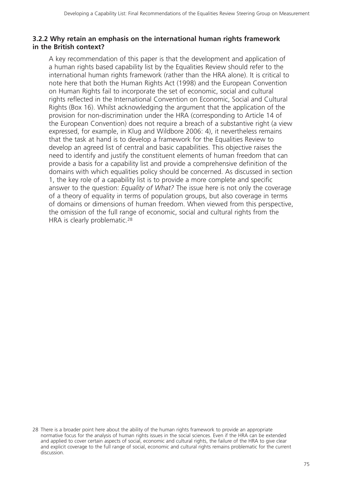#### **3.2.2 Why retain an emphasis on the international human rights framework in the British context?**

A key recommendation of this paper is that the development and application of a human rights based capability list by the Equalities Review should refer to the international human rights framework (rather than the HRA alone). It is critical to note here that both the Human Rights Act (1998) and the European Convention on Human Rights fail to incorporate the set of economic, social and cultural rights reflected in the International Convention on Economic, Social and Cultural Rights (Box 16). Whilst acknowledging the argument that the application of the provision for non-discrimination under the HRA (corresponding to Article 14 of the European Convention) does not require a breach of a substantive right (a view expressed, for example, in Klug and Wildbore 2006: 4), it nevertheless remains that the task at hand is to develop a framework for the Equalities Review to develop an agreed list of central and basic capabilities. This objective raises the need to identify and justify the constituent elements of human freedom that can provide a basis for a capability list and provide a comprehensive definition of the domains with which equalities policy should be concerned. As discussed in section 1, the key role of a capability list is to provide a more complete and specific answer to the question: *Equality of What?* The issue here is not only the coverage of a theory of equality in terms of population groups, but also coverage in terms of domains or dimensions of human freedom. When viewed from this perspective, the omission of the full range of economic, social and cultural rights from the HRA is clearly problematic.28

<sup>28</sup> There is a broader point here about the ability of the human rights framework to provide an appropriate normative focus for the analysis of human rights issues in the social sciences. Even if the HRA can be extended and applied to cover certain aspects of social, economic and cultural rights, the failure of the HRA to give clear and explicit coverage to the full range of social, economic and cultural rights remains problematic for the current discussion.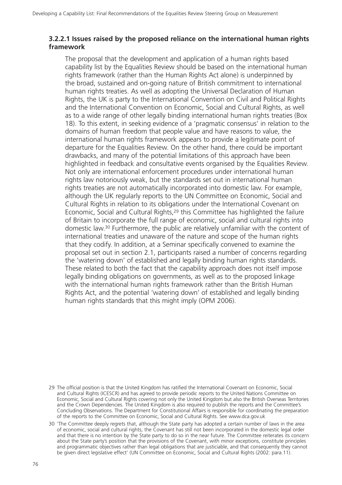#### **3.2.2.1 Issues raised by the proposed reliance on the international human rights framework**

The proposal that the development and application of a human rights based capability list by the Equalities Review should be based on the international human rights framework (rather than the Human Rights Act alone) is underpinned by the broad, sustained and on-going nature of British commitment to international human rights treaties. As well as adopting the Universal Declaration of Human Rights, the UK is party to the International Convention on Civil and Political Rights and the International Convention on Economic, Social and Cultural Rights, as well as to a wide range of other legally binding international human rights treaties (Box 18). To this extent, in seeking evidence of a 'pragmatic consensus' in relation to the domains of human freedom that people value and have reasons to value, the international human rights framework appears to provide a legitimate point of departure for the Equalities Review. On the other hand, there could be important drawbacks, and many of the potential limitations of this approach have been highlighted in feedback and consultative events organised by the Equalities Review. Not only are international enforcement procedures under international human rights law notoriously weak, but the standards set out in international human rights treaties are not automatically incorporated into domestic law. For example, although the UK regularly reports to the UN Committee on Economic, Social and Cultural Rights in relation to its obligations under the International Covenant on Economic, Social and Cultural Rights,29 this Committee has highlighted the failure of Britain to incorporate the full range of economic, social and cultural rights into domestic law.30 Furthermore, the public are relatively unfamiliar with the content of international treaties and unaware of the nature and scope of the human rights that they codify. In addition, at a Seminar specifically convened to examine the proposal set out in section 2.1, participants raised a number of concerns regarding the 'watering down' of established and legally binding human rights standards. These related to both the fact that the capability approach does not itself impose legally binding obligations on governments, as well as to the proposed linkage with the international human rights framework rather than the British Human Rights Act, and the potential 'watering down' of established and legally binding human rights standards that this might imply (OPM 2006).

<sup>29</sup> The official position is that the United Kingdom has ratified the International Covenant on Economic, Social and Cultural Rights (ICESCR) and has agreed to provide periodic reports to the United Nations Committee on Economic, Social and Cultural Rights covering not only the United Kingdom but also the British Overseas Territories and the Crown Dependencies. The United Kingdom is also required to publish the reports and the Committee's Concluding Observations. The Department for Constitutional Affairs is responsible for coordinating the preparation of the reports to the Committee on Economic, Social and Cultural Rights. See www.dca.gov.uk

<sup>30 &#</sup>x27;The Committee deeply regrets that, although the State party has adopted a certain number of laws in the area of economic, social and cultural rights, the Covenant has still not been incorporated in the domestic legal order and that there is no intention by the State party to do so in the near future. The Committee reiterates its concern about the State party's position that the provisions of the Covenant, with minor exceptions, constitute principles and programmatic objectives rather than legal obligations that are justiciable, and that consequently they cannot be given direct legislative effect' (UN Committee on Economic, Social and Cultural Rights (2002: para.11).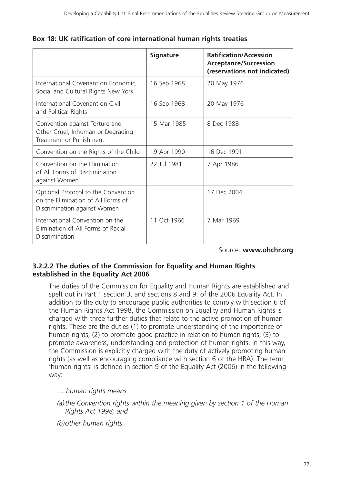|                                                                                                           | <b>Signature</b> | <b>Ratification/Accession</b><br><b>Acceptance/Succession</b><br>(reservations not indicated) |
|-----------------------------------------------------------------------------------------------------------|------------------|-----------------------------------------------------------------------------------------------|
| International Covenant on Economic,<br>Social and Cultural Rights New York                                | 16 Sep 1968      | 20 May 1976                                                                                   |
| International Covenant on Civil<br>and Political Rights                                                   | 16 Sep 1968      | 20 May 1976                                                                                   |
| Convention against Torture and<br>Other Cruel, Inhuman or Degrading<br>Treatment or Punishment            | 15 Mar 1985      | 8 Dec 1988                                                                                    |
| Convention on the Rights of the Child                                                                     | 19 Apr 1990      | 16 Dec 1991                                                                                   |
| Convention on the Elimination<br>of All Forms of Discrimination<br>against Women                          | 22 Jul 1981      | 7 Apr 1986                                                                                    |
| Optional Protocol to the Convention<br>on the Elimination of All Forms of<br>Discrimination against Women |                  | 17 Dec 2004                                                                                   |
| International Convention on the<br>Elimination of All Forms of Racial<br>Discrimination                   | 11 Oct 1966      | 7 Mar 1969                                                                                    |

Source: **www.ohchr.org**

### **3.2.2.2 The duties of the Commission for Equality and Human Rights established in the Equality Act 2006**

The duties of the Commission for Equality and Human Rights are established and spelt out in Part 1 section 3, and sections 8 and 9, of the 2006 Equality Act. In addition to the duty to encourage public authorities to comply with section 6 of the Human Rights Act 1998, the Commission on Equality and Human Rights is charged with three further duties that relate to the active promotion of human rights. These are the duties (1) to promote understanding of the importance of human rights; (2) to promote good practice in relation to human rights; (3) to promote awareness, understanding and protection of human rights. In this way, the Commission is explicitly charged with the duty of actively promoting human rights (as well as encouraging compliance with section 6 of the HRA). The term 'human rights' is defined in section 9 of the Equality Act (2006) in the following way:

*… human rights means*

*(a)the Convention rights within the meaning given by section 1 of the Human Rights Act 1998; and*

*(b)other human rights.*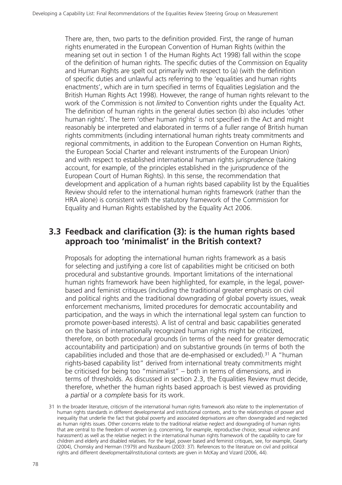There are, then, two parts to the definition provided. First, the range of human rights enumerated in the European Convention of Human Rights (within the meaning set out in section 1 of the Human Rights Act 1998) fall within the scope of the definition of human rights. The specific duties of the Commission on Equality and Human Rights are spelt out primarily with respect to (a) (with the definition of specific duties and unlawful acts referring to the 'equalities and human rights enactments', which are in turn specified in terms of Equalities Legislation and the British Human Rights Act 1998). However, the range of human rights relevant to the work of the Commission is not *limited* to Convention rights under the Equality Act. The definition of human rights in the general duties section (b) also includes 'other human rights'. The term 'other human rights' is not specified in the Act and might reasonably be interpreted and elaborated in terms of a fuller range of British human rights commitments (including international human rights treaty commitments and regional commitments, in addition to the European Convention on Human Rights, the European Social Charter and relevant instruments of the European Union) and with respect to established international human rights jurisprudence (taking account, for example, of the principles established in the jurisprudence of the European Court of Human Rights). In this sense, the recommendation that development and application of a human rights based capability list by the Equalities Review should refer to the international human rights framework (rather than the HRA alone) is consistent with the statutory framework of the Commission for Equality and Human Rights established by the Equality Act 2006.

# **3.3 Feedback and clarification (3): is the human rights based approach too 'minimalist' in the British context?**

Proposals for adopting the international human rights framework as a basis for selecting and justifying a core list of capabilities might be criticised on both procedural and substantive grounds. Important limitations of the international human rights framework have been highlighted, for example, in the legal, powerbased and feminist critiques (including the traditional greater emphasis on civil and political rights and the traditional downgrading of global poverty issues, weak enforcement mechanisms, limited procedures for democratic accountability and participation, and the ways in which the international legal system can function to promote power-based interests). A list of central and basic capabilities generated on the basis of internationally recognized human rights might be criticized, therefore, on both procedural grounds (in terms of the need for greater democratic accountability and participation) and on substantive grounds (in terms of both the capabilities included and those that are de-emphasised or excluded).31 A "human rights-based capability list" derived from international treaty commitments might be criticised for being too "minimalist" – both in terms of dimensions, and in terms of thresholds. As discussed in section 2.3, the Equalities Review must decide, therefore, whether the human rights based approach is best viewed as providing a *partial* or a *complete* basis for its work.

<sup>31</sup> In the broader literature, criticism of the international human rights framework also relate to the implementation of human rights standards in different developmental and institutional contexts, and to the relationships of power and inequality that underlie the fact that global poverty and associated deprivations are often downgraded and neglected as human rights issues. Other concerns relate to the traditional relative neglect and downgrading of human rights that are central to the freedom of women (e.g. concerning, for example, reproductive choice, sexual violence and harassment) as well as the relative neglect in the international human rights framework of the capability to care for children and elderly and disabled relatives. For the legal, power based and feminist critiques, see, for example, Gearty (2004), Chomsky and Herman (1979) and Nussbaum (2003: 37). References to the literature on civil and political rights and different developmental/institutional contexts are given in McKay and Vizard (2006, 44).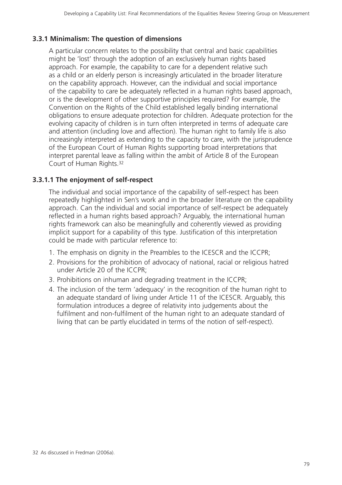### **3.3.1 Minimalism: The question of dimensions**

A particular concern relates to the possibility that central and basic capabilities might be 'lost' through the adoption of an exclusively human rights based approach. For example, the capability to care for a dependent relative such as a child or an elderly person is increasingly articulated in the broader literature on the capability approach. However, can the individual and social importance of the capability to care be adequately reflected in a human rights based approach, or is the development of other supportive principles required? For example, the Convention on the Rights of the Child established legally binding international obligations to ensure adequate protection for children. Adequate protection for the evolving capacity of children is in turn often interpreted in terms of adequate care and attention (including love and affection). The human right to family life is also increasingly interpreted as extending to the capacity to care, with the jurisprudence of the European Court of Human Rights supporting broad interpretations that interpret parental leave as falling within the ambit of Article 8 of the European Court of Human Rights.32

## **3.3.1.1 The enjoyment of self-respect**

The individual and social importance of the capability of self-respect has been repeatedly highlighted in Sen's work and in the broader literature on the capability approach. Can the individual and social importance of self-respect be adequately reflected in a human rights based approach? Arguably, the international human rights framework can also be meaningfully and coherently viewed as providing implicit support for a capability of this type. Justification of this interpretation could be made with particular reference to:

- 1. The emphasis on dignity in the Preambles to the ICESCR and the ICCPR;
- 2. Provisions for the prohibition of advocacy of national, racial or religious hatred under Article 20 of the ICCPR;
- 3. Prohibitions on inhuman and degrading treatment in the ICCPR;
- 4. The inclusion of the term 'adequacy' in the recognition of the human right to an adequate standard of living under Article 11 of the ICESCR. Arguably, this formulation introduces a degree of relativity into judgements about the fulfilment and non-fulfilment of the human right to an adequate standard of living that can be partly elucidated in terms of the notion of self-respect).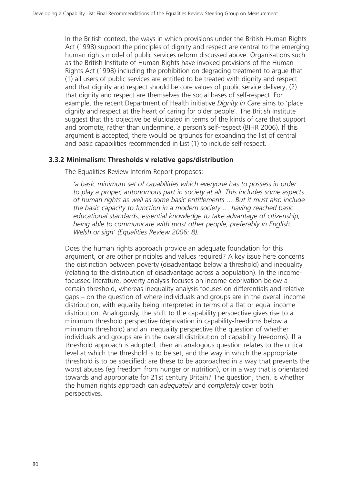In the British context, the ways in which provisions under the British Human Rights Act (1998) support the principles of dignity and respect are central to the emerging human rights model of public services reform discussed above. Organisations such as the British Institute of Human Rights have invoked provisions of the Human Rights Act (1998) including the prohibition on degrading treatment to argue that (1) all users of public services are entitled to be treated with dignity and respect and that dignity and respect should be core values of public service delivery; (2) that dignity and respect are themselves the social bases of self-respect. For example, the recent Department of Health initiative *Dignity in Care* aims to 'place dignity and respect at the heart of caring for older people'. The British Institute suggest that this objective be elucidated in terms of the kinds of care that support and promote, rather than undermine, a person's self-respect (BIHR 2006). If this argument is accepted, there would be grounds for expanding the list of central and basic capabilities recommended in List (1) to include self-respect.

#### **3.3.2 Minimalism: Thresholds v relative gaps/distribution**

The Equalities Review Interim Report proposes:

*'a basic minimum set of capabilities which everyone has to possess in order to play a proper, autonomous part in society at all. This includes some aspects of human rights as well as some basic entitlements … But it must also include the basic capacity to function in a modern society … having reached basic educational standards, essential knowledge to take advantage of citizenship, being able to communicate with most other people, preferably in English, Welsh or sign' (Equalities Review 2006: 8).*

Does the human rights approach provide an adequate foundation for this argument, or are other principles and values required? A key issue here concerns the distinction between poverty (disadvantage below a threshold) and inequality (relating to the distribution of disadvantage across a population). In the incomefocussed literature, poverty analysis focuses on income-deprivation below a certain threshold, whereas inequality analysis focuses on differentials and relative gaps – on the question of where individuals and groups are in the overall income distribution, with equality being interpreted in terms of a flat or equal income distribution. Analogously, the shift to the capability perspective gives rise to a minimum threshold perspective (deprivation in capability-freedoms below a minimum threshold) and an inequality perspective (the question of whether individuals and groups are in the overall distribution of capability freedoms). If a threshold approach is adopted, then an analogous question relates to the critical level at which the threshold is to be set, and the way in which the appropriate threshold is to be specified: are these to be approached in a way that prevents the worst abuses (eg freedom from hunger or nutrition), or in a way that is orientated towards and appropriate for 21st century Britain? The question, then, is whether the human rights approach can *adequately* and *completely* cover both perspectives.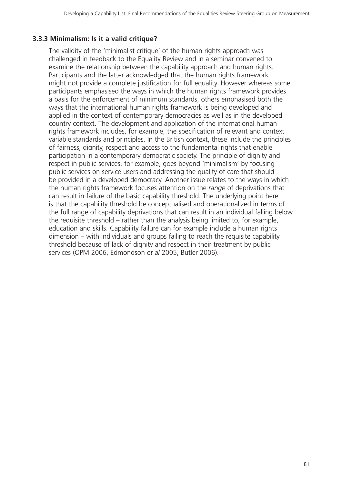## **3.3.3 Minimalism: Is it a valid critique?**

The validity of the 'minimalist critique' of the human rights approach was challenged in feedback to the Equality Review and in a seminar convened to examine the relationship between the capability approach and human rights. Participants and the latter acknowledged that the human rights framework might not provide a complete justification for full equality. However whereas some participants emphasised the ways in which the human rights framework provides a basis for the enforcement of minimum standards, others emphasised both the ways that the international human rights framework is being developed and applied in the context of contemporary democracies as well as in the developed country context. The development and application of the international human rights framework includes, for example, the specification of relevant and context variable standards and principles. In the British context, these include the principles of fairness, dignity, respect and access to the fundamental rights that enable participation in a contemporary democratic society. The principle of dignity and respect in public services, for example, goes beyond 'minimalism' by focusing public services on service users and addressing the quality of care that should be provided in a developed democracy. Another issue relates to the ways in which the human rights framework focuses attention on the *range* of deprivations that can result in failure of the basic capability threshold. The underlying point here is that the capability threshold be conceptualised and operationalized in terms of the full range of capability deprivations that can result in an individual falling below the requisite threshold – rather than the analysis being limited to, for example, education and skills. Capability failure can for example include a human rights dimension – with individuals and groups failing to reach the requisite capability threshold because of lack of dignity and respect in their treatment by public services (OPM 2006, Edmondson *et al* 2005, Butler 2006).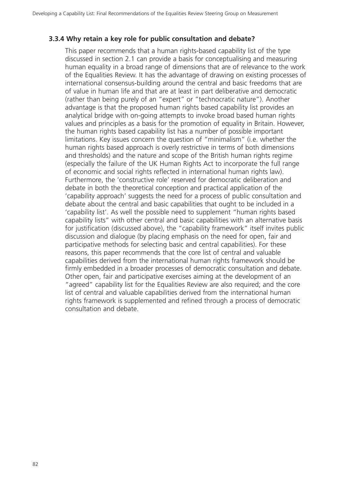#### **3.3.4 Why retain a key role for public consultation and debate?**

This paper recommends that a human rights-based capability list of the type discussed in section 2.1 can provide a basis for conceptualising and measuring human equality in a broad range of dimensions that are of relevance to the work of the Equalities Review. It has the advantage of drawing on existing processes of international consensus-building around the central and basic freedoms that are of value in human life and that are at least in part deliberative and democratic (rather than being purely of an "expert" or "technocratic nature"). Another advantage is that the proposed human rights based capability list provides an analytical bridge with on-going attempts to invoke broad based human rights values and principles as a basis for the promotion of equality in Britain. However, the human rights based capability list has a number of possible important limitations. Key issues concern the question of "minimalism" (i.e. whether the human rights based approach is overly restrictive in terms of both dimensions and thresholds) and the nature and scope of the British human rights regime (especially the failure of the UK Human Rights Act to incorporate the full range of economic and social rights reflected in international human rights law). Furthermore, the 'constructive role' reserved for democratic deliberation and debate in both the theoretical conception and practical application of the 'capability approach' suggests the need for a process of public consultation and debate about the central and basic capabilities that ought to be included in a 'capability list'. As well the possible need to supplement "human rights based capability lists" with other central and basic capabilities with an alternative basis for justification (discussed above), the "capability framework" itself invites public discussion and dialogue (by placing emphasis on the need for open, fair and participative methods for selecting basic and central capabilities). For these reasons, this paper recommends that the core list of central and valuable capabilities derived from the international human rights framework should be firmly embedded in a broader processes of democratic consultation and debate. Other open, fair and participative exercises aiming at the development of an "agreed" capability list for the Equalities Review are also required; and the core list of central and valuable capabilities derived from the international human rights framework is supplemented and refined through a process of democratic consultation and debate.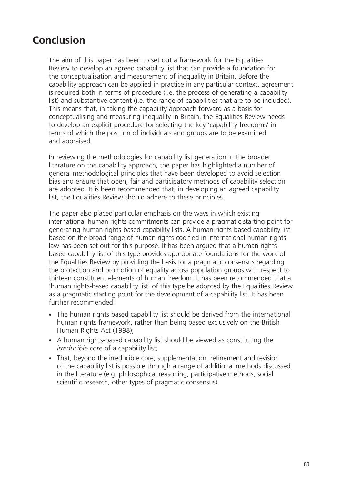# **Conclusion**

The aim of this paper has been to set out a framework for the Equalities Review to develop an agreed capability list that can provide a foundation for the conceptualisation and measurement of inequality in Britain. Before the capability approach can be applied in practice in any particular context, agreement is required both in terms of procedure (i.e. the process of generating a capability list) and substantive content (i.e. the range of capabilities that are to be included). This means that, in taking the capability approach forward as a basis for conceptualising and measuring inequality in Britain, the Equalities Review needs to develop an explicit procedure for selecting the key 'capability freedoms' in terms of which the position of individuals and groups are to be examined and appraised.

In reviewing the methodologies for capability list generation in the broader literature on the capability approach, the paper has highlighted a number of general methodological principles that have been developed to avoid selection bias and ensure that open, fair and participatory methods of capability selection are adopted. It is been recommended that, in developing an agreed capability list, the Equalities Review should adhere to these principles.

The paper also placed particular emphasis on the ways in which existing international human rights commitments can provide a pragmatic starting point for generating human rights-based capability lists. A human rights-based capability list based on the broad range of human rights codified in international human rights law has been set out for this purpose. It has been argued that a human rightsbased capability list of this type provides appropriate foundations for the work of the Equalities Review by providing the basis for a pragmatic consensus regarding the protection and promotion of equality across population groups with respect to thirteen constituent elements of human freedom. It has been recommended that a 'human rights-based capability list' of this type be adopted by the Equalities Review as a pragmatic starting point for the development of a capability list. It has been further recommended:

- The human rights based capability list should be derived from the international human rights framework, rather than being based exclusively on the British Human Rights Act (1998);
- A human rights-based capability list should be viewed as constituting the *irreducible core* of a capability list;
- That, beyond the irreducible core, supplementation, refinement and revision of the capability list is possible through a range of additional methods discussed in the literature (e.g. philosophical reasoning, participative methods, social scientific research, other types of pragmatic consensus).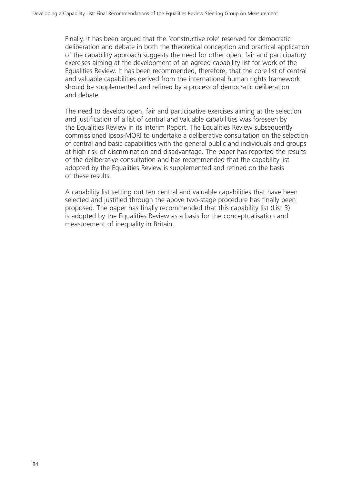Finally, it has been argued that the 'constructive role' reserved for democratic deliberation and debate in both the theoretical conception and practical application of the capability approach suggests the need for other open, fair and participatory exercises aiming at the development of an agreed capability list for work of the Equalities Review. It has been recommended, therefore, that the core list of central and valuable capabilities derived from the international human rights framework should be supplemented and refined by a process of democratic deliberation and debate.

The need to develop open, fair and participative exercises aiming at the selection and justification of a list of central and valuable capabilities was foreseen by the Equalities Review in its Interim Report. The Equalities Review subsequently commissioned Ipsos-MORI to undertake a deliberative consultation on the selection of central and basic capabilities with the general public and individuals and groups at high risk of discrimination and disadvantage. The paper has reported the results of the deliberative consultation and has recommended that the capability list adopted by the Equalities Review is supplemented and refined on the basis of these results.

A capability list setting out ten central and valuable capabilities that have been selected and justified through the above two-stage procedure has finally been proposed. The paper has finally recommended that this capability list (List 3) is adopted by the Equalities Review as a basis for the conceptualisation and measurement of inequality in Britain.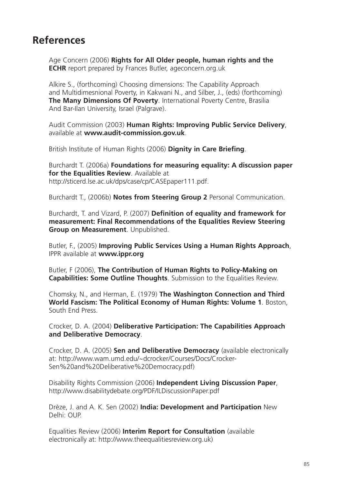# **References**

Age Concern (2006) **Rights for All Older people, human rights and the ECHR** report prepared by Frances Butler, ageconcern.org.uk

Alkire S., (forthcoming) Choosing dimensions: The Capability Approach and Multidimesnional Poverty, in Kakwani N., and Silber, J., (eds) (forthcoming) **The Many Dimensions Of Poverty**. International Poverty Centre, Brasilia And Bar-Ilan University, Israel (Palgrave).

Audit Commission (2003) **Human Rights: Improving Public Service Delivery**, available at **www.audit-commission.gov.uk**.

British Institute of Human Rights (2006) **Dignity in Care Briefing**.

Burchardt T. (2006a) **Foundations for measuring equality: A discussion paper for the Equalities Review**. Available at http://sticerd.lse.ac.uk/dps/case/cp/CASEpaper111.pdf.

Burchardt T., (2006b) **Notes from Steering Group 2** Personal Communication.

Burchardt, T. and Vizard, P. (2007) **Definition of equality and framework for measurement: Final Recommendations of the Equalities Review Steering Group on Measurement**. Unpublished.

Butler, F., (2005) **Improving Public Services Using a Human Rights Approach**, IPPR available at **www.ippr.org**

Butler, F (2006), **The Contribution of Human Rights to Policy-Making on Capabilities: Some Outline Thoughts**. Submission to the Equalities Review.

Chomsky, N., and Herman, E. (1979) **The Washington Connection and Third World Fascism: The Political Economy of Human Rights: Volume 1**. Boston, South End Press.

Crocker, D. A. (2004) **Deliberative Participation: The Capabilities Approach and Deliberative Democracy**.

Crocker, D. A. (2005) **Sen and Deliberative Democracy** (available electronically at: http://www.wam.umd.edu/~dcrocker/Courses/Docs/Crocker-Sen%20and%20Deliberative%20Democracy.pdf)

Disability Rights Commission (2006) **Independent Living Discussion Paper**, http://www.disabilitydebate.org/PDF/ILDiscussionPaper.pdf

Drèze, J. and A. K. Sen (2002) **India: Development and Participation** New Delhi: OUP.

Equalities Review (2006) **Interim Report for Consultation** (available electronically at: http://www.theequalitiesreview.org.uk)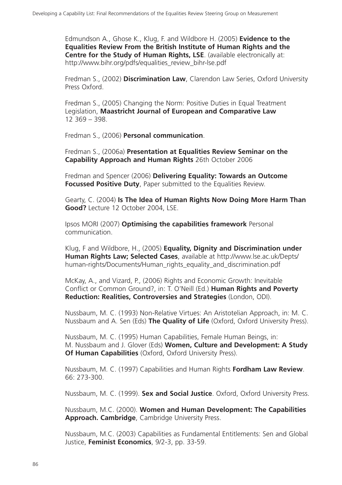Edmundson A., Ghose K., Klug, F. and Wildbore H. (2005) **Evidence to the Equalities Review From the British Institute of Human Rights and the Centre for the Study of Human Rights, LSE**. (available electronically at: http://www.bihr.org/pdfs/equalities\_review\_bihr-lse.pdf

Fredman S., (2002) **Discrimination Law**, Clarendon Law Series, Oxford University Press Oxford.

Fredman S., (2005) Changing the Norm: Positive Duties in Equal Treatment Legislation, **Maastricht Journal of European and Comparative Law** 12 369 – 398.

Fredman S., (2006) **Personal communication**.

Fredman S., (2006a) **Presentation at Equalities Review Seminar on the Capability Approach and Human Rights** 26th October 2006

Fredman and Spencer (2006) **Delivering Equality: Towards an Outcome Focussed Positive Duty**, Paper submitted to the Equalities Review.

Gearty, C. (2004) **Is The Idea of Human Rights Now Doing More Harm Than Good?** Lecture 12 October 2004, LSE.

Ipsos MORI (2007) **Optimising the capabilities framework** Personal communication.

Klug, F and Wildbore, H., (2005) **Equality, Dignity and Discrimination under Human Rights Law; Selected Cases**, available at http://www.lse.ac.uk/Depts/ human-rights/Documents/Human\_rights\_equality\_and\_discrimination.pdf

McKay, A., and Vizard, P., (2006) Rights and Economic Growth: Inevitable Conflict or Common Ground?, in: T. O'Neill (Ed.) **Human Rights and Poverty Reduction: Realities, Controversies and Strategies** (London, ODI).

Nussbaum, M. C. (1993) Non-Relative Virtues: An Aristotelian Approach, in: M. C. Nussbaum and A. Sen (Eds) **The Quality of Life** (Oxford, Oxford University Press).

Nussbaum, M. C. (1995) Human Capabilities, Female Human Beings, in: M. Nussbaum and J. Glover (Eds) **Women, Culture and Development: A Study Of Human Capabilities** (Oxford, Oxford University Press).

Nussbaum, M. C. (1997) Capabilities and Human Rights **Fordham Law Review**. 66: 273-300.

Nussbaum, M. C. (1999). **Sex and Social Justice**. Oxford, Oxford University Press.

Nussbaum, M.C. (2000). **Women and Human Development: The Capabilities Approach. Cambridge**, Cambridge University Press.

Nussbaum, M.C. (2003) Capabilities as Fundamental Entitlements: Sen and Global Justice, **Feminist Economics**, 9/2-3, pp. 33-59.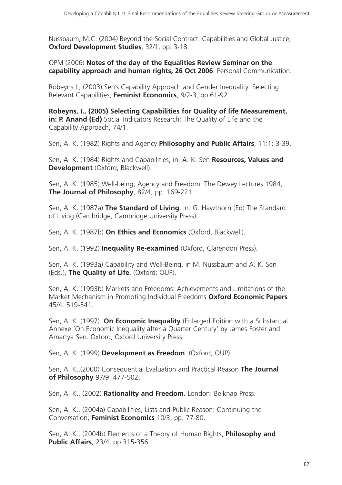Nussbaum, M.C. (2004) Beyond the Social Contract: Capabilities and Global Justice, **Oxford Development Studies**, 32/1, pp. 3-18.

OPM (2006) **Notes of the day of the Equalities Review Seminar on the capability approach and human rights, 26 Oct 2006**. Personal Communication.

Robeyns I., (2003) Sen's Capability Approach and Gender Inequality: Selecting Relevant Capabilities, **Feminist Economics**, 9/2-3, pp.61-92.

**Robeyns, I., (2005) Selecting Capabilities for Quality of life Measurement, in: P. Anand (Ed)** Social Indicators Research: The Quality of Life and the Capability Approach, 74/1.

Sen, A. K. (1982) Rights and Agency **Philosophy and Public Affairs**, 11:1: 3-39.

Sen, A. K. (1984) Rights and Capabilities, in: A. K. Sen **Resources, Values and Development** (Oxford, Blackwell).

Sen, A. K. (1985) Well-being, Agency and Freedom: The Dewey Lectures 1984, **The Journal of Philosophy**, 82/4, pp. 169-221.

Sen, A. K. (1987a) **The Standard of Living**, in: G. Hawthorn (Ed) The Standard of Living (Cambridge, Cambridge University Press).

Sen, A. K. (1987b) **On Ethics and Economics** (Oxford, Blackwell).

Sen, A. K. (1992) **Inequality Re-examined** (Oxford, Clarendon Press).

Sen, A. K. (1993a) Capability and Well-Being, in M. Nussbaum and A. K. Sen (Eds.), **The Quality of Life**. (Oxford: OUP).

Sen, A. K. (1993b) Markets and Freedoms: Achievements and Limitations of the Market Mechanism in Promoting Individual Freedoms **Oxford Economic Papers** 45/4: 519-541.

Sen, A. K. (1997). **On Economic Inequality** (Enlarged Edition with a Substantial Annexe 'On Economic Inequality after a Quarter Century' by James Foster and Amartya Sen. Oxford, Oxford University Press.

Sen, A. K. (1999) **Development as Freedom**. (Oxford, OUP).

Sen, A. K.,(2000) Consequential Evaluation and Practical Reason **The Journal of Philosophy** 97/9: 477-502.

Sen, A. K., (2002) **Rationality and Freedom**. London: Belknap Press.

Sen, A. K., (2004a) Capabilities, Lists and Public Reason: Continuing the Conversation, **Feminist Economics** 10/3, pp. 77-80.

Sen, A. K., (2004b) Elements of a Theory of Human Rights, **Philosophy and Public Affairs**, 23/4, pp.315-356.